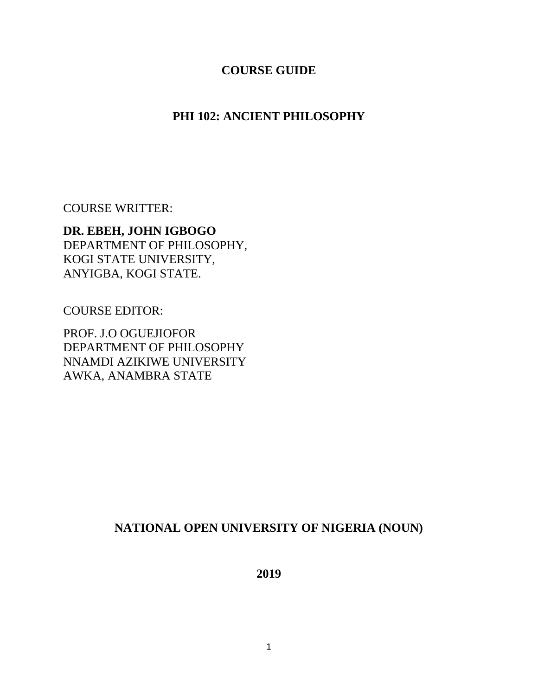#### **COURSE GUIDE**

### **PHI 102: ANCIENT PHILOSOPHY**

COURSE WRITTER:

**DR. EBEH, JOHN IGBOGO** DEPARTMENT OF PHILOSOPHY, KOGI STATE UNIVERSITY, ANYIGBA, KOGI STATE.

COURSE EDITOR:

PROF. J.O OGUEJIOFOR DEPARTMENT OF PHILOSOPHY NNAMDI AZIKIWE UNIVERSITY AWKA, ANAMBRA STATE

### **NATIONAL OPEN UNIVERSITY OF NIGERIA (NOUN)**

**2019**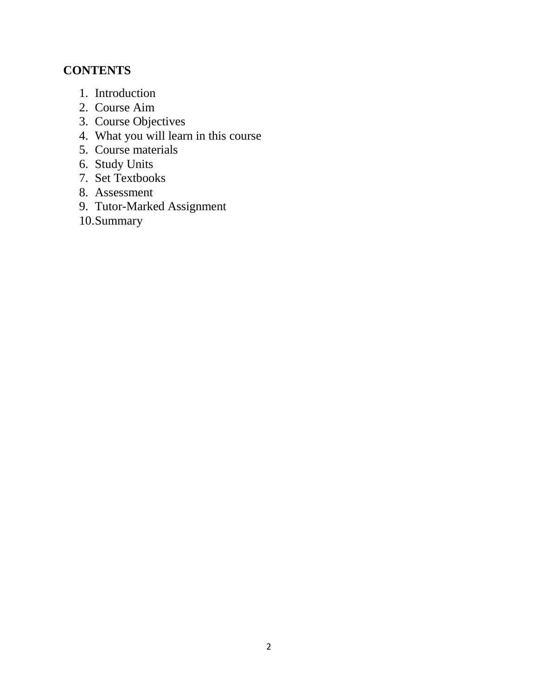# **CONTENTS**

- 1. Introduction
- 2. Course Aim
- 3. Course Objectives
- 4. What you will learn in this course
- 5. Course materials
- 6. Study Units
- 7. Set Textbooks
- 8. Assessment
- 9. Tutor-Marked Assignment
- 10.Summary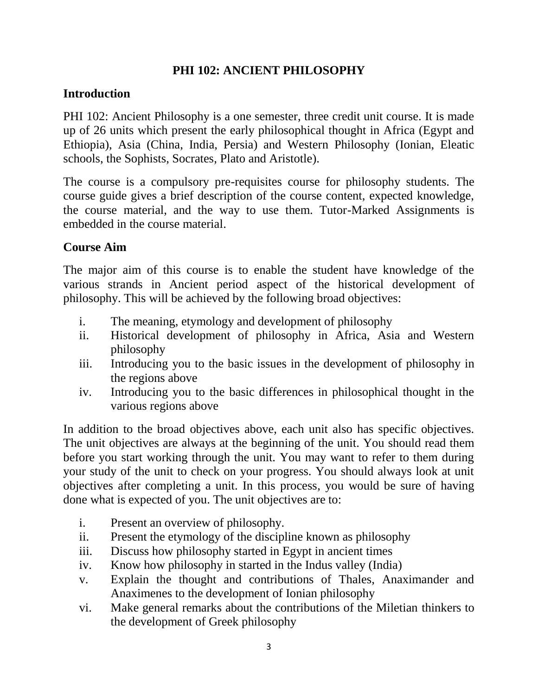### **PHI 102: ANCIENT PHILOSOPHY**

### **Introduction**

PHI 102: Ancient Philosophy is a one semester, three credit unit course. It is made up of 26 units which present the early philosophical thought in Africa (Egypt and Ethiopia), Asia (China, India, Persia) and Western Philosophy (Ionian, Eleatic schools, the Sophists, Socrates, Plato and Aristotle).

The course is a compulsory pre-requisites course for philosophy students. The course guide gives a brief description of the course content, expected knowledge, the course material, and the way to use them. Tutor-Marked Assignments is embedded in the course material.

### **Course Aim**

The major aim of this course is to enable the student have knowledge of the various strands in Ancient period aspect of the historical development of philosophy. This will be achieved by the following broad objectives:

- i. The meaning, etymology and development of philosophy
- ii. Historical development of philosophy in Africa, Asia and Western philosophy
- iii. Introducing you to the basic issues in the development of philosophy in the regions above
- iv. Introducing you to the basic differences in philosophical thought in the various regions above

In addition to the broad objectives above, each unit also has specific objectives. The unit objectives are always at the beginning of the unit. You should read them before you start working through the unit. You may want to refer to them during your study of the unit to check on your progress. You should always look at unit objectives after completing a unit. In this process, you would be sure of having done what is expected of you. The unit objectives are to:

- i. Present an overview of philosophy.
- ii. Present the etymology of the discipline known as philosophy
- iii. Discuss how philosophy started in Egypt in ancient times
- iv. Know how philosophy in started in the Indus valley (India)
- v. Explain the thought and contributions of Thales, Anaximander and Anaximenes to the development of Ionian philosophy
- vi. Make general remarks about the contributions of the Miletian thinkers to the development of Greek philosophy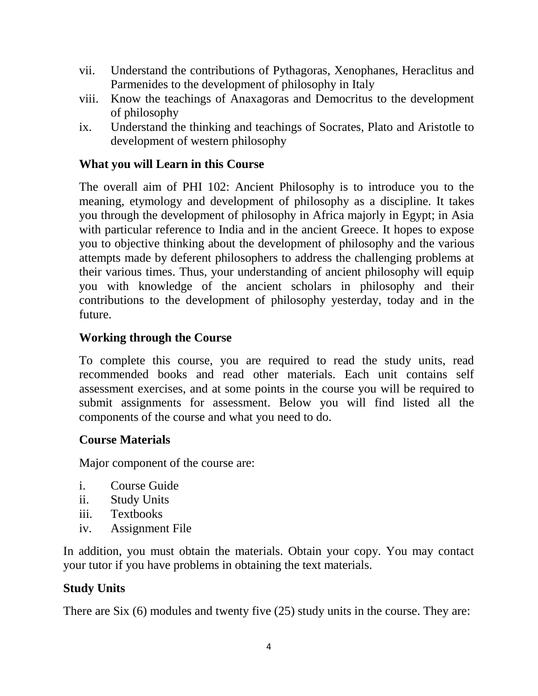- vii. Understand the contributions of Pythagoras, Xenophanes, Heraclitus and Parmenides to the development of philosophy in Italy
- viii. Know the teachings of Anaxagoras and Democritus to the development of philosophy
- ix. Understand the thinking and teachings of Socrates, Plato and Aristotle to development of western philosophy

# **What you will Learn in this Course**

The overall aim of PHI 102: Ancient Philosophy is to introduce you to the meaning, etymology and development of philosophy as a discipline. It takes you through the development of philosophy in Africa majorly in Egypt; in Asia with particular reference to India and in the ancient Greece. It hopes to expose you to objective thinking about the development of philosophy and the various attempts made by deferent philosophers to address the challenging problems at their various times. Thus, your understanding of ancient philosophy will equip you with knowledge of the ancient scholars in philosophy and their contributions to the development of philosophy yesterday, today and in the future.

# **Working through the Course**

To complete this course, you are required to read the study units, read recommended books and read other materials. Each unit contains self assessment exercises, and at some points in the course you will be required to submit assignments for assessment. Below you will find listed all the components of the course and what you need to do.

# **Course Materials**

Major component of the course are:

- i. Course Guide
- ii. Study Units
- iii. Textbooks
- iv. Assignment File

In addition, you must obtain the materials. Obtain your copy. You may contact your tutor if you have problems in obtaining the text materials.

### **Study Units**

There are Six (6) modules and twenty five (25) study units in the course. They are: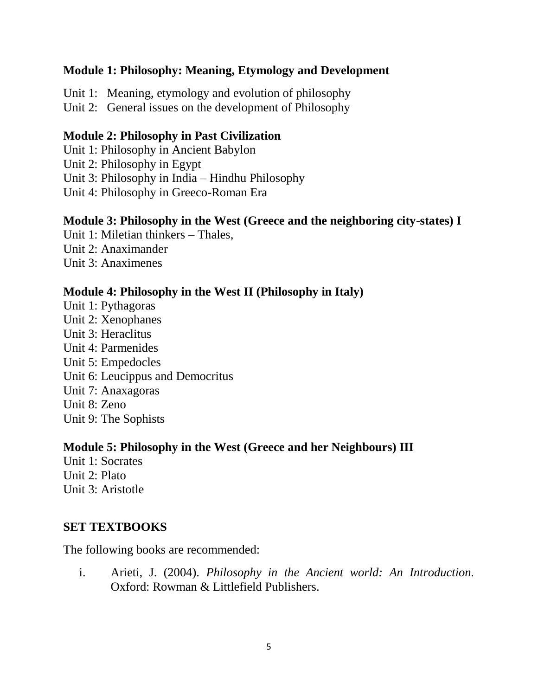#### **Module 1: Philosophy: Meaning, Etymology and Development**

Unit 1: Meaning, etymology and evolution of philosophy Unit 2: General issues on the development of Philosophy

#### **Module 2: Philosophy in Past Civilization**

Unit 1: Philosophy in Ancient Babylon Unit 2: Philosophy in Egypt Unit 3: Philosophy in India – Hindhu Philosophy Unit 4: Philosophy in Greeco-Roman Era

#### **Module 3: Philosophy in the West (Greece and the neighboring city-states) I**

Unit 1: Miletian thinkers – Thales, Unit 2: Anaximander Unit 3: Anaximenes

### **Module 4: Philosophy in the West II (Philosophy in Italy)**

Unit 1: Pythagoras Unit 2: Xenophanes Unit 3: Heraclitus Unit 4: Parmenides Unit 5: Empedocles Unit 6: Leucippus and Democritus Unit 7: Anaxagoras Unit 8: Zeno Unit 9: The Sophists

#### **Module 5: Philosophy in the West (Greece and her Neighbours) III**

Unit 1: Socrates Unit 2: Plato Unit 3: Aristotle

# **SET TEXTBOOKS**

The following books are recommended:

i. Arieti, J. (2004). *Philosophy in the Ancient world: An Introduction.* Oxford: Rowman & Littlefield Publishers.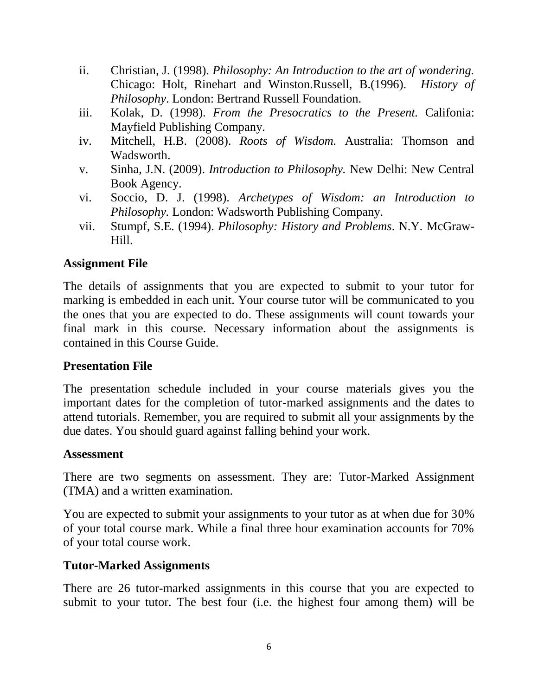- ii. Christian, J. (1998). *Philosophy: An Introduction to the art of wondering.* Chicago: Holt, Rinehart and Winston.Russell, B.(1996). *History of Philosophy*. London: Bertrand Russell Foundation.
- iii. Kolak, D. (1998). *From the Presocratics to the Present.* Califonia: Mayfield Publishing Company.
- iv. Mitchell, H.B. (2008). *Roots of Wisdom.* Australia: Thomson and Wadsworth.
- v. Sinha, J.N. (2009). *Introduction to Philosophy.* New Delhi: New Central Book Agency.
- vi. Soccio, D. J. (1998). *Archetypes of Wisdom: an Introduction to Philosophy.* London: Wadsworth Publishing Company.
- vii. Stumpf, S.E. (1994). *Philosophy: History and Problems*. N.Y. McGraw-Hill.

#### **Assignment File**

The details of assignments that you are expected to submit to your tutor for marking is embedded in each unit. Your course tutor will be communicated to you the ones that you are expected to do. These assignments will count towards your final mark in this course. Necessary information about the assignments is contained in this Course Guide.

#### **Presentation File**

The presentation schedule included in your course materials gives you the important dates for the completion of tutor-marked assignments and the dates to attend tutorials. Remember, you are required to submit all your assignments by the due dates. You should guard against falling behind your work.

#### **Assessment**

There are two segments on assessment. They are: Tutor-Marked Assignment (TMA) and a written examination.

You are expected to submit your assignments to your tutor as at when due for 30% of your total course mark. While a final three hour examination accounts for 70% of your total course work.

### **Tutor-Marked Assignments**

There are 26 tutor-marked assignments in this course that you are expected to submit to your tutor. The best four (i.e. the highest four among them) will be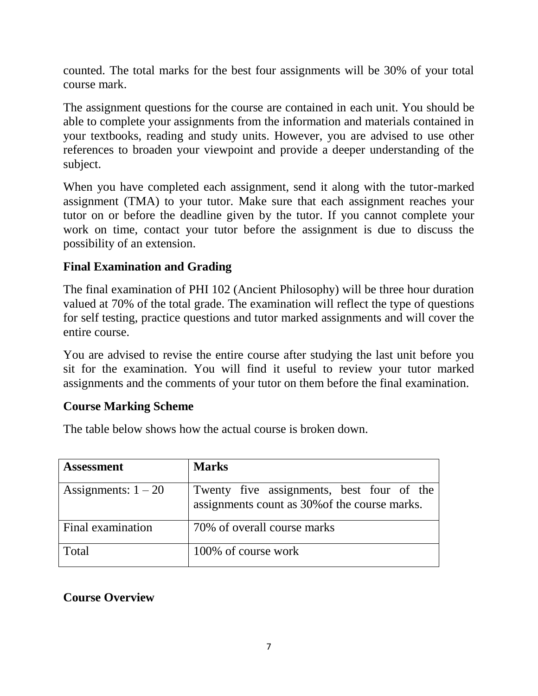counted. The total marks for the best four assignments will be 30% of your total course mark.

The assignment questions for the course are contained in each unit. You should be able to complete your assignments from the information and materials contained in your textbooks, reading and study units. However, you are advised to use other references to broaden your viewpoint and provide a deeper understanding of the subject.

When you have completed each assignment, send it along with the tutor-marked assignment (TMA) to your tutor. Make sure that each assignment reaches your tutor on or before the deadline given by the tutor. If you cannot complete your work on time, contact your tutor before the assignment is due to discuss the possibility of an extension.

# **Final Examination and Grading**

The final examination of PHI 102 (Ancient Philosophy) will be three hour duration valued at 70% of the total grade. The examination will reflect the type of questions for self testing, practice questions and tutor marked assignments and will cover the entire course.

You are advised to revise the entire course after studying the last unit before you sit for the examination. You will find it useful to review your tutor marked assignments and the comments of your tutor on them before the final examination.

### **Course Marking Scheme**

The table below shows how the actual course is broken down.

| <b>Assessment</b>        | <b>Marks</b>                                                                               |
|--------------------------|--------------------------------------------------------------------------------------------|
| Assignments: $1 - 20$    | Twenty five assignments, best four of the<br>assignments count as 30% of the course marks. |
| <b>Final examination</b> | 70% of overall course marks                                                                |
| Total                    | 100% of course work                                                                        |

### **Course Overview**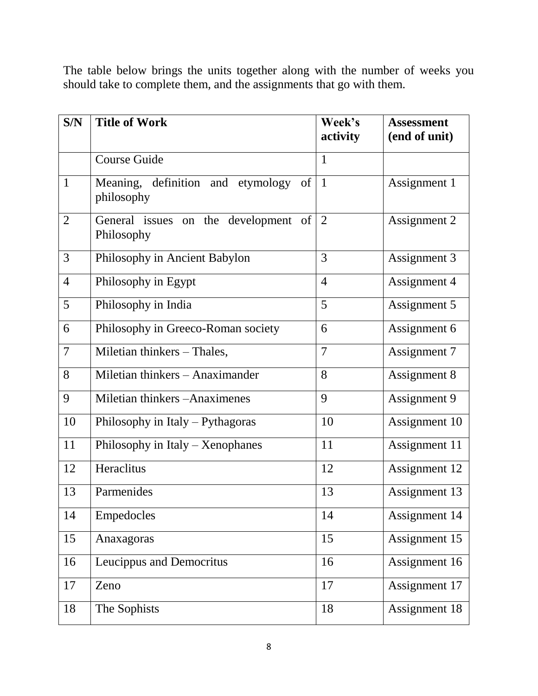The table below brings the units together along with the number of weeks you should take to complete them, and the assignments that go with them.

| S/N            | <b>Title of Work</b>                                    | Week's<br>activity | <b>Assessment</b><br>(end of unit) |
|----------------|---------------------------------------------------------|--------------------|------------------------------------|
|                | <b>Course Guide</b>                                     | $\mathbf{1}$       |                                    |
| $\mathbf{1}$   | Meaning, definition and etymology<br>of  <br>philosophy | $\mathbf{1}$       | Assignment 1                       |
| $\overline{2}$ | General issues on the development of<br>Philosophy      | $\overline{2}$     | Assignment 2                       |
| 3              | Philosophy in Ancient Babylon                           | 3                  | Assignment 3                       |
| $\overline{4}$ | Philosophy in Egypt                                     | $\overline{4}$     | Assignment 4                       |
| 5              | Philosophy in India                                     | 5                  | Assignment 5                       |
| 6              | Philosophy in Greeco-Roman society                      | 6                  | Assignment 6                       |
| $\overline{7}$ | Miletian thinkers - Thales,                             | $\overline{7}$     | Assignment 7                       |
| 8              | Miletian thinkers - Anaximander                         | 8                  | Assignment 8                       |
| 9              | Miletian thinkers -Anaximenes                           | 9                  | Assignment 9                       |
| 10             | Philosophy in Italy - Pythagoras                        | 10                 | Assignment 10                      |
| 11             | Philosophy in Italy $-$ Xenophanes                      | 11                 | Assignment 11                      |
| 12             | Heraclitus                                              | 12                 | Assignment 12                      |
| 13             | Parmenides                                              | 13                 | Assignment 13                      |
| 14             | Empedocles                                              | 14                 | Assignment 14                      |
| 15             | Anaxagoras                                              | 15                 | Assignment 15                      |
| 16             | Leucippus and Democritus                                | 16                 | Assignment 16                      |
| 17             | Zeno                                                    | 17                 | Assignment 17                      |
| 18             | The Sophists                                            | 18                 | Assignment 18                      |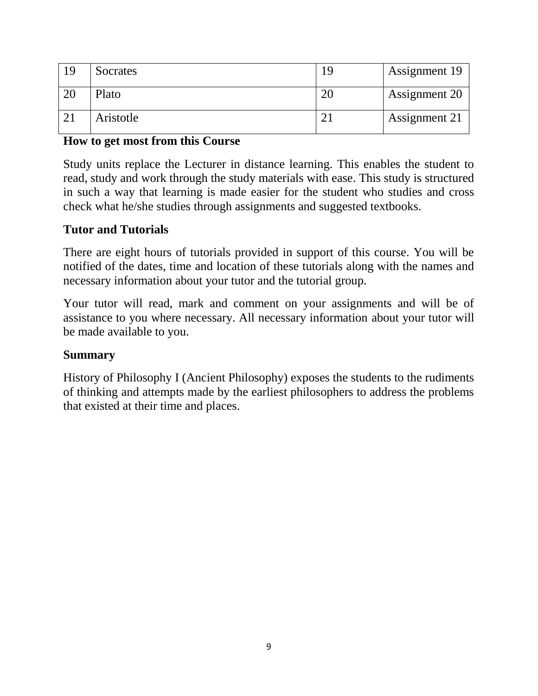| 19 | Socrates  | 19        | <b>Assignment 19</b> |
|----|-----------|-----------|----------------------|
| 20 | Plato     | 20        | Assignment 20        |
|    | Aristotle | $\bigcap$ | Assignment 21        |

### **How to get most from this Course**

Study units replace the Lecturer in distance learning. This enables the student to read, study and work through the study materials with ease. This study is structured in such a way that learning is made easier for the student who studies and cross check what he/she studies through assignments and suggested textbooks.

### **Tutor and Tutorials**

There are eight hours of tutorials provided in support of this course. You will be notified of the dates, time and location of these tutorials along with the names and necessary information about your tutor and the tutorial group.

Your tutor will read, mark and comment on your assignments and will be of assistance to you where necessary. All necessary information about your tutor will be made available to you.

### **Summary**

History of Philosophy I (Ancient Philosophy) exposes the students to the rudiments of thinking and attempts made by the earliest philosophers to address the problems that existed at their time and places.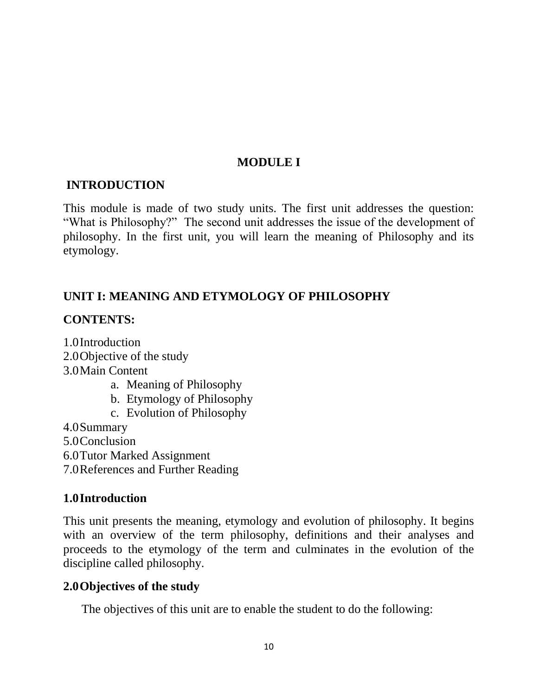### **MODULE I**

### **INTRODUCTION**

This module is made of two study units. The first unit addresses the question: "What is Philosophy?" The second unit addresses the issue of the development of philosophy. In the first unit, you will learn the meaning of Philosophy and its etymology.

# **UNIT I: MEANING AND ETYMOLOGY OF PHILOSOPHY**

### **CONTENTS:**

1.0Introduction 2.0Objective of the study 3.0Main Content a. Meaning of Philosophy b. Etymology of Philosophy

c. Evolution of Philosophy

4.0Summary

5.0Conclusion

6.0Tutor Marked Assignment

7.0References and Further Reading

# **1.0Introduction**

This unit presents the meaning, etymology and evolution of philosophy. It begins with an overview of the term philosophy, definitions and their analyses and proceeds to the etymology of the term and culminates in the evolution of the discipline called philosophy.

### **2.0Objectives of the study**

The objectives of this unit are to enable the student to do the following: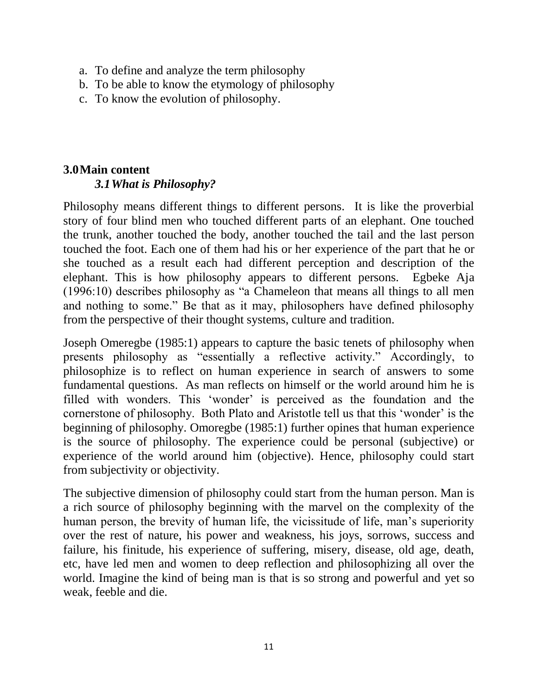- a. To define and analyze the term philosophy
- b. To be able to know the etymology of philosophy
- c. To know the evolution of philosophy.

#### **3.0Main content** *3.1What is Philosophy?*

Philosophy means different things to different persons. It is like the proverbial story of four blind men who touched different parts of an elephant. One touched the trunk, another touched the body, another touched the tail and the last person touched the foot. Each one of them had his or her experience of the part that he or she touched as a result each had different perception and description of the elephant. This is how philosophy appears to different persons. Egbeke Aja (1996:10) describes philosophy as "a Chameleon that means all things to all men and nothing to some." Be that as it may, philosophers have defined philosophy from the perspective of their thought systems, culture and tradition.

Joseph Omeregbe (1985:1) appears to capture the basic tenets of philosophy when presents philosophy as "essentially a reflective activity." Accordingly, to philosophize is to reflect on human experience in search of answers to some fundamental questions. As man reflects on himself or the world around him he is filled with wonders. This 'wonder' is perceived as the foundation and the cornerstone of philosophy. Both Plato and Aristotle tell us that this "wonder" is the beginning of philosophy. Omoregbe (1985:1) further opines that human experience is the source of philosophy. The experience could be personal (subjective) or experience of the world around him (objective). Hence, philosophy could start from subjectivity or objectivity.

The subjective dimension of philosophy could start from the human person. Man is a rich source of philosophy beginning with the marvel on the complexity of the human person, the brevity of human life, the vicissitude of life, man's superiority over the rest of nature, his power and weakness, his joys, sorrows, success and failure, his finitude, his experience of suffering, misery, disease, old age, death, etc, have led men and women to deep reflection and philosophizing all over the world. Imagine the kind of being man is that is so strong and powerful and yet so weak, feeble and die.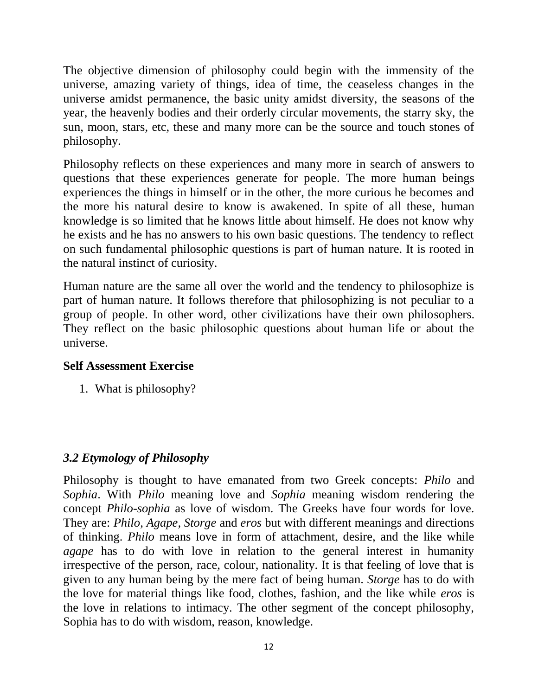The objective dimension of philosophy could begin with the immensity of the universe, amazing variety of things, idea of time, the ceaseless changes in the universe amidst permanence, the basic unity amidst diversity, the seasons of the year, the heavenly bodies and their orderly circular movements, the starry sky, the sun, moon, stars, etc, these and many more can be the source and touch stones of philosophy.

Philosophy reflects on these experiences and many more in search of answers to questions that these experiences generate for people. The more human beings experiences the things in himself or in the other, the more curious he becomes and the more his natural desire to know is awakened. In spite of all these, human knowledge is so limited that he knows little about himself. He does not know why he exists and he has no answers to his own basic questions. The tendency to reflect on such fundamental philosophic questions is part of human nature. It is rooted in the natural instinct of curiosity.

Human nature are the same all over the world and the tendency to philosophize is part of human nature. It follows therefore that philosophizing is not peculiar to a group of people. In other word, other civilizations have their own philosophers. They reflect on the basic philosophic questions about human life or about the universe.

### **Self Assessment Exercise**

1. What is philosophy?

# *3.2 Etymology of Philosophy*

Philosophy is thought to have emanated from two Greek concepts: *Philo* and *Sophia*. With *Philo* meaning love and *Sophia* meaning wisdom rendering the concept *Philo-sophia* as love of wisdom. The Greeks have four words for love. They are: *Philo, Agape, Storge* and *eros* but with different meanings and directions of thinking. *Philo* means love in form of attachment, desire, and the like while *agape* has to do with love in relation to the general interest in humanity irrespective of the person, race, colour, nationality. It is that feeling of love that is given to any human being by the mere fact of being human. *Storge* has to do with the love for material things like food, clothes, fashion, and the like while *eros* is the love in relations to intimacy. The other segment of the concept philosophy, Sophia has to do with wisdom, reason, knowledge.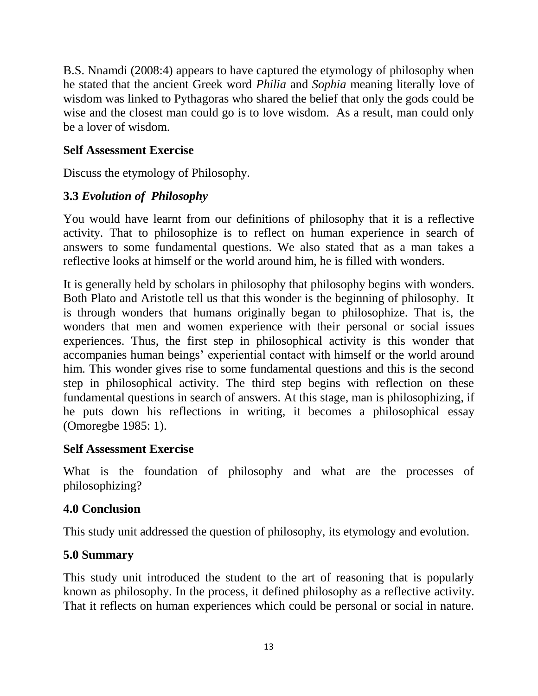B.S. Nnamdi (2008:4) appears to have captured the etymology of philosophy when he stated that the ancient Greek word *Philia* and *Sophia* meaning literally love of wisdom was linked to Pythagoras who shared the belief that only the gods could be wise and the closest man could go is to love wisdom. As a result, man could only be a lover of wisdom.

### **Self Assessment Exercise**

Discuss the etymology of Philosophy.

# **3.3** *Evolution of Philosophy*

You would have learnt from our definitions of philosophy that it is a reflective activity. That to philosophize is to reflect on human experience in search of answers to some fundamental questions. We also stated that as a man takes a reflective looks at himself or the world around him, he is filled with wonders.

It is generally held by scholars in philosophy that philosophy begins with wonders. Both Plato and Aristotle tell us that this wonder is the beginning of philosophy. It is through wonders that humans originally began to philosophize. That is, the wonders that men and women experience with their personal or social issues experiences. Thus, the first step in philosophical activity is this wonder that accompanies human beings" experiential contact with himself or the world around him. This wonder gives rise to some fundamental questions and this is the second step in philosophical activity. The third step begins with reflection on these fundamental questions in search of answers. At this stage, man is philosophizing, if he puts down his reflections in writing, it becomes a philosophical essay (Omoregbe 1985: 1).

### **Self Assessment Exercise**

What is the foundation of philosophy and what are the processes of philosophizing?

# **4.0 Conclusion**

This study unit addressed the question of philosophy, its etymology and evolution.

# **5.0 Summary**

This study unit introduced the student to the art of reasoning that is popularly known as philosophy. In the process, it defined philosophy as a reflective activity. That it reflects on human experiences which could be personal or social in nature.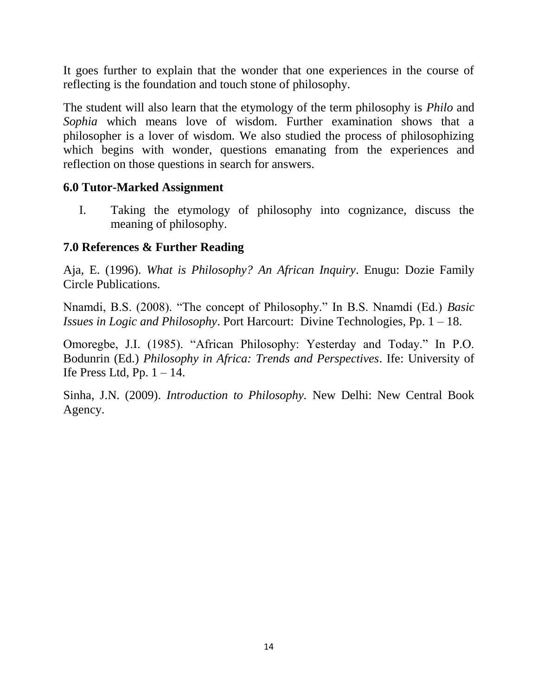It goes further to explain that the wonder that one experiences in the course of reflecting is the foundation and touch stone of philosophy.

The student will also learn that the etymology of the term philosophy is *Philo* and *Sophia* which means love of wisdom. Further examination shows that a philosopher is a lover of wisdom. We also studied the process of philosophizing which begins with wonder, questions emanating from the experiences and reflection on those questions in search for answers.

### **6.0 Tutor-Marked Assignment**

I. Taking the etymology of philosophy into cognizance, discuss the meaning of philosophy.

### **7.0 References & Further Reading**

Aja, E. (1996). *What is Philosophy? An African Inquiry*. Enugu: Dozie Family Circle Publications.

Nnamdi, B.S. (2008). "The concept of Philosophy." In B.S. Nnamdi (Ed.) *Basic Issues in Logic and Philosophy*. Port Harcourt: Divine Technologies, Pp. 1 – 18.

Omoregbe, J.I. (1985). "African Philosophy: Yesterday and Today." In P.O. Bodunrin (Ed.) *Philosophy in Africa: Trends and Perspectives*. Ife: University of Ife Press Ltd, Pp.  $1 - 14$ .

Sinha, J.N. (2009). *Introduction to Philosophy.* New Delhi: New Central Book Agency.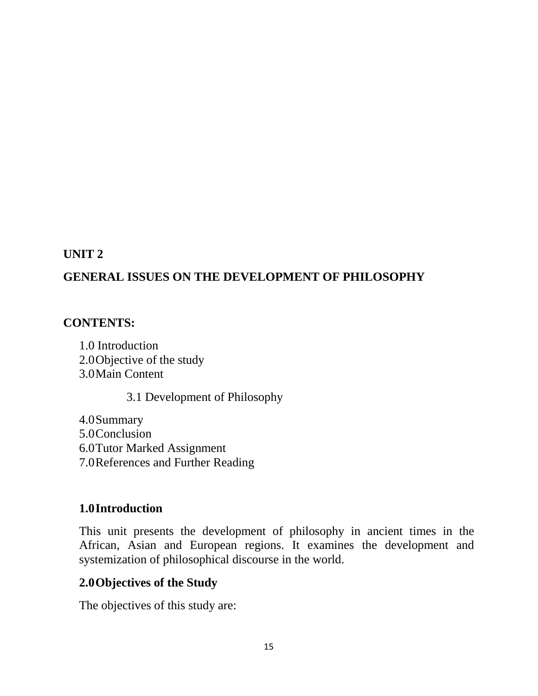### **UNIT 2**

# **GENERAL ISSUES ON THE DEVELOPMENT OF PHILOSOPHY**

### **CONTENTS:**

1.0 Introduction 2.0Objective of the study 3.0Main Content

3.1 Development of Philosophy

4.0Summary 5.0Conclusion 6.0Tutor Marked Assignment 7.0References and Further Reading

### **1.0Introduction**

This unit presents the development of philosophy in ancient times in the African, Asian and European regions. It examines the development and systemization of philosophical discourse in the world.

### **2.0Objectives of the Study**

The objectives of this study are: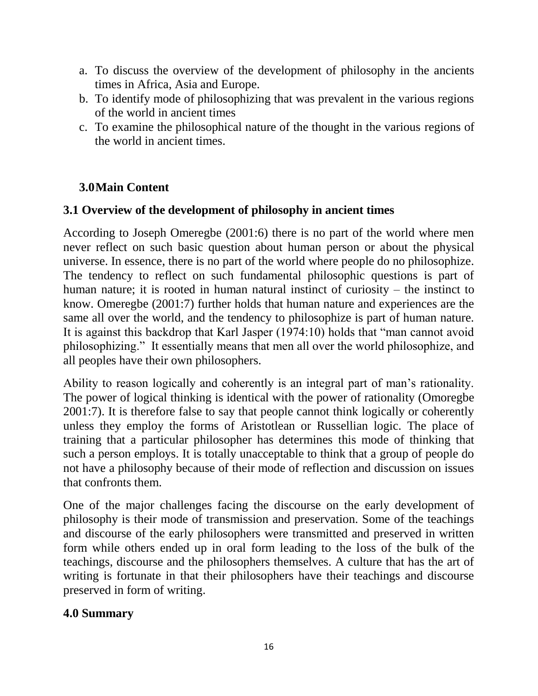- a. To discuss the overview of the development of philosophy in the ancients times in Africa, Asia and Europe.
- b. To identify mode of philosophizing that was prevalent in the various regions of the world in ancient times
- c. To examine the philosophical nature of the thought in the various regions of the world in ancient times.

# **3.0Main Content**

# **3.1 Overview of the development of philosophy in ancient times**

According to Joseph Omeregbe (2001:6) there is no part of the world where men never reflect on such basic question about human person or about the physical universe. In essence, there is no part of the world where people do no philosophize. The tendency to reflect on such fundamental philosophic questions is part of human nature; it is rooted in human natural instinct of curiosity – the instinct to know. Omeregbe (2001:7) further holds that human nature and experiences are the same all over the world, and the tendency to philosophize is part of human nature. It is against this backdrop that Karl Jasper (1974:10) holds that "man cannot avoid philosophizing." It essentially means that men all over the world philosophize, and all peoples have their own philosophers.

Ability to reason logically and coherently is an integral part of man"s rationality. The power of logical thinking is identical with the power of rationality (Omoregbe 2001:7). It is therefore false to say that people cannot think logically or coherently unless they employ the forms of Aristotlean or Russellian logic. The place of training that a particular philosopher has determines this mode of thinking that such a person employs. It is totally unacceptable to think that a group of people do not have a philosophy because of their mode of reflection and discussion on issues that confronts them.

One of the major challenges facing the discourse on the early development of philosophy is their mode of transmission and preservation. Some of the teachings and discourse of the early philosophers were transmitted and preserved in written form while others ended up in oral form leading to the loss of the bulk of the teachings, discourse and the philosophers themselves. A culture that has the art of writing is fortunate in that their philosophers have their teachings and discourse preserved in form of writing.

# **4.0 Summary**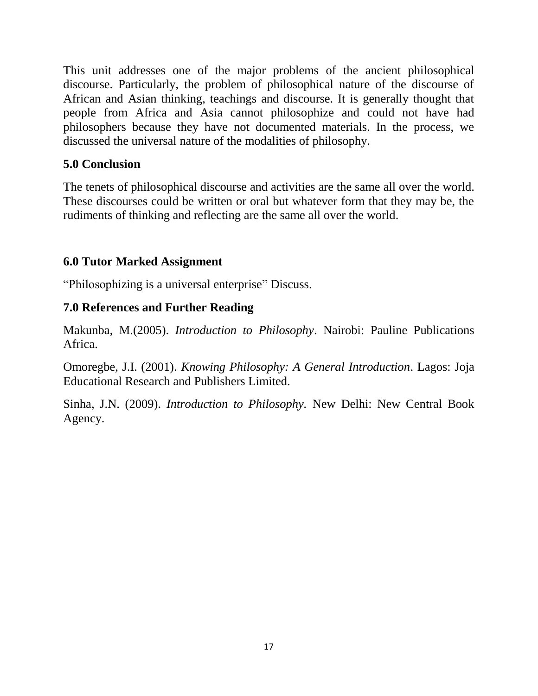This unit addresses one of the major problems of the ancient philosophical discourse. Particularly, the problem of philosophical nature of the discourse of African and Asian thinking, teachings and discourse. It is generally thought that people from Africa and Asia cannot philosophize and could not have had philosophers because they have not documented materials. In the process, we discussed the universal nature of the modalities of philosophy.

# **5.0 Conclusion**

The tenets of philosophical discourse and activities are the same all over the world. These discourses could be written or oral but whatever form that they may be, the rudiments of thinking and reflecting are the same all over the world.

### **6.0 Tutor Marked Assignment**

"Philosophizing is a universal enterprise" Discuss.

### **7.0 References and Further Reading**

Makunba, M.(2005). *Introduction to Philosophy*. Nairobi: Pauline Publications Africa.

Omoregbe, J.I. (2001). *Knowing Philosophy: A General Introduction*. Lagos: Joja Educational Research and Publishers Limited.

Sinha, J.N. (2009). *Introduction to Philosophy.* New Delhi: New Central Book Agency.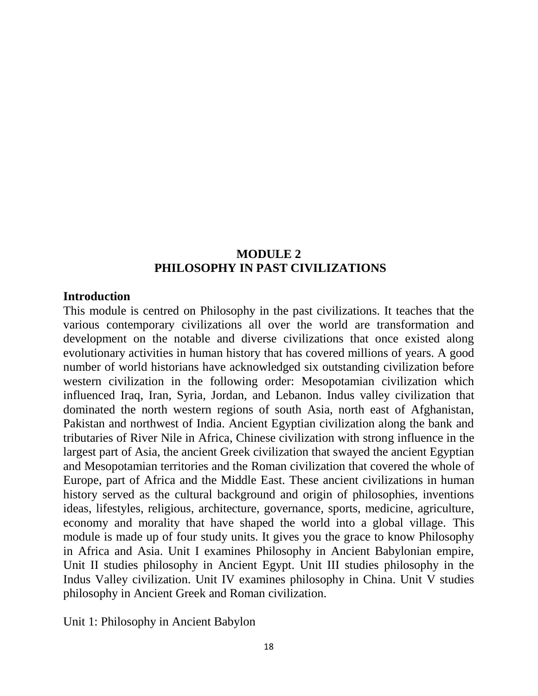### **MODULE 2 PHILOSOPHY IN PAST CIVILIZATIONS**

#### **Introduction**

This module is centred on Philosophy in the past civilizations. It teaches that the various contemporary civilizations all over the world are transformation and development on the notable and diverse civilizations that once existed along evolutionary activities in human history that has covered millions of years. A good number of world historians have acknowledged six outstanding civilization before western civilization in the following order: Mesopotamian civilization which influenced Iraq, Iran, Syria, Jordan, and Lebanon. Indus valley civilization that dominated the north western regions of south Asia, north east of Afghanistan, Pakistan and northwest of India. Ancient Egyptian civilization along the bank and tributaries of River Nile in Africa, Chinese civilization with strong influence in the largest part of Asia, the ancient Greek civilization that swayed the ancient Egyptian and Mesopotamian territories and the Roman civilization that covered the whole of Europe, part of Africa and the Middle East. These ancient civilizations in human history served as the cultural background and origin of philosophies, inventions ideas, lifestyles, religious, architecture, governance, sports, medicine, agriculture, economy and morality that have shaped the world into a global village. This module is made up of four study units. It gives you the grace to know Philosophy in Africa and Asia. Unit I examines Philosophy in Ancient Babylonian empire, Unit II studies philosophy in Ancient Egypt. Unit III studies philosophy in the Indus Valley civilization. Unit IV examines philosophy in China. Unit V studies philosophy in Ancient Greek and Roman civilization.

Unit 1: Philosophy in Ancient Babylon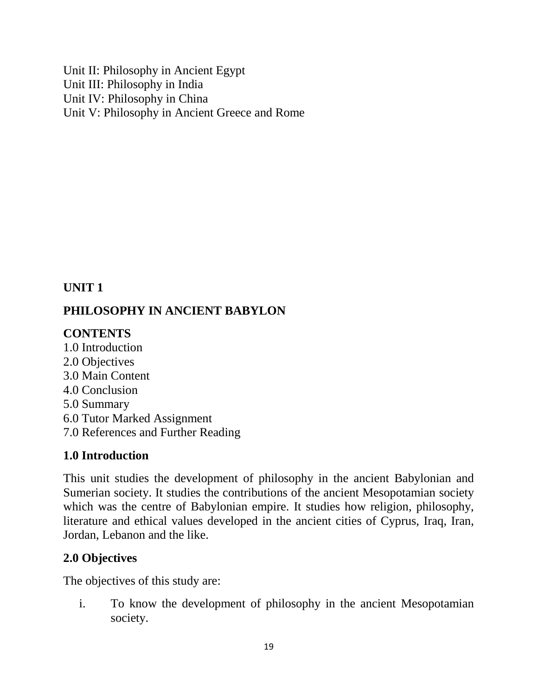Unit II: Philosophy in Ancient Egypt Unit III: Philosophy in India Unit IV: Philosophy in China Unit V: Philosophy in Ancient Greece and Rome

# **UNIT 1**

# **PHILOSOPHY IN ANCIENT BABYLON**

# **CONTENTS**

1.0 Introduction 2.0 Objectives 3.0 Main Content 4.0 Conclusion 5.0 Summary

- 6.0 Tutor Marked Assignment
- 7.0 References and Further Reading

# **1.0 Introduction**

This unit studies the development of philosophy in the ancient Babylonian and Sumerian society. It studies the contributions of the ancient Mesopotamian society which was the centre of Babylonian empire. It studies how religion, philosophy, literature and ethical values developed in the ancient cities of Cyprus, Iraq, Iran, Jordan, Lebanon and the like.

# **2.0 Objectives**

The objectives of this study are:

i. To know the development of philosophy in the ancient Mesopotamian society.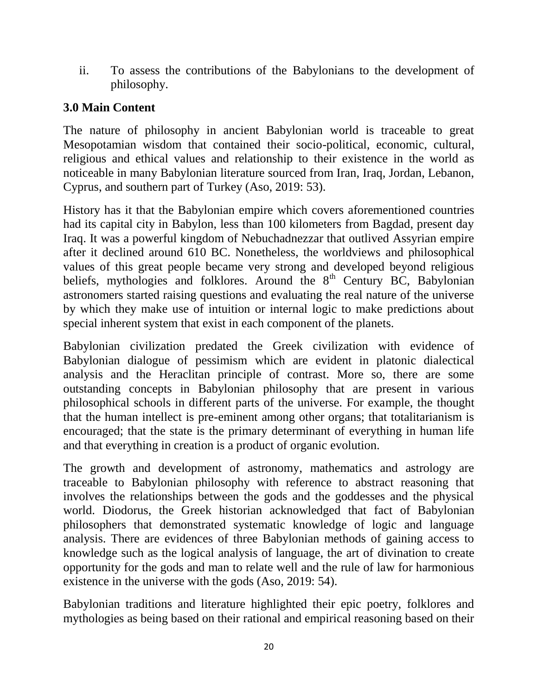ii. To assess the contributions of the Babylonians to the development of philosophy.

# **3.0 Main Content**

The nature of philosophy in ancient Babylonian world is traceable to great Mesopotamian wisdom that contained their socio-political, economic, cultural, religious and ethical values and relationship to their existence in the world as noticeable in many Babylonian literature sourced from Iran, Iraq, Jordan, Lebanon, Cyprus, and southern part of Turkey (Aso, 2019: 53).

History has it that the Babylonian empire which covers aforementioned countries had its capital city in Babylon, less than 100 kilometers from Bagdad, present day Iraq. It was a powerful kingdom of Nebuchadnezzar that outlived Assyrian empire after it declined around 610 BC. Nonetheless, the worldviews and philosophical values of this great people became very strong and developed beyond religious beliefs, mythologies and folklores. Around the  $8<sup>th</sup>$  Century BC, Babylonian astronomers started raising questions and evaluating the real nature of the universe by which they make use of intuition or internal logic to make predictions about special inherent system that exist in each component of the planets.

Babylonian civilization predated the Greek civilization with evidence of Babylonian dialogue of pessimism which are evident in platonic dialectical analysis and the Heraclitan principle of contrast. More so, there are some outstanding concepts in Babylonian philosophy that are present in various philosophical schools in different parts of the universe. For example, the thought that the human intellect is pre-eminent among other organs; that totalitarianism is encouraged; that the state is the primary determinant of everything in human life and that everything in creation is a product of organic evolution.

The growth and development of astronomy, mathematics and astrology are traceable to Babylonian philosophy with reference to abstract reasoning that involves the relationships between the gods and the goddesses and the physical world. Diodorus, the Greek historian acknowledged that fact of Babylonian philosophers that demonstrated systematic knowledge of logic and language analysis. There are evidences of three Babylonian methods of gaining access to knowledge such as the logical analysis of language, the art of divination to create opportunity for the gods and man to relate well and the rule of law for harmonious existence in the universe with the gods (Aso, 2019: 54).

Babylonian traditions and literature highlighted their epic poetry, folklores and mythologies as being based on their rational and empirical reasoning based on their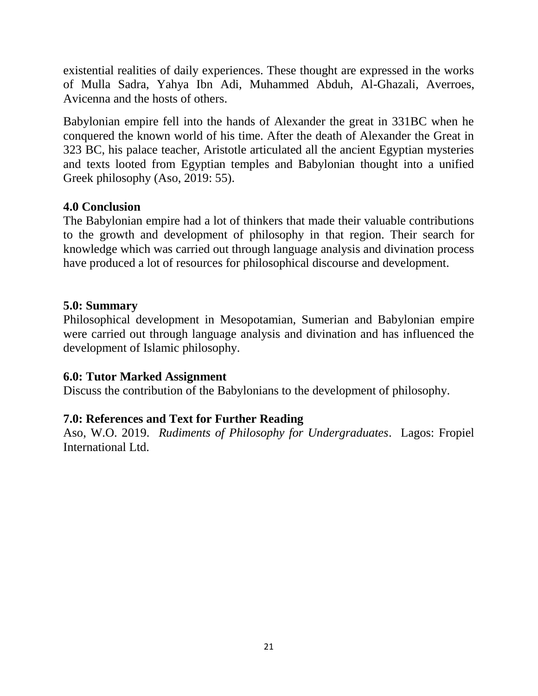existential realities of daily experiences. These thought are expressed in the works of Mulla Sadra, Yahya Ibn Adi, Muhammed Abduh, Al-Ghazali, Averroes, Avicenna and the hosts of others.

Babylonian empire fell into the hands of Alexander the great in 331BC when he conquered the known world of his time. After the death of Alexander the Great in 323 BC, his palace teacher, Aristotle articulated all the ancient Egyptian mysteries and texts looted from Egyptian temples and Babylonian thought into a unified Greek philosophy (Aso, 2019: 55).

# **4.0 Conclusion**

The Babylonian empire had a lot of thinkers that made their valuable contributions to the growth and development of philosophy in that region. Their search for knowledge which was carried out through language analysis and divination process have produced a lot of resources for philosophical discourse and development.

### **5.0: Summary**

Philosophical development in Mesopotamian, Sumerian and Babylonian empire were carried out through language analysis and divination and has influenced the development of Islamic philosophy.

### **6.0: Tutor Marked Assignment**

Discuss the contribution of the Babylonians to the development of philosophy.

# **7.0: References and Text for Further Reading**

Aso, W.O. 2019. *Rudiments of Philosophy for Undergraduates*. Lagos: Fropiel International Ltd.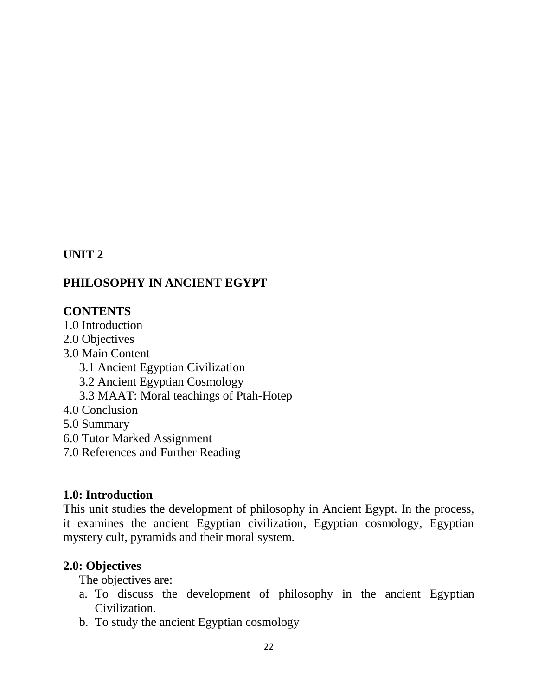### **UNIT 2**

### **PHILOSOPHY IN ANCIENT EGYPT**

#### **CONTENTS**

1.0 Introduction

- 2.0 Objectives
- 3.0 Main Content
	- 3.1 Ancient Egyptian Civilization
	- 3.2 Ancient Egyptian Cosmology
	- 3.3 MAAT: Moral teachings of Ptah-Hotep
- 4.0 Conclusion
- 5.0 Summary
- 6.0 Tutor Marked Assignment
- 7.0 References and Further Reading

#### **1.0: Introduction**

This unit studies the development of philosophy in Ancient Egypt. In the process, it examines the ancient Egyptian civilization, Egyptian cosmology, Egyptian mystery cult, pyramids and their moral system.

#### **2.0: Objectives**

The objectives are:

- a. To discuss the development of philosophy in the ancient Egyptian Civilization.
- b. To study the ancient Egyptian cosmology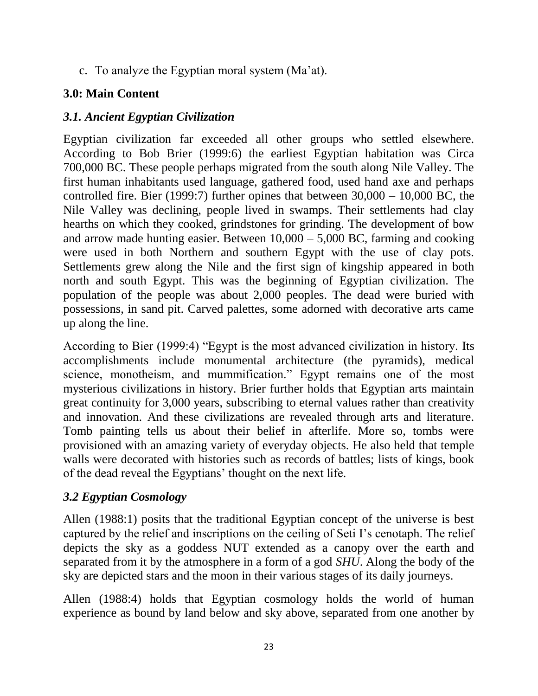c. To analyze the Egyptian moral system (Ma'at).

# **3.0: Main Content**

# *3.1. Ancient Egyptian Civilization*

Egyptian civilization far exceeded all other groups who settled elsewhere. According to Bob Brier (1999:6) the earliest Egyptian habitation was Circa 700,000 BC. These people perhaps migrated from the south along Nile Valley. The first human inhabitants used language, gathered food, used hand axe and perhaps controlled fire. Bier (1999:7) further opines that between  $30,000 - 10,000$  BC, the Nile Valley was declining, people lived in swamps. Their settlements had clay hearths on which they cooked, grindstones for grinding. The development of bow and arrow made hunting easier. Between 10,000 – 5,000 BC, farming and cooking were used in both Northern and southern Egypt with the use of clay pots. Settlements grew along the Nile and the first sign of kingship appeared in both north and south Egypt. This was the beginning of Egyptian civilization. The population of the people was about 2,000 peoples. The dead were buried with possessions, in sand pit. Carved palettes, some adorned with decorative arts came up along the line.

According to Bier (1999:4) "Egypt is the most advanced civilization in history. Its accomplishments include monumental architecture (the pyramids), medical science, monotheism, and mummification." Egypt remains one of the most mysterious civilizations in history. Brier further holds that Egyptian arts maintain great continuity for 3,000 years, subscribing to eternal values rather than creativity and innovation. And these civilizations are revealed through arts and literature. Tomb painting tells us about their belief in afterlife. More so, tombs were provisioned with an amazing variety of everyday objects. He also held that temple walls were decorated with histories such as records of battles; lists of kings, book of the dead reveal the Egyptians" thought on the next life.

# *3.2 Egyptian Cosmology*

Allen (1988:1) posits that the traditional Egyptian concept of the universe is best captured by the relief and inscriptions on the ceiling of Seti I"s cenotaph. The relief depicts the sky as a goddess NUT extended as a canopy over the earth and separated from it by the atmosphere in a form of a god *SHU*. Along the body of the sky are depicted stars and the moon in their various stages of its daily journeys.

Allen (1988:4) holds that Egyptian cosmology holds the world of human experience as bound by land below and sky above, separated from one another by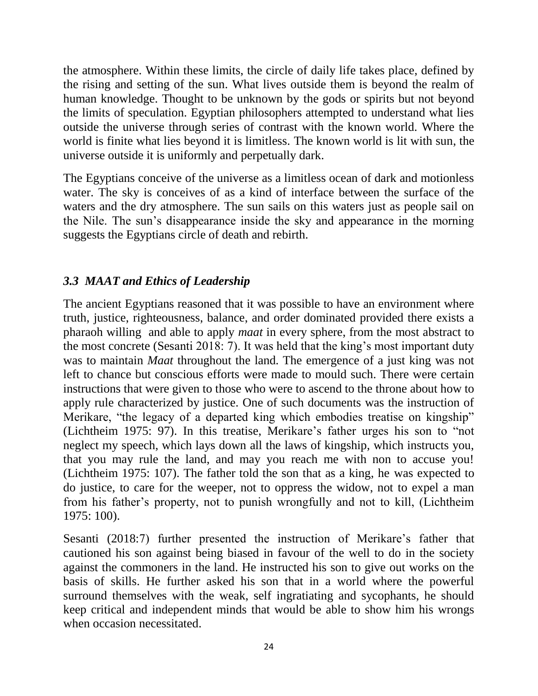the atmosphere. Within these limits, the circle of daily life takes place, defined by the rising and setting of the sun. What lives outside them is beyond the realm of human knowledge. Thought to be unknown by the gods or spirits but not beyond the limits of speculation. Egyptian philosophers attempted to understand what lies outside the universe through series of contrast with the known world. Where the world is finite what lies beyond it is limitless. The known world is lit with sun, the universe outside it is uniformly and perpetually dark.

The Egyptians conceive of the universe as a limitless ocean of dark and motionless water. The sky is conceives of as a kind of interface between the surface of the waters and the dry atmosphere. The sun sails on this waters just as people sail on the Nile. The sun"s disappearance inside the sky and appearance in the morning suggests the Egyptians circle of death and rebirth.

# *3.3 MAAT and Ethics of Leadership*

The ancient Egyptians reasoned that it was possible to have an environment where truth, justice, righteousness, balance, and order dominated provided there exists a pharaoh willing and able to apply *maat* in every sphere, from the most abstract to the most concrete (Sesanti 2018: 7). It was held that the king's most important duty was to maintain *Maat* throughout the land. The emergence of a just king was not left to chance but conscious efforts were made to mould such. There were certain instructions that were given to those who were to ascend to the throne about how to apply rule characterized by justice. One of such documents was the instruction of Merikare, "the legacy of a departed king which embodies treatise on kingship" (Lichtheim 1975: 97). In this treatise, Merikare"s father urges his son to "not neglect my speech, which lays down all the laws of kingship, which instructs you, that you may rule the land, and may you reach me with non to accuse you! (Lichtheim 1975: 107). The father told the son that as a king, he was expected to do justice, to care for the weeper, not to oppress the widow, not to expel a man from his father"s property, not to punish wrongfully and not to kill, (Lichtheim 1975: 100).

Sesanti (2018:7) further presented the instruction of Merikare's father that cautioned his son against being biased in favour of the well to do in the society against the commoners in the land. He instructed his son to give out works on the basis of skills. He further asked his son that in a world where the powerful surround themselves with the weak, self ingratiating and sycophants, he should keep critical and independent minds that would be able to show him his wrongs when occasion necessitated.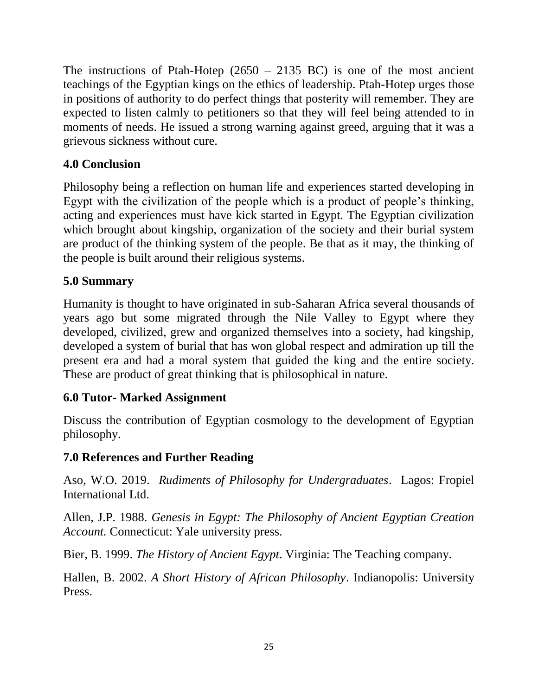The instructions of Ptah-Hotep  $(2650 - 2135 \text{ BC})$  is one of the most ancient teachings of the Egyptian kings on the ethics of leadership. Ptah-Hotep urges those in positions of authority to do perfect things that posterity will remember. They are expected to listen calmly to petitioners so that they will feel being attended to in moments of needs. He issued a strong warning against greed, arguing that it was a grievous sickness without cure.

# **4.0 Conclusion**

Philosophy being a reflection on human life and experiences started developing in Egypt with the civilization of the people which is a product of people"s thinking, acting and experiences must have kick started in Egypt. The Egyptian civilization which brought about kingship, organization of the society and their burial system are product of the thinking system of the people. Be that as it may, the thinking of the people is built around their religious systems.

# **5.0 Summary**

Humanity is thought to have originated in sub-Saharan Africa several thousands of years ago but some migrated through the Nile Valley to Egypt where they developed, civilized, grew and organized themselves into a society, had kingship, developed a system of burial that has won global respect and admiration up till the present era and had a moral system that guided the king and the entire society. These are product of great thinking that is philosophical in nature.

# **6.0 Tutor- Marked Assignment**

Discuss the contribution of Egyptian cosmology to the development of Egyptian philosophy.

# **7.0 References and Further Reading**

Aso, W.O. 2019. *Rudiments of Philosophy for Undergraduates*. Lagos: Fropiel International Ltd.

Allen, J.P. 1988. *Genesis in Egypt: The Philosophy of Ancient Egyptian Creation Account.* Connecticut: Yale university press.

Bier, B. 1999. *The History of Ancient Egypt*. Virginia: The Teaching company.

Hallen, B. 2002. *A Short History of African Philosophy*. Indianopolis: University Press.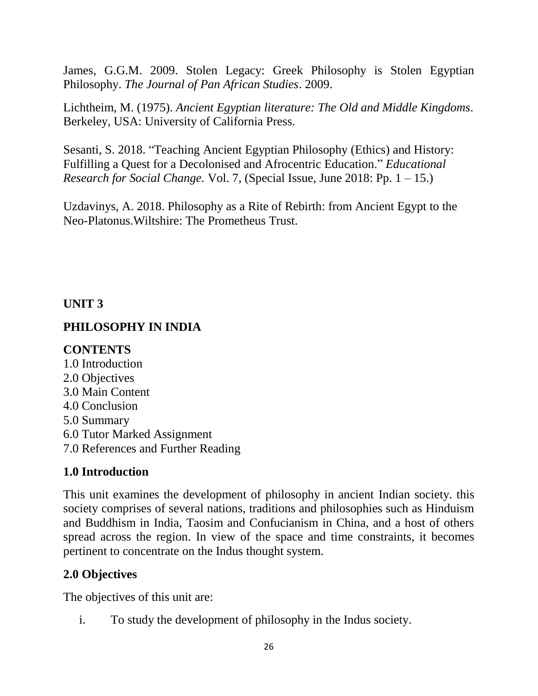James, G.G.M. 2009. Stolen Legacy: Greek Philosophy is Stolen Egyptian Philosophy. *The Journal of Pan African Studies*. 2009.

Lichtheim, M. (1975). *Ancient Egyptian literature: The Old and Middle Kingdoms*. Berkeley, USA: University of California Press.

Sesanti, S. 2018. "Teaching Ancient Egyptian Philosophy (Ethics) and History: Fulfilling a Quest for a Decolonised and Afrocentric Education." *Educational Research for Social Change.* Vol. 7, (Special Issue, June 2018: Pp. 1 – 15.)

Uzdavinys, A. 2018. Philosophy as a Rite of Rebirth: from Ancient Egypt to the Neo-Platonus.Wiltshire: The Prometheus Trust.

# **UNIT 3**

# **PHILOSOPHY IN INDIA**

# **CONTENTS**

1.0 Introduction 2.0 Objectives 3.0 Main Content 4.0 Conclusion 5.0 Summary 6.0 Tutor Marked Assignment 7.0 References and Further Reading

# **1.0 Introduction**

This unit examines the development of philosophy in ancient Indian society. this society comprises of several nations, traditions and philosophies such as Hinduism and Buddhism in India, Taosim and Confucianism in China, and a host of others spread across the region. In view of the space and time constraints, it becomes pertinent to concentrate on the Indus thought system.

# **2.0 Objectives**

The objectives of this unit are:

i. To study the development of philosophy in the Indus society.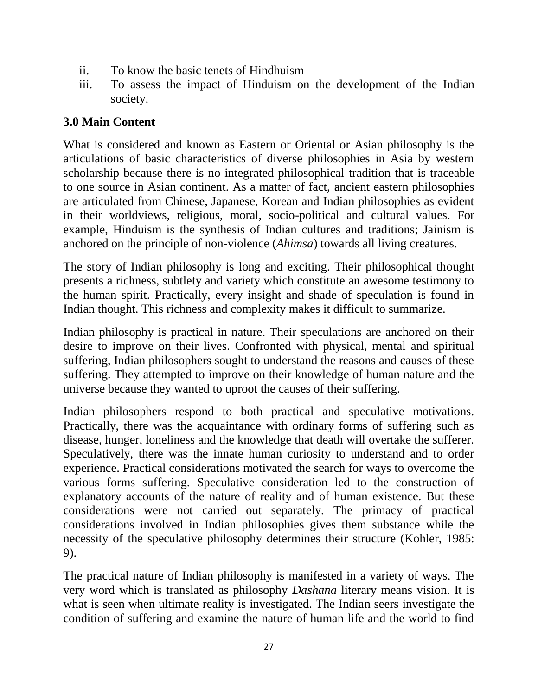- ii. To know the basic tenets of Hindhuism
- iii. To assess the impact of Hinduism on the development of the Indian society.

# **3.0 Main Content**

What is considered and known as Eastern or Oriental or Asian philosophy is the articulations of basic characteristics of diverse philosophies in Asia by western scholarship because there is no integrated philosophical tradition that is traceable to one source in Asian continent. As a matter of fact, ancient eastern philosophies are articulated from Chinese, Japanese, Korean and Indian philosophies as evident in their worldviews, religious, moral, socio-political and cultural values. For example, Hinduism is the synthesis of Indian cultures and traditions; Jainism is anchored on the principle of non-violence (*Ahimsa*) towards all living creatures.

The story of Indian philosophy is long and exciting. Their philosophical thought presents a richness, subtlety and variety which constitute an awesome testimony to the human spirit. Practically, every insight and shade of speculation is found in Indian thought. This richness and complexity makes it difficult to summarize.

Indian philosophy is practical in nature. Their speculations are anchored on their desire to improve on their lives. Confronted with physical, mental and spiritual suffering, Indian philosophers sought to understand the reasons and causes of these suffering. They attempted to improve on their knowledge of human nature and the universe because they wanted to uproot the causes of their suffering.

Indian philosophers respond to both practical and speculative motivations. Practically, there was the acquaintance with ordinary forms of suffering such as disease, hunger, loneliness and the knowledge that death will overtake the sufferer. Speculatively, there was the innate human curiosity to understand and to order experience. Practical considerations motivated the search for ways to overcome the various forms suffering. Speculative consideration led to the construction of explanatory accounts of the nature of reality and of human existence. But these considerations were not carried out separately. The primacy of practical considerations involved in Indian philosophies gives them substance while the necessity of the speculative philosophy determines their structure (Kohler, 1985: 9).

The practical nature of Indian philosophy is manifested in a variety of ways. The very word which is translated as philosophy *Dashana* literary means vision. It is what is seen when ultimate reality is investigated. The Indian seers investigate the condition of suffering and examine the nature of human life and the world to find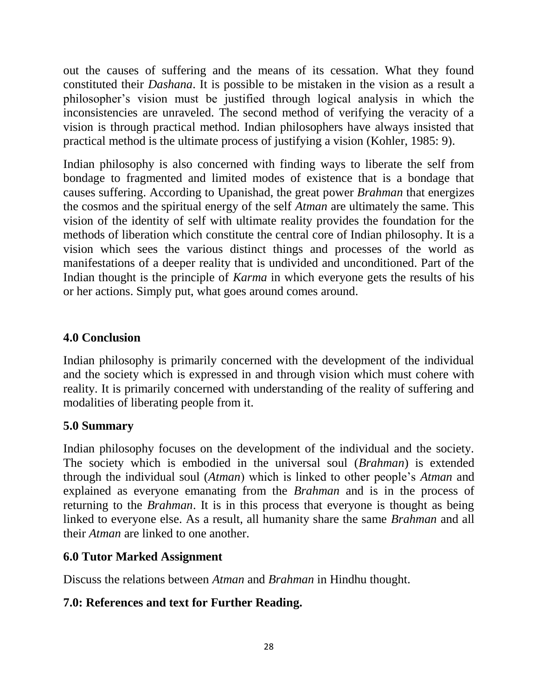out the causes of suffering and the means of its cessation. What they found constituted their *Dashana*. It is possible to be mistaken in the vision as a result a philosopher"s vision must be justified through logical analysis in which the inconsistencies are unraveled. The second method of verifying the veracity of a vision is through practical method. Indian philosophers have always insisted that practical method is the ultimate process of justifying a vision (Kohler, 1985: 9).

Indian philosophy is also concerned with finding ways to liberate the self from bondage to fragmented and limited modes of existence that is a bondage that causes suffering. According to Upanishad, the great power *Brahman* that energizes the cosmos and the spiritual energy of the self *Atman* are ultimately the same. This vision of the identity of self with ultimate reality provides the foundation for the methods of liberation which constitute the central core of Indian philosophy. It is a vision which sees the various distinct things and processes of the world as manifestations of a deeper reality that is undivided and unconditioned. Part of the Indian thought is the principle of *Karma* in which everyone gets the results of his or her actions. Simply put, what goes around comes around.

# **4.0 Conclusion**

Indian philosophy is primarily concerned with the development of the individual and the society which is expressed in and through vision which must cohere with reality. It is primarily concerned with understanding of the reality of suffering and modalities of liberating people from it.

# **5.0 Summary**

Indian philosophy focuses on the development of the individual and the society. The society which is embodied in the universal soul (*Brahman*) is extended through the individual soul (*Atman*) which is linked to other people"s *Atman* and explained as everyone emanating from the *Brahman* and is in the process of returning to the *Brahman*. It is in this process that everyone is thought as being linked to everyone else. As a result, all humanity share the same *Brahman* and all their *Atman* are linked to one another.

# **6.0 Tutor Marked Assignment**

Discuss the relations between *Atman* and *Brahman* in Hindhu thought.

# **7.0: References and text for Further Reading.**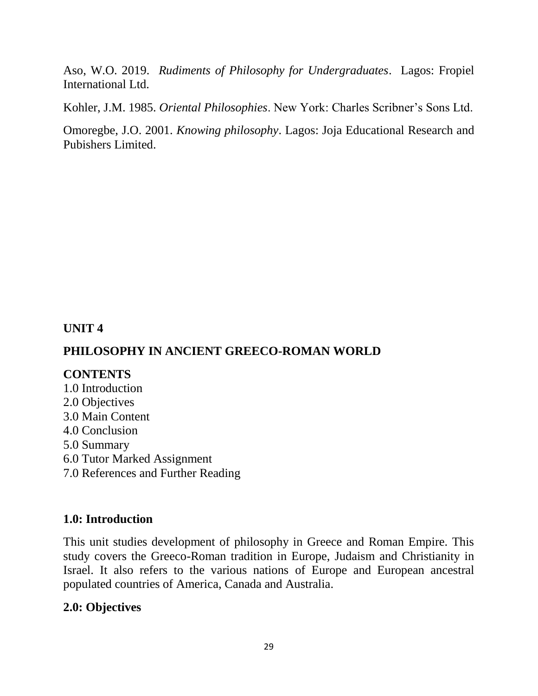Aso, W.O. 2019. *Rudiments of Philosophy for Undergraduates*. Lagos: Fropiel International Ltd.

Kohler, J.M. 1985. *Oriental Philosophies*. New York: Charles Scribner"s Sons Ltd.

Omoregbe, J.O. 2001. *Knowing philosophy*. Lagos: Joja Educational Research and Pubishers Limited.

# **UNIT 4**

# **PHILOSOPHY IN ANCIENT GREECO-ROMAN WORLD**

### **CONTENTS**

1.0 Introduction 2.0 Objectives 3.0 Main Content 4.0 Conclusion 5.0 Summary 6.0 Tutor Marked Assignment 7.0 References and Further Reading

### **1.0: Introduction**

This unit studies development of philosophy in Greece and Roman Empire. This study covers the Greeco-Roman tradition in Europe, Judaism and Christianity in Israel. It also refers to the various nations of Europe and European ancestral populated countries of America, Canada and Australia.

### **2.0: Objectives**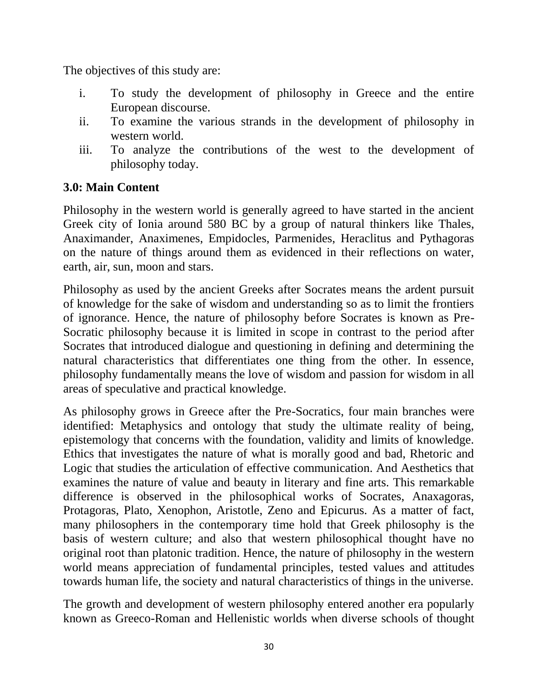The objectives of this study are:

- i. To study the development of philosophy in Greece and the entire European discourse.
- ii. To examine the various strands in the development of philosophy in western world.
- iii. To analyze the contributions of the west to the development of philosophy today.

# **3.0: Main Content**

Philosophy in the western world is generally agreed to have started in the ancient Greek city of Ionia around 580 BC by a group of natural thinkers like Thales, Anaximander, Anaximenes, Empidocles, Parmenides, Heraclitus and Pythagoras on the nature of things around them as evidenced in their reflections on water, earth, air, sun, moon and stars.

Philosophy as used by the ancient Greeks after Socrates means the ardent pursuit of knowledge for the sake of wisdom and understanding so as to limit the frontiers of ignorance. Hence, the nature of philosophy before Socrates is known as Pre-Socratic philosophy because it is limited in scope in contrast to the period after Socrates that introduced dialogue and questioning in defining and determining the natural characteristics that differentiates one thing from the other. In essence, philosophy fundamentally means the love of wisdom and passion for wisdom in all areas of speculative and practical knowledge.

As philosophy grows in Greece after the Pre-Socratics, four main branches were identified: Metaphysics and ontology that study the ultimate reality of being, epistemology that concerns with the foundation, validity and limits of knowledge. Ethics that investigates the nature of what is morally good and bad, Rhetoric and Logic that studies the articulation of effective communication. And Aesthetics that examines the nature of value and beauty in literary and fine arts. This remarkable difference is observed in the philosophical works of Socrates, Anaxagoras, Protagoras, Plato, Xenophon, Aristotle, Zeno and Epicurus. As a matter of fact, many philosophers in the contemporary time hold that Greek philosophy is the basis of western culture; and also that western philosophical thought have no original root than platonic tradition. Hence, the nature of philosophy in the western world means appreciation of fundamental principles, tested values and attitudes towards human life, the society and natural characteristics of things in the universe.

The growth and development of western philosophy entered another era popularly known as Greeco-Roman and Hellenistic worlds when diverse schools of thought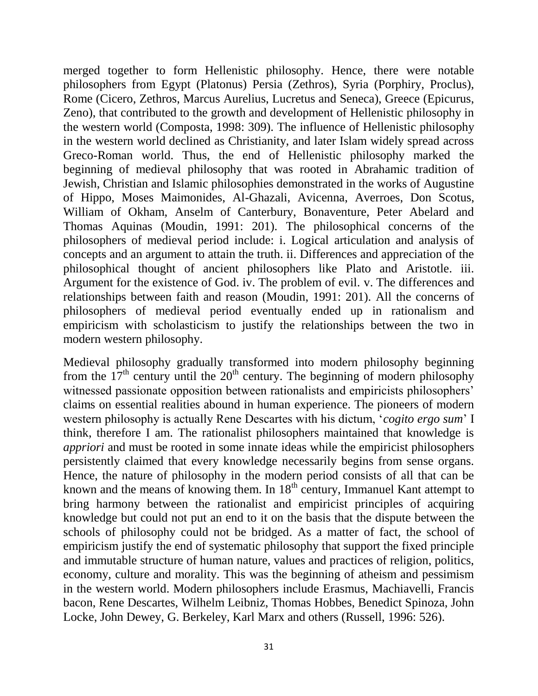merged together to form Hellenistic philosophy. Hence, there were notable philosophers from Egypt (Platonus) Persia (Zethros), Syria (Porphiry, Proclus), Rome (Cicero, Zethros, Marcus Aurelius, Lucretus and Seneca), Greece (Epicurus, Zeno), that contributed to the growth and development of Hellenistic philosophy in the western world (Composta, 1998: 309). The influence of Hellenistic philosophy in the western world declined as Christianity, and later Islam widely spread across Greco-Roman world. Thus, the end of Hellenistic philosophy marked the beginning of medieval philosophy that was rooted in Abrahamic tradition of Jewish, Christian and Islamic philosophies demonstrated in the works of Augustine of Hippo, Moses Maimonides, Al-Ghazali, Avicenna, Averroes, Don Scotus, William of Okham, Anselm of Canterbury, Bonaventure, Peter Abelard and Thomas Aquinas (Moudin, 1991: 201). The philosophical concerns of the philosophers of medieval period include: i. Logical articulation and analysis of concepts and an argument to attain the truth. ii. Differences and appreciation of the philosophical thought of ancient philosophers like Plato and Aristotle. iii. Argument for the existence of God. iv. The problem of evil. v. The differences and relationships between faith and reason (Moudin, 1991: 201). All the concerns of philosophers of medieval period eventually ended up in rationalism and empiricism with scholasticism to justify the relationships between the two in modern western philosophy.

Medieval philosophy gradually transformed into modern philosophy beginning from the  $17<sup>th</sup>$  century until the  $20<sup>th</sup>$  century. The beginning of modern philosophy witnessed passionate opposition between rationalists and empiricists philosophers' claims on essential realities abound in human experience. The pioneers of modern western philosophy is actually Rene Descartes with his dictum, "*cogito ergo sum*" I think, therefore I am. The rationalist philosophers maintained that knowledge is *appriori* and must be rooted in some innate ideas while the empiricist philosophers persistently claimed that every knowledge necessarily begins from sense organs. Hence, the nature of philosophy in the modern period consists of all that can be known and the means of knowing them. In  $18<sup>th</sup>$  century, Immanuel Kant attempt to bring harmony between the rationalist and empiricist principles of acquiring knowledge but could not put an end to it on the basis that the dispute between the schools of philosophy could not be bridged. As a matter of fact, the school of empiricism justify the end of systematic philosophy that support the fixed principle and immutable structure of human nature, values and practices of religion, politics, economy, culture and morality. This was the beginning of atheism and pessimism in the western world. Modern philosophers include Erasmus, Machiavelli, Francis bacon, Rene Descartes, Wilhelm Leibniz, Thomas Hobbes, Benedict Spinoza, John Locke, John Dewey, G. Berkeley, Karl Marx and others (Russell, 1996: 526).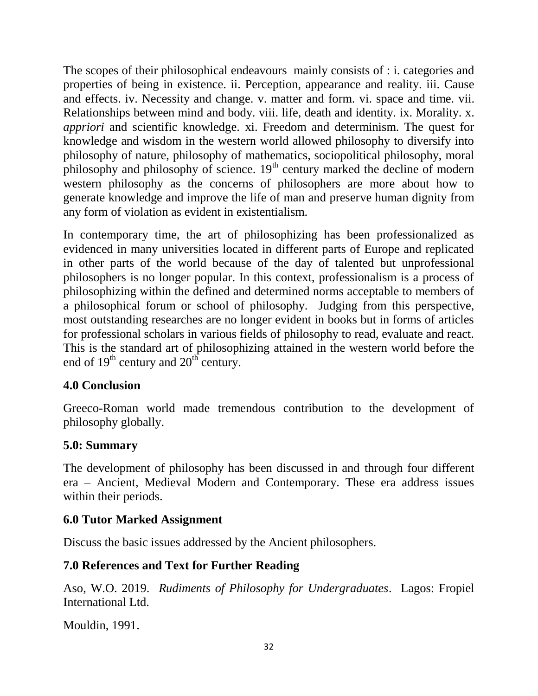The scopes of their philosophical endeavours mainly consists of : i. categories and properties of being in existence. ii. Perception, appearance and reality. iii. Cause and effects. iv. Necessity and change. v. matter and form. vi. space and time. vii. Relationships between mind and body. viii. life, death and identity. ix. Morality. x. *appriori* and scientific knowledge. xi. Freedom and determinism. The quest for knowledge and wisdom in the western world allowed philosophy to diversify into philosophy of nature, philosophy of mathematics, sociopolitical philosophy, moral philosophy and philosophy of science.  $19<sup>th</sup>$  century marked the decline of modern western philosophy as the concerns of philosophers are more about how to generate knowledge and improve the life of man and preserve human dignity from any form of violation as evident in existentialism.

In contemporary time, the art of philosophizing has been professionalized as evidenced in many universities located in different parts of Europe and replicated in other parts of the world because of the day of talented but unprofessional philosophers is no longer popular. In this context, professionalism is a process of philosophizing within the defined and determined norms acceptable to members of a philosophical forum or school of philosophy. Judging from this perspective, most outstanding researches are no longer evident in books but in forms of articles for professional scholars in various fields of philosophy to read, evaluate and react. This is the standard art of philosophizing attained in the western world before the end of  $19<sup>th</sup>$  century and  $20<sup>th</sup>$  century.

# **4.0 Conclusion**

Greeco-Roman world made tremendous contribution to the development of philosophy globally.

### **5.0: Summary**

The development of philosophy has been discussed in and through four different era – Ancient, Medieval Modern and Contemporary. These era address issues within their periods.

# **6.0 Tutor Marked Assignment**

Discuss the basic issues addressed by the Ancient philosophers.

# **7.0 References and Text for Further Reading**

Aso, W.O. 2019. *Rudiments of Philosophy for Undergraduates*. Lagos: Fropiel International Ltd.

Mouldin, 1991.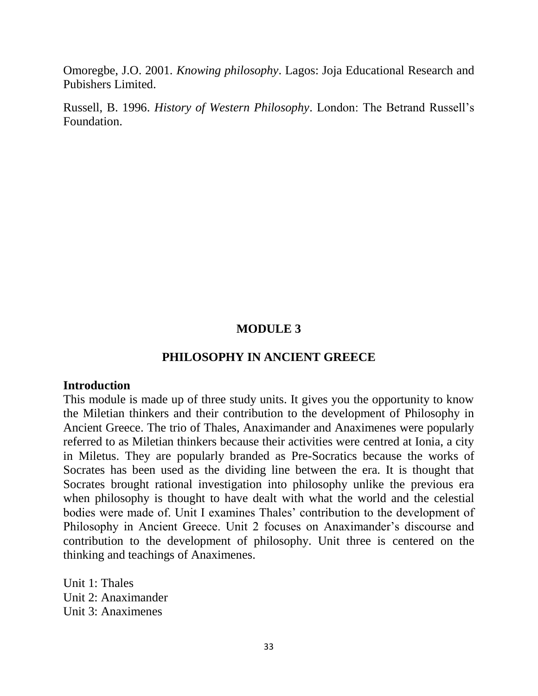Omoregbe, J.O. 2001. *Knowing philosophy*. Lagos: Joja Educational Research and Pubishers Limited.

Russell, B. 1996. *History of Western Philosophy*. London: The Betrand Russell"s Foundation.

#### **MODULE 3**

#### **PHILOSOPHY IN ANCIENT GREECE**

#### **Introduction**

This module is made up of three study units. It gives you the opportunity to know the Miletian thinkers and their contribution to the development of Philosophy in Ancient Greece. The trio of Thales, Anaximander and Anaximenes were popularly referred to as Miletian thinkers because their activities were centred at Ionia, a city in Miletus. They are popularly branded as Pre-Socratics because the works of Socrates has been used as the dividing line between the era. It is thought that Socrates brought rational investigation into philosophy unlike the previous era when philosophy is thought to have dealt with what the world and the celestial bodies were made of. Unit I examines Thales' contribution to the development of Philosophy in Ancient Greece. Unit 2 focuses on Anaximander's discourse and contribution to the development of philosophy. Unit three is centered on the thinking and teachings of Anaximenes.

Unit 1: Thales Unit 2: Anaximander Unit 3: Anaximenes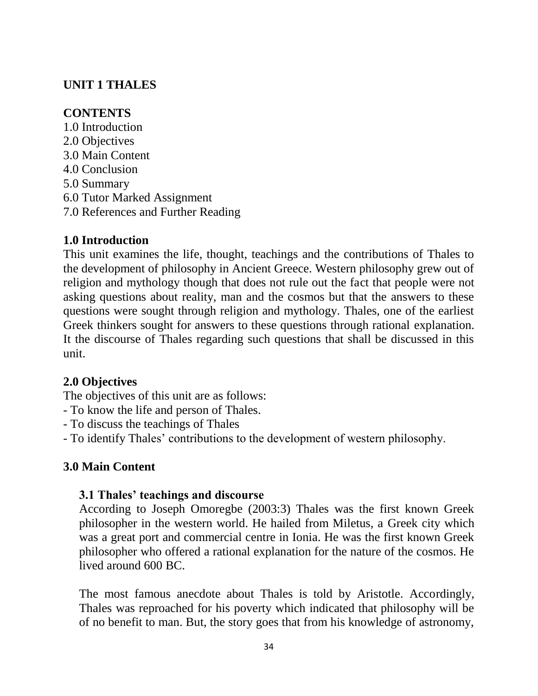# **UNIT 1 THALES**

# **CONTENTS**

1.0 Introduction 2.0 Objectives 3.0 Main Content 4.0 Conclusion 5.0 Summary 6.0 Tutor Marked Assignment 7.0 References and Further Reading

# **1.0 Introduction**

This unit examines the life, thought, teachings and the contributions of Thales to the development of philosophy in Ancient Greece. Western philosophy grew out of religion and mythology though that does not rule out the fact that people were not asking questions about reality, man and the cosmos but that the answers to these questions were sought through religion and mythology. Thales, one of the earliest Greek thinkers sought for answers to these questions through rational explanation. It the discourse of Thales regarding such questions that shall be discussed in this unit.

# **2.0 Objectives**

The objectives of this unit are as follows:

- To know the life and person of Thales.
- To discuss the teachings of Thales

- To identify Thales" contributions to the development of western philosophy.

# **3.0 Main Content**

### **3.1 Thales' teachings and discourse**

According to Joseph Omoregbe (2003:3) Thales was the first known Greek philosopher in the western world. He hailed from Miletus, a Greek city which was a great port and commercial centre in Ionia. He was the first known Greek philosopher who offered a rational explanation for the nature of the cosmos. He lived around 600 BC.

The most famous anecdote about Thales is told by Aristotle. Accordingly, Thales was reproached for his poverty which indicated that philosophy will be of no benefit to man. But, the story goes that from his knowledge of astronomy,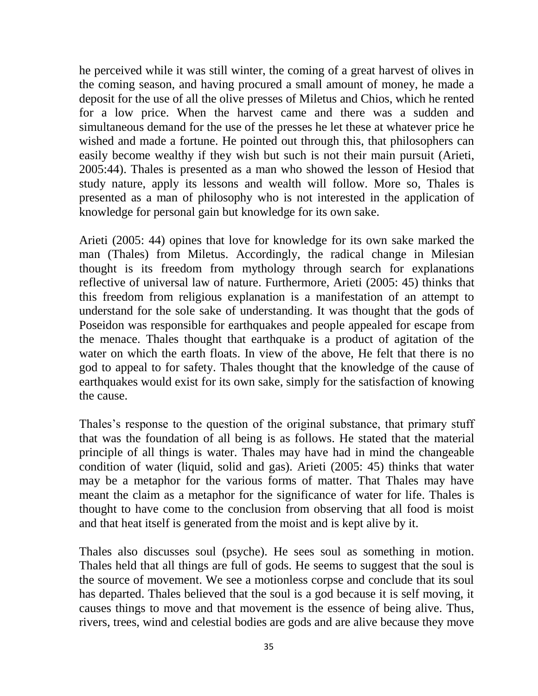he perceived while it was still winter, the coming of a great harvest of olives in the coming season, and having procured a small amount of money, he made a deposit for the use of all the olive presses of Miletus and Chios, which he rented for a low price. When the harvest came and there was a sudden and simultaneous demand for the use of the presses he let these at whatever price he wished and made a fortune. He pointed out through this, that philosophers can easily become wealthy if they wish but such is not their main pursuit (Arieti, 2005:44). Thales is presented as a man who showed the lesson of Hesiod that study nature, apply its lessons and wealth will follow. More so, Thales is presented as a man of philosophy who is not interested in the application of knowledge for personal gain but knowledge for its own sake.

Arieti (2005: 44) opines that love for knowledge for its own sake marked the man (Thales) from Miletus. Accordingly, the radical change in Milesian thought is its freedom from mythology through search for explanations reflective of universal law of nature. Furthermore, Arieti (2005: 45) thinks that this freedom from religious explanation is a manifestation of an attempt to understand for the sole sake of understanding. It was thought that the gods of Poseidon was responsible for earthquakes and people appealed for escape from the menace. Thales thought that earthquake is a product of agitation of the water on which the earth floats. In view of the above, He felt that there is no god to appeal to for safety. Thales thought that the knowledge of the cause of earthquakes would exist for its own sake, simply for the satisfaction of knowing the cause.

Thales's response to the question of the original substance, that primary stuff that was the foundation of all being is as follows. He stated that the material principle of all things is water. Thales may have had in mind the changeable condition of water (liquid, solid and gas). Arieti (2005: 45) thinks that water may be a metaphor for the various forms of matter. That Thales may have meant the claim as a metaphor for the significance of water for life. Thales is thought to have come to the conclusion from observing that all food is moist and that heat itself is generated from the moist and is kept alive by it.

Thales also discusses soul (psyche). He sees soul as something in motion. Thales held that all things are full of gods. He seems to suggest that the soul is the source of movement. We see a motionless corpse and conclude that its soul has departed. Thales believed that the soul is a god because it is self moving, it causes things to move and that movement is the essence of being alive. Thus, rivers, trees, wind and celestial bodies are gods and are alive because they move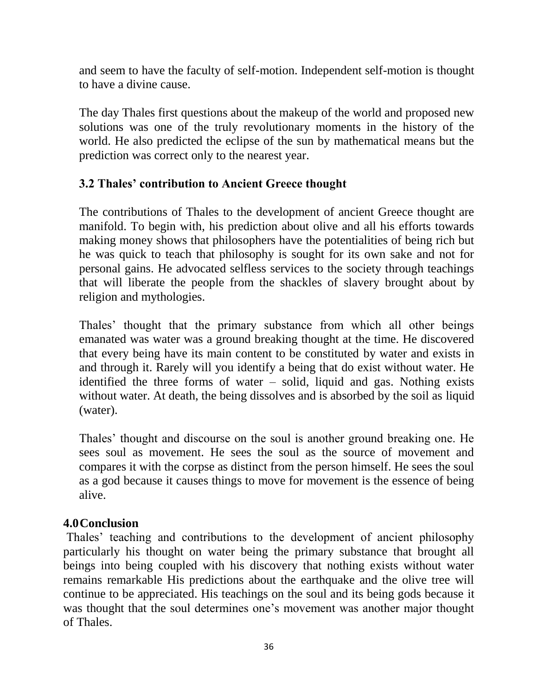and seem to have the faculty of self-motion. Independent self-motion is thought to have a divine cause.

The day Thales first questions about the makeup of the world and proposed new solutions was one of the truly revolutionary moments in the history of the world. He also predicted the eclipse of the sun by mathematical means but the prediction was correct only to the nearest year.

# **3.2 Thales' contribution to Ancient Greece thought**

The contributions of Thales to the development of ancient Greece thought are manifold. To begin with, his prediction about olive and all his efforts towards making money shows that philosophers have the potentialities of being rich but he was quick to teach that philosophy is sought for its own sake and not for personal gains. He advocated selfless services to the society through teachings that will liberate the people from the shackles of slavery brought about by religion and mythologies.

Thales' thought that the primary substance from which all other beings emanated was water was a ground breaking thought at the time. He discovered that every being have its main content to be constituted by water and exists in and through it. Rarely will you identify a being that do exist without water. He identified the three forms of water – solid, liquid and gas. Nothing exists without water. At death, the being dissolves and is absorbed by the soil as liquid (water).

Thales' thought and discourse on the soul is another ground breaking one. He sees soul as movement. He sees the soul as the source of movement and compares it with the corpse as distinct from the person himself. He sees the soul as a god because it causes things to move for movement is the essence of being alive.

### **4.0Conclusion**

Thales' teaching and contributions to the development of ancient philosophy particularly his thought on water being the primary substance that brought all beings into being coupled with his discovery that nothing exists without water remains remarkable His predictions about the earthquake and the olive tree will continue to be appreciated. His teachings on the soul and its being gods because it was thought that the soul determines one's movement was another major thought of Thales.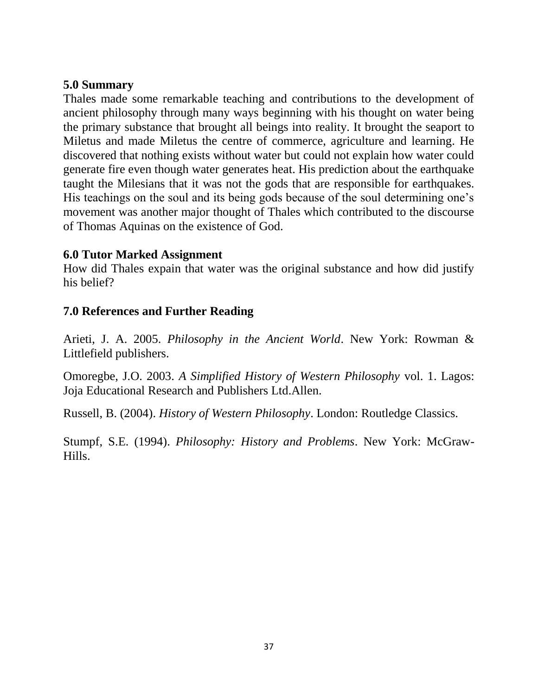#### **5.0 Summary**

Thales made some remarkable teaching and contributions to the development of ancient philosophy through many ways beginning with his thought on water being the primary substance that brought all beings into reality. It brought the seaport to Miletus and made Miletus the centre of commerce, agriculture and learning. He discovered that nothing exists without water but could not explain how water could generate fire even though water generates heat. His prediction about the earthquake taught the Milesians that it was not the gods that are responsible for earthquakes. His teachings on the soul and its being gods because of the soul determining one's movement was another major thought of Thales which contributed to the discourse of Thomas Aquinas on the existence of God.

### **6.0 Tutor Marked Assignment**

How did Thales expain that water was the original substance and how did justify his belief?

# **7.0 References and Further Reading**

Arieti, J. A. 2005. *Philosophy in the Ancient World*. New York: Rowman & Littlefield publishers.

Omoregbe, J.O. 2003. *A Simplified History of Western Philosophy* vol. 1. Lagos: Joja Educational Research and Publishers Ltd.Allen.

Russell, B. (2004). *History of Western Philosophy*. London: Routledge Classics.

Stumpf, S.E. (1994). *Philosophy: History and Problems*. New York: McGraw-Hills.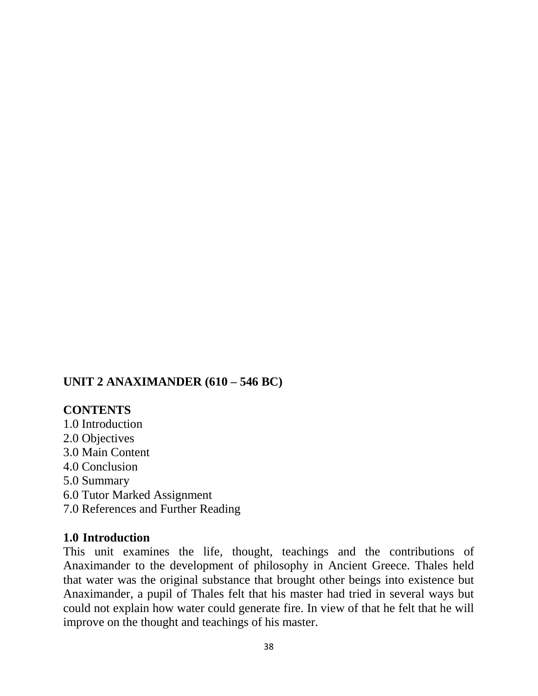#### **UNIT 2 ANAXIMANDER (610 – 546 BC)**

#### **CONTENTS**

1.0 Introduction 2.0 Objectives 3.0 Main Content 4.0 Conclusion 5.0 Summary 6.0 Tutor Marked Assignment 7.0 References and Further Reading

#### **1.0 Introduction**

This unit examines the life, thought, teachings and the contributions of Anaximander to the development of philosophy in Ancient Greece. Thales held that water was the original substance that brought other beings into existence but Anaximander, a pupil of Thales felt that his master had tried in several ways but could not explain how water could generate fire. In view of that he felt that he will improve on the thought and teachings of his master.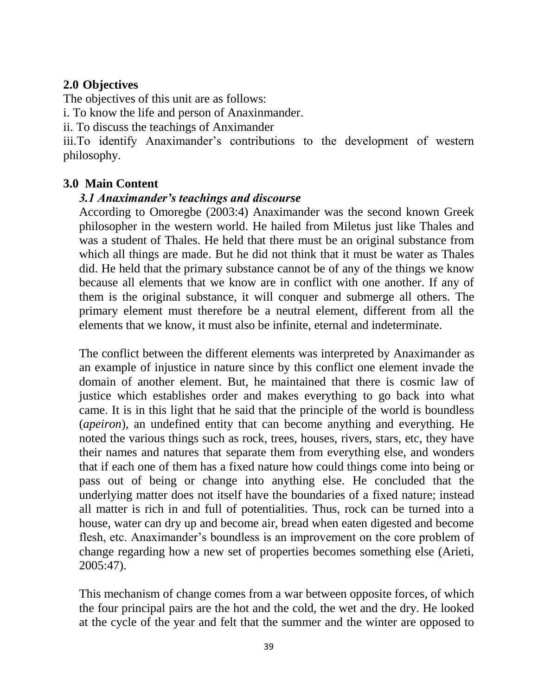#### **2.0 Objectives**

The objectives of this unit are as follows:

i. To know the life and person of Anaxinmander.

ii. To discuss the teachings of Anximander

iii.To identify Anaximander's contributions to the development of western philosophy.

# **3.0 Main Content**

### *3.1 Anaximander's teachings and discourse*

According to Omoregbe (2003:4) Anaximander was the second known Greek philosopher in the western world. He hailed from Miletus just like Thales and was a student of Thales. He held that there must be an original substance from which all things are made. But he did not think that it must be water as Thales did. He held that the primary substance cannot be of any of the things we know because all elements that we know are in conflict with one another. If any of them is the original substance, it will conquer and submerge all others. The primary element must therefore be a neutral element, different from all the elements that we know, it must also be infinite, eternal and indeterminate.

The conflict between the different elements was interpreted by Anaximander as an example of injustice in nature since by this conflict one element invade the domain of another element. But, he maintained that there is cosmic law of justice which establishes order and makes everything to go back into what came. It is in this light that he said that the principle of the world is boundless (*apeiron*), an undefined entity that can become anything and everything. He noted the various things such as rock, trees, houses, rivers, stars, etc, they have their names and natures that separate them from everything else, and wonders that if each one of them has a fixed nature how could things come into being or pass out of being or change into anything else. He concluded that the underlying matter does not itself have the boundaries of a fixed nature; instead all matter is rich in and full of potentialities. Thus, rock can be turned into a house, water can dry up and become air, bread when eaten digested and become flesh, etc. Anaximander's boundless is an improvement on the core problem of change regarding how a new set of properties becomes something else (Arieti, 2005:47).

This mechanism of change comes from a war between opposite forces, of which the four principal pairs are the hot and the cold, the wet and the dry. He looked at the cycle of the year and felt that the summer and the winter are opposed to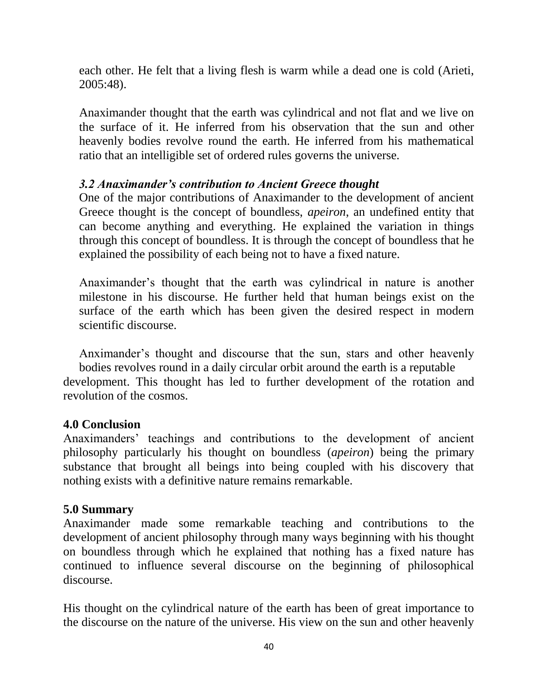each other. He felt that a living flesh is warm while a dead one is cold (Arieti, 2005:48).

Anaximander thought that the earth was cylindrical and not flat and we live on the surface of it. He inferred from his observation that the sun and other heavenly bodies revolve round the earth. He inferred from his mathematical ratio that an intelligible set of ordered rules governs the universe.

### *3.2 Anaximander's contribution to Ancient Greece thought*

One of the major contributions of Anaximander to the development of ancient Greece thought is the concept of boundless, *apeiron*, an undefined entity that can become anything and everything. He explained the variation in things through this concept of boundless. It is through the concept of boundless that he explained the possibility of each being not to have a fixed nature.

Anaximander"s thought that the earth was cylindrical in nature is another milestone in his discourse. He further held that human beings exist on the surface of the earth which has been given the desired respect in modern scientific discourse.

Anximander"s thought and discourse that the sun, stars and other heavenly bodies revolves round in a daily circular orbit around the earth is a reputable development. This thought has led to further development of the rotation and revolution of the cosmos.

#### **4.0 Conclusion**

Anaximanders" teachings and contributions to the development of ancient philosophy particularly his thought on boundless (*apeiron*) being the primary substance that brought all beings into being coupled with his discovery that nothing exists with a definitive nature remains remarkable.

# **5.0 Summary**

Anaximander made some remarkable teaching and contributions to the development of ancient philosophy through many ways beginning with his thought on boundless through which he explained that nothing has a fixed nature has continued to influence several discourse on the beginning of philosophical discourse.

His thought on the cylindrical nature of the earth has been of great importance to the discourse on the nature of the universe. His view on the sun and other heavenly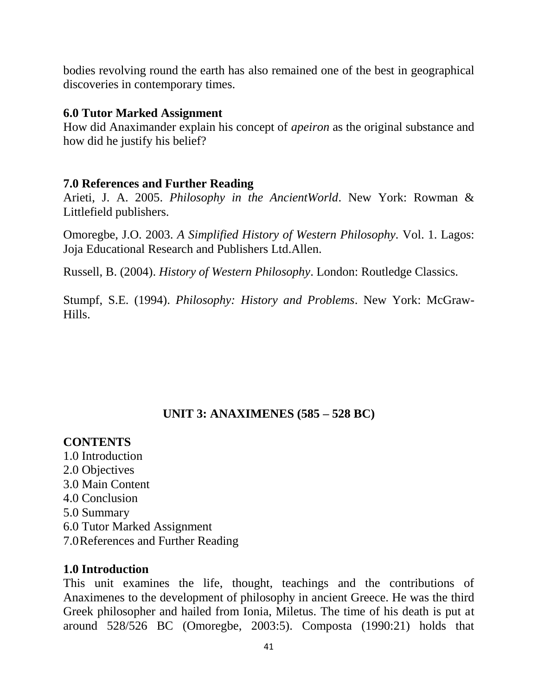bodies revolving round the earth has also remained one of the best in geographical discoveries in contemporary times.

#### **6.0 Tutor Marked Assignment**

How did Anaximander explain his concept of *apeiron* as the original substance and how did he justify his belief?

#### **7.0 References and Further Reading**

Arieti, J. A. 2005. *Philosophy in the AncientWorld*. New York: Rowman & Littlefield publishers.

Omoregbe, J.O. 2003. *A Simplified History of Western Philosophy.* Vol. 1. Lagos: Joja Educational Research and Publishers Ltd.Allen.

Russell, B. (2004). *History of Western Philosophy*. London: Routledge Classics.

Stumpf, S.E. (1994). *Philosophy: History and Problems*. New York: McGraw-Hills.

#### **UNIT 3: ANAXIMENES (585 – 528 BC)**

#### **CONTENTS**

1.0 Introduction 2.0 Objectives 3.0 Main Content 4.0 Conclusion 5.0 Summary 6.0 Tutor Marked Assignment 7.0References and Further Reading

#### **1.0 Introduction**

This unit examines the life, thought, teachings and the contributions of Anaximenes to the development of philosophy in ancient Greece. He was the third Greek philosopher and hailed from Ionia, Miletus. The time of his death is put at around 528/526 BC (Omoregbe, 2003:5). Composta (1990:21) holds that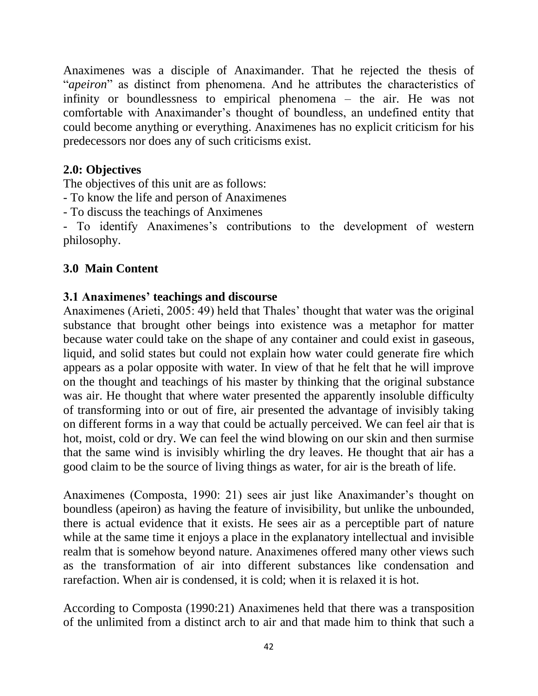Anaximenes was a disciple of Anaximander. That he rejected the thesis of "*apeiron*" as distinct from phenomena. And he attributes the characteristics of infinity or boundlessness to empirical phenomena – the air. He was not comfortable with Anaximander"s thought of boundless, an undefined entity that could become anything or everything. Anaximenes has no explicit criticism for his predecessors nor does any of such criticisms exist.

### **2.0: Objectives**

The objectives of this unit are as follows:

- To know the life and person of Anaximenes

- To discuss the teachings of Anximenes

- To identify Anaximenes"s contributions to the development of western philosophy.

# **3.0 Main Content**

# **3.1 Anaximenes' teachings and discourse**

Anaximenes (Arieti, 2005: 49) held that Thales" thought that water was the original substance that brought other beings into existence was a metaphor for matter because water could take on the shape of any container and could exist in gaseous, liquid, and solid states but could not explain how water could generate fire which appears as a polar opposite with water. In view of that he felt that he will improve on the thought and teachings of his master by thinking that the original substance was air. He thought that where water presented the apparently insoluble difficulty of transforming into or out of fire, air presented the advantage of invisibly taking on different forms in a way that could be actually perceived. We can feel air that is hot, moist, cold or dry. We can feel the wind blowing on our skin and then surmise that the same wind is invisibly whirling the dry leaves. He thought that air has a good claim to be the source of living things as water, for air is the breath of life.

Anaximenes (Composta, 1990: 21) sees air just like Anaximander's thought on boundless (apeiron) as having the feature of invisibility, but unlike the unbounded, there is actual evidence that it exists. He sees air as a perceptible part of nature while at the same time it enjoys a place in the explanatory intellectual and invisible realm that is somehow beyond nature. Anaximenes offered many other views such as the transformation of air into different substances like condensation and rarefaction. When air is condensed, it is cold; when it is relaxed it is hot.

According to Composta (1990:21) Anaximenes held that there was a transposition of the unlimited from a distinct arch to air and that made him to think that such a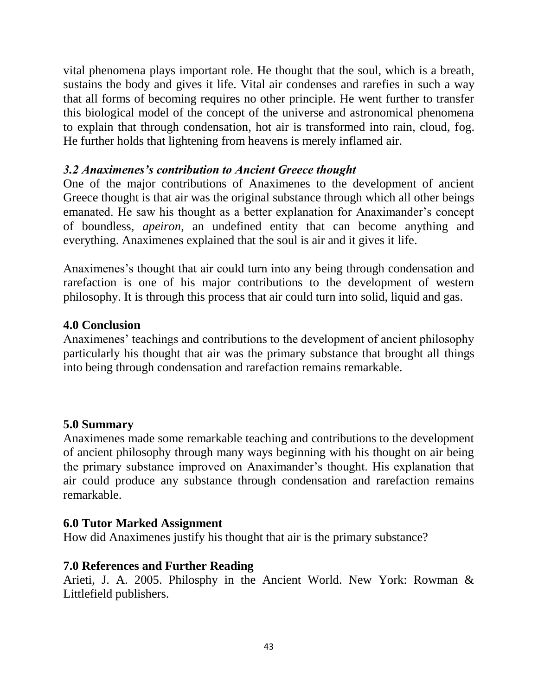vital phenomena plays important role. He thought that the soul, which is a breath, sustains the body and gives it life. Vital air condenses and rarefies in such a way that all forms of becoming requires no other principle. He went further to transfer this biological model of the concept of the universe and astronomical phenomena to explain that through condensation, hot air is transformed into rain, cloud, fog. He further holds that lightening from heavens is merely inflamed air.

### *3.2 Anaximenes's contribution to Ancient Greece thought*

One of the major contributions of Anaximenes to the development of ancient Greece thought is that air was the original substance through which all other beings emanated. He saw his thought as a better explanation for Anaximander's concept of boundless, *apeiron*, an undefined entity that can become anything and everything. Anaximenes explained that the soul is air and it gives it life.

Anaximenes's thought that air could turn into any being through condensation and rarefaction is one of his major contributions to the development of western philosophy. It is through this process that air could turn into solid, liquid and gas.

### **4.0 Conclusion**

Anaximenes' teachings and contributions to the development of ancient philosophy particularly his thought that air was the primary substance that brought all things into being through condensation and rarefaction remains remarkable.

#### **5.0 Summary**

Anaximenes made some remarkable teaching and contributions to the development of ancient philosophy through many ways beginning with his thought on air being the primary substance improved on Anaximander"s thought. His explanation that air could produce any substance through condensation and rarefaction remains remarkable.

#### **6.0 Tutor Marked Assignment**

How did Anaximenes justify his thought that air is the primary substance?

#### **7.0 References and Further Reading**

Arieti, J. A. 2005. Philosphy in the Ancient World. New York: Rowman & Littlefield publishers.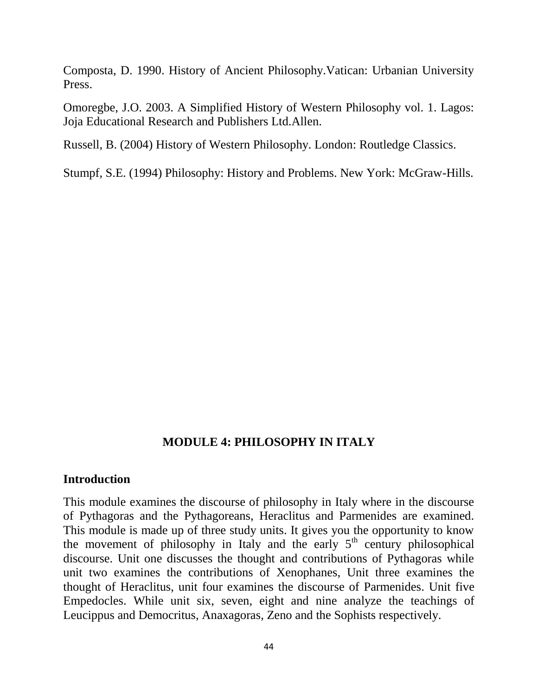Composta, D. 1990. History of Ancient Philosophy.Vatican: Urbanian University Press.

Omoregbe, J.O. 2003. A Simplified History of Western Philosophy vol. 1. Lagos: Joja Educational Research and Publishers Ltd.Allen.

Russell, B. (2004) History of Western Philosophy. London: Routledge Classics.

Stumpf, S.E. (1994) Philosophy: History and Problems. New York: McGraw-Hills.

#### **MODULE 4: PHILOSOPHY IN ITALY**

#### **Introduction**

This module examines the discourse of philosophy in Italy where in the discourse of Pythagoras and the Pythagoreans, Heraclitus and Parmenides are examined. This module is made up of three study units. It gives you the opportunity to know the movement of philosophy in Italy and the early  $5<sup>th</sup>$  century philosophical discourse. Unit one discusses the thought and contributions of Pythagoras while unit two examines the contributions of Xenophanes, Unit three examines the thought of Heraclitus, unit four examines the discourse of Parmenides. Unit five Empedocles. While unit six, seven, eight and nine analyze the teachings of Leucippus and Democritus, Anaxagoras, Zeno and the Sophists respectively.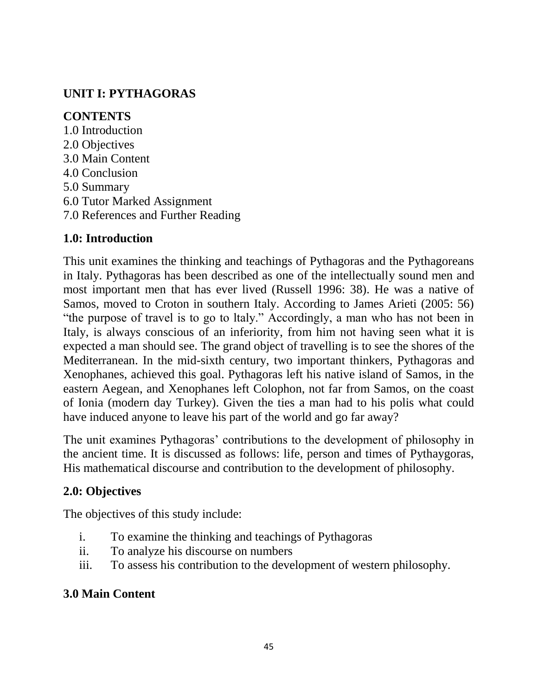# **UNIT I: PYTHAGORAS**

# **CONTENTS**

1.0 Introduction 2.0 Objectives 3.0 Main Content 4.0 Conclusion 5.0 Summary 6.0 Tutor Marked Assignment 7.0 References and Further Reading

# **1.0: Introduction**

This unit examines the thinking and teachings of Pythagoras and the Pythagoreans in Italy. Pythagoras has been described as one of the intellectually sound men and most important men that has ever lived (Russell 1996: 38). He was a native of Samos, moved to Croton in southern Italy. According to James Arieti (2005: 56) "the purpose of travel is to go to ltaly." Accordingly, a man who has not been in Italy, is always conscious of an inferiority, from him not having seen what it is expected a man should see. The grand object of travelling is to see the shores of the Mediterranean. In the mid-sixth century, two important thinkers, Pythagoras and Xenophanes, achieved this goal. Pythagoras left his native island of Samos, in the eastern Aegean, and Xenophanes left Colophon, not far from Samos, on the coast of Ionia (modern day Turkey). Given the ties a man had to his polis what could have induced anyone to leave his part of the world and go far away?

The unit examines Pythagoras' contributions to the development of philosophy in the ancient time. It is discussed as follows: life, person and times of Pythaygoras, His mathematical discourse and contribution to the development of philosophy.

# **2.0: Objectives**

The objectives of this study include:

- i. To examine the thinking and teachings of Pythagoras
- ii. To analyze his discourse on numbers
- iii. To assess his contribution to the development of western philosophy.

# **3.0 Main Content**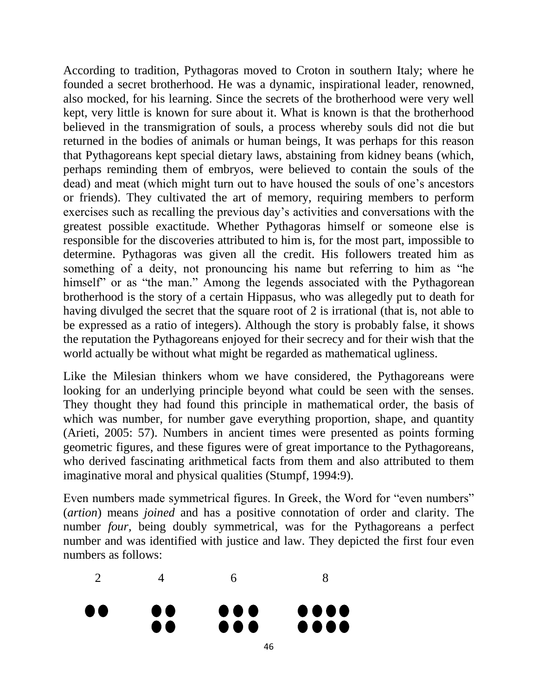According to tradition, Pythagoras moved to Croton in southern Italy; where he founded a secret brotherhood. He was a dynamic, inspirational leader, renowned, also mocked, for his learning. Since the secrets of the brotherhood were very well kept, very little is known for sure about it. What is known is that the brotherhood believed in the transmigration of souls, a process whereby souls did not die but returned in the bodies of animals or human beings, It was perhaps for this reason that Pythagoreans kept special dietary laws, abstaining from kidney beans (which, perhaps reminding them of embryos, were believed to contain the souls of the dead) and meat (which might turn out to have housed the souls of one"s ancestors or friends). They cultivated the art of memory, requiring members to perform exercises such as recalling the previous day"s activities and conversations with the greatest possible exactitude. Whether Pythagoras himself or someone else is responsible for the discoveries attributed to him is, for the most part, impossible to determine. Pythagoras was given all the credit. His followers treated him as something of a deity, not pronouncing his name but referring to him as "he himself" or as "the man." Among the legends associated with the Pythagorean brotherhood is the story of a certain Hippasus, who was allegedly put to death for having divulged the secret that the square root of 2 is irrational (that is, not able to be expressed as a ratio of integers). Although the story is probably false, it shows the reputation the Pythagoreans enjoyed for their secrecy and for their wish that the world actually be without what might be regarded as mathematical ugliness.

Like the Milesian thinkers whom we have considered, the Pythagoreans were looking for an underlying principle beyond what could be seen with the senses. They thought they had found this principle in mathematical order, the basis of which was number, for number gave everything proportion, shape, and quantity (Arieti, 2005: 57). Numbers in ancient times were presented as points forming geometric figures, and these figures were of great importance to the Pythagoreans, who derived fascinating arithmetical facts from them and also attributed to them imaginative moral and physical qualities (Stumpf, 1994:9).

Even numbers made symmetrical figures. In Greek, the Word for "even numbers" (*artion*) means *joined* and has a positive connotation of order and clarity. The number *four*, being doubly symmetrical, was for the Pythagoreans a perfect number and was identified with justice and law. They depicted the first four even numbers as follows:

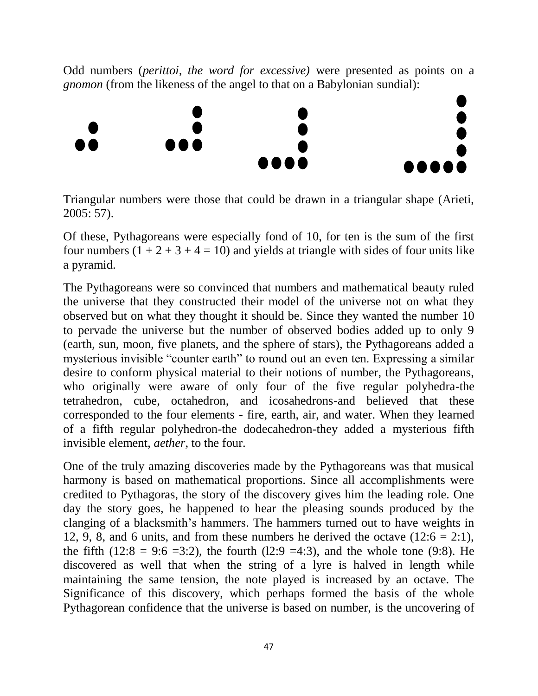Odd numbers (*perittoi, the word for excessive)* were presented as points on a *gnomon* (from the likeness of the angel to that on a Babylonian sundial):



Triangular numbers were those that could be drawn in a triangular shape (Arieti, 2005: 57).

Of these, Pythagoreans were especially fond of 10, for ten is the sum of the first four numbers  $(1 + 2 + 3 + 4 = 10)$  and yields at triangle with sides of four units like a pyramid.

The Pythagoreans were so convinced that numbers and mathematical beauty ruled the universe that they constructed their model of the universe not on what they observed but on what they thought it should be. Since they wanted the number 10 to pervade the universe but the number of observed bodies added up to only 9 (earth, sun, moon, five planets, and the sphere of stars), the Pythagoreans added a mysterious invisible "counter earth" to round out an even ten. Expressing a similar desire to conform physical material to their notions of number, the Pythagoreans, who originally were aware of only four of the five regular polyhedra-the tetrahedron, cube, octahedron, and icosahedrons-and believed that these corresponded to the four elements - fire, earth, air, and water. When they learned of a fifth regular polyhedron-the dodecahedron-they added a mysterious fifth invisible element, *aether*, to the four.

One of the truly amazing discoveries made by the Pythagoreans was that musical harmony is based on mathematical proportions. Since all accomplishments were credited to Pythagoras, the story of the discovery gives him the leading role. One day the story goes, he happened to hear the pleasing sounds produced by the clanging of a blacksmith"s hammers. The hammers turned out to have weights in 12, 9, 8, and 6 units, and from these numbers he derived the octave  $(12.6 = 2.1)$ , the fifth (12:8 = 9:6 =3:2), the fourth (12:9 =4:3), and the whole tone (9:8). He discovered as well that when the string of a lyre is halved in length while maintaining the same tension, the note played is increased by an octave. The Significance of this discovery, which perhaps formed the basis of the whole Pythagorean confidence that the universe is based on number, is the uncovering of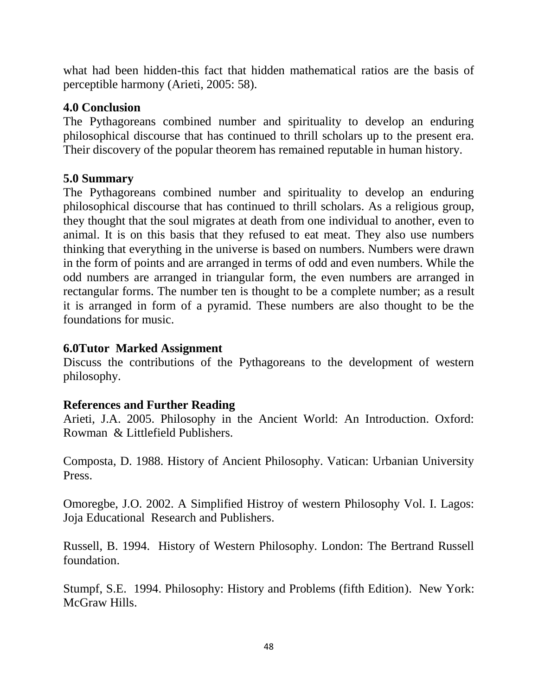what had been hidden-this fact that hidden mathematical ratios are the basis of perceptible harmony (Arieti, 2005: 58).

#### **4.0 Conclusion**

The Pythagoreans combined number and spirituality to develop an enduring philosophical discourse that has continued to thrill scholars up to the present era. Their discovery of the popular theorem has remained reputable in human history.

#### **5.0 Summary**

The Pythagoreans combined number and spirituality to develop an enduring philosophical discourse that has continued to thrill scholars. As a religious group, they thought that the soul migrates at death from one individual to another, even to animal. It is on this basis that they refused to eat meat. They also use numbers thinking that everything in the universe is based on numbers. Numbers were drawn in the form of points and are arranged in terms of odd and even numbers. While the odd numbers are arranged in triangular form, the even numbers are arranged in rectangular forms. The number ten is thought to be a complete number; as a result it is arranged in form of a pyramid. These numbers are also thought to be the foundations for music.

#### **6.0Tutor Marked Assignment**

Discuss the contributions of the Pythagoreans to the development of western philosophy.

#### **References and Further Reading**

Arieti, J.A. 2005. Philosophy in the Ancient World: An Introduction. Oxford: Rowman & Littlefield Publishers.

Composta, D. 1988. History of Ancient Philosophy. Vatican: Urbanian University Press.

Omoregbe, J.O. 2002. A Simplified Histroy of western Philosophy Vol. I. Lagos: Joja Educational Research and Publishers.

Russell, B. 1994. History of Western Philosophy. London: The Bertrand Russell foundation.

Stumpf, S.E. 1994. Philosophy: History and Problems (fifth Edition). New York: McGraw Hills.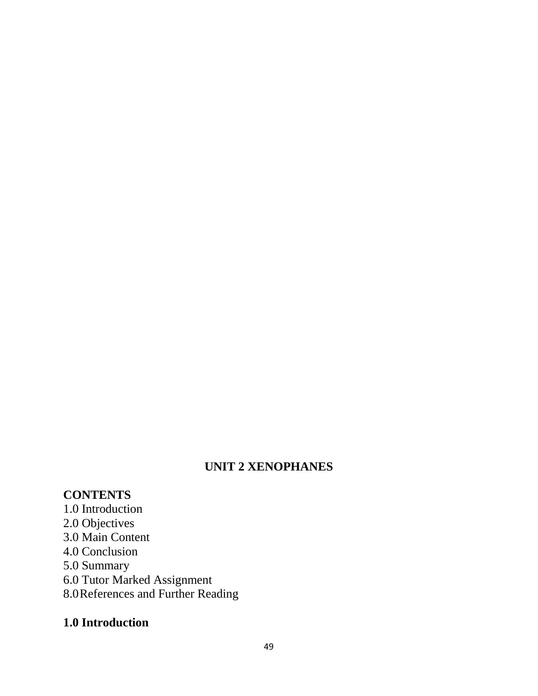# **UNIT 2 XENOPHANES**

# **CONTENTS**

- 1.0 Introduction
- 2.0 Objectives
- 3.0 Main Content
- 4.0 Conclusion
- 5.0 Summary
- 6.0 Tutor Marked Assignment
- 8.0References and Further Reading

# **1.0 Introduction**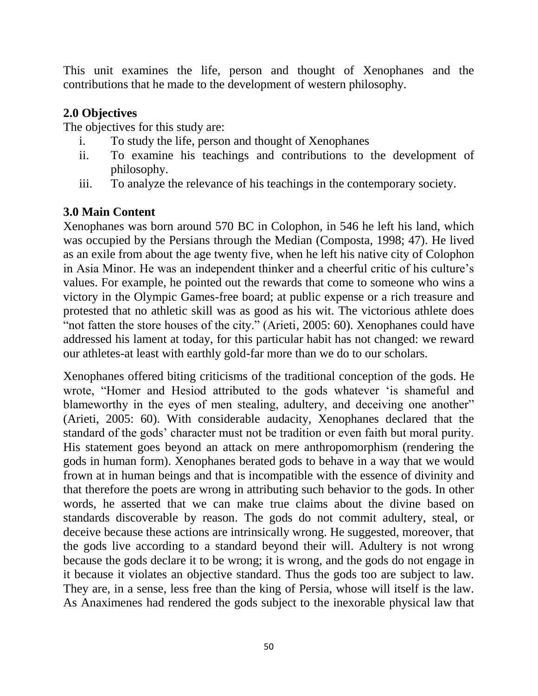This unit examines the life, person and thought of Xenophanes and the contributions that he made to the development of western philosophy.

### **2.0 Objectives**

The objectives for this study are:

- i. To study the life, person and thought of Xenophanes
- ii. To examine his teachings and contributions to the development of philosophy.
- iii. To analyze the relevance of his teachings in the contemporary society.

# **3.0 Main Content**

Xenophanes was born around 570 BC in Colophon, in 546 he left his land, which was occupied by the Persians through the Median (Composta, 1998; 47). He lived as an exile from about the age twenty five, when he left his native city of Colophon in Asia Minor. He was an independent thinker and a cheerful critic of his culture"s values. For example, he pointed out the rewards that come to someone who wins a victory in the Olympic Games-free board; at public expense or a rich treasure and protested that no athletic skill was as good as his wit. The victorious athlete does "not fatten the store houses of the city." (Arieti, 2005: 60). Xenophanes could have addressed his lament at today, for this particular habit has not changed: we reward our athletes-at least with earthly gold-far more than we do to our scholars.

Xenophanes offered biting criticisms of the traditional conception of the gods. He wrote, "Homer and Hesiod attributed to the gods whatever "is shameful and blameworthy in the eyes of men stealing, adultery, and deceiving one another" (Arieti, 2005: 60). With considerable audacity, Xenophanes declared that the standard of the gods" character must not be tradition or even faith but moral purity. His statement goes beyond an attack on mere anthropomorphism (rendering the gods in human form). Xenophanes berated gods to behave in a way that we would frown at in human beings and that is incompatible with the essence of divinity and that therefore the poets are wrong in attributing such behavior to the gods. In other words, he asserted that we can make true claims about the divine based on standards discoverable by reason. The gods do not commit adultery, steal, or deceive because these actions are intrinsically wrong. He suggested, moreover, that the gods live according to a standard beyond their will. Adultery is not wrong because the gods declare it to be wrong; it is wrong, and the gods do not engage in it because it violates an objective standard. Thus the gods too are subject to law. They are, in a sense, less free than the king of Persia, whose will itself is the law. As Anaximenes had rendered the gods subject to the inexorable physical law that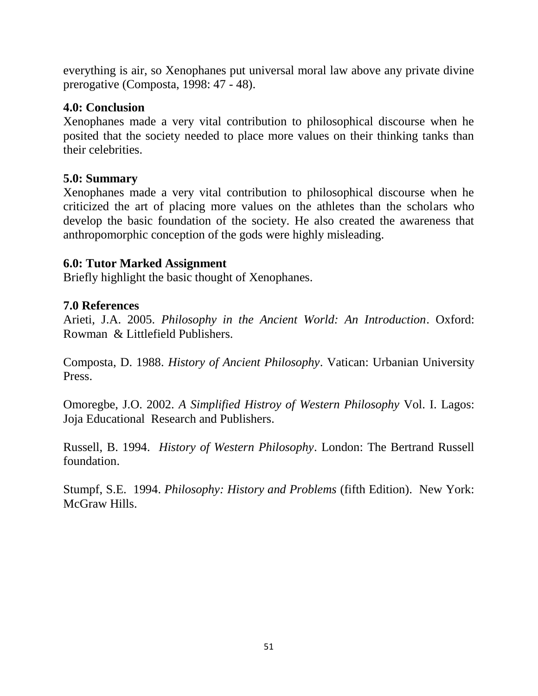everything is air, so Xenophanes put universal moral law above any private divine prerogative (Composta, 1998: 47 - 48).

### **4.0: Conclusion**

Xenophanes made a very vital contribution to philosophical discourse when he posited that the society needed to place more values on their thinking tanks than their celebrities.

#### **5.0: Summary**

Xenophanes made a very vital contribution to philosophical discourse when he criticized the art of placing more values on the athletes than the scholars who develop the basic foundation of the society. He also created the awareness that anthropomorphic conception of the gods were highly misleading.

### **6.0: Tutor Marked Assignment**

Briefly highlight the basic thought of Xenophanes.

### **7.0 References**

Arieti, J.A. 2005. *Philosophy in the Ancient World: An Introduction*. Oxford: Rowman & Littlefield Publishers.

Composta, D. 1988. *History of Ancient Philosophy*. Vatican: Urbanian University Press.

Omoregbe, J.O. 2002. *A Simplified Histroy of Western Philosophy* Vol. I. Lagos: Joja Educational Research and Publishers.

Russell, B. 1994. *History of Western Philosophy*. London: The Bertrand Russell foundation.

Stumpf, S.E. 1994. *Philosophy: History and Problems* (fifth Edition). New York: McGraw Hills.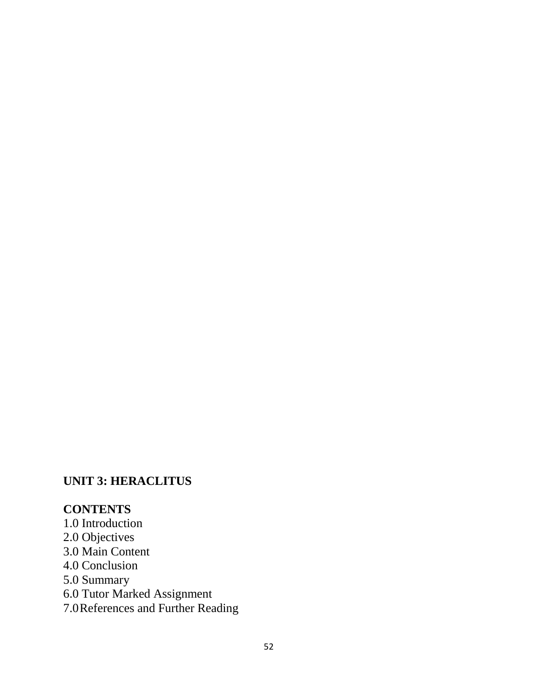# **UNIT 3: HERACLITUS**

### **CONTENTS**

- 1.0 Introduction
- 2.0 Objectives
- 3.0 Main Content
- 4.0 Conclusion
- 5.0 Summary
- 6.0 Tutor Marked Assignment
- 7.0References and Further Reading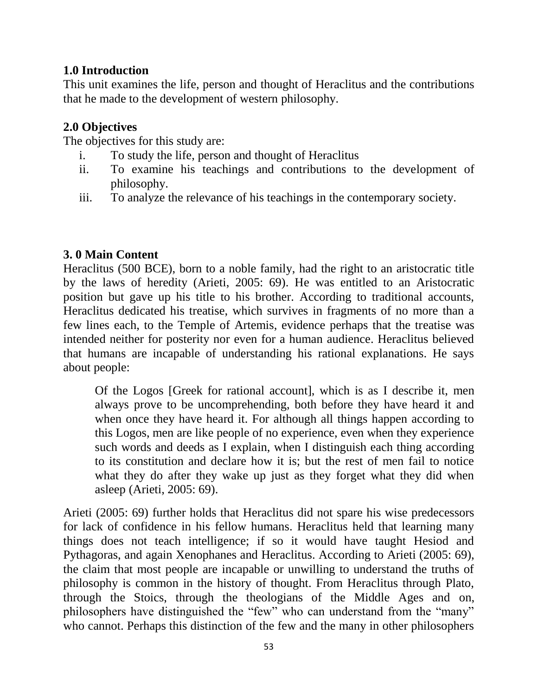# **1.0 Introduction**

This unit examines the life, person and thought of Heraclitus and the contributions that he made to the development of western philosophy.

# **2.0 Objectives**

The objectives for this study are:

- i. To study the life, person and thought of Heraclitus
- ii. To examine his teachings and contributions to the development of philosophy.
- iii. To analyze the relevance of his teachings in the contemporary society.

# **3. 0 Main Content**

Heraclitus (500 BCE), born to a noble family, had the right to an aristocratic title by the laws of heredity (Arieti, 2005: 69). He was entitled to an Aristocratic position but gave up his title to his brother. According to traditional accounts, Heraclitus dedicated his treatise, which survives in fragments of no more than a few lines each, to the Temple of Artemis, evidence perhaps that the treatise was intended neither for posterity nor even for a human audience. Heraclitus believed that humans are incapable of understanding his rational explanations. He says about people:

Of the Logos [Greek for rational account], which is as I describe it, men always prove to be uncomprehending, both before they have heard it and when once they have heard it. For although all things happen according to this Logos, men are like people of no experience, even when they experience such words and deeds as I explain, when I distinguish each thing according to its constitution and declare how it is; but the rest of men fail to notice what they do after they wake up just as they forget what they did when asleep (Arieti, 2005: 69).

Arieti (2005: 69) further holds that Heraclitus did not spare his wise predecessors for lack of confidence in his fellow humans. Heraclitus held that learning many things does not teach intelligence; if so it would have taught Hesiod and Pythagoras, and again Xenophanes and Heraclitus. According to Arieti (2005: 69), the claim that most people are incapable or unwilling to understand the truths of philosophy is common in the history of thought. From Heraclitus through Plato, through the Stoics, through the theologians of the Middle Ages and on, philosophers have distinguished the "few" who can understand from the "many" who cannot. Perhaps this distinction of the few and the many in other philosophers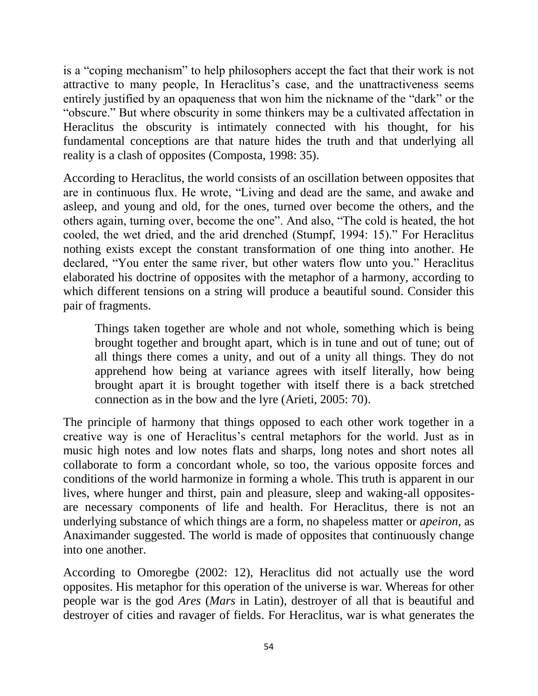is a "coping mechanism" to help philosophers accept the fact that their work is not attractive to many people, In Heraclitus's case, and the unattractiveness seems entirely justified by an opaqueness that won him the nickname of the "dark" or the "obscure." But where obscurity in some thinkers may be a cultivated affectation in Heraclitus the obscurity is intimately connected with his thought, for his fundamental conceptions are that nature hides the truth and that underlying all reality is a clash of opposites (Composta, 1998: 35).

According to Heraclitus, the world consists of an oscillation between opposites that are in continuous flux. He wrote, "Living and dead are the same, and awake and asleep, and young and old, for the ones, turned over become the others, and the others again, turning over, become the one". And also, "The cold is heated, the hot cooled, the wet dried, and the arid drenched (Stumpf, 1994: 15)." For Heraclitus nothing exists except the constant transformation of one thing into another. He declared, "You enter the same river, but other waters flow unto you." Heraclitus elaborated his doctrine of opposites with the metaphor of a harmony, according to which different tensions on a string will produce a beautiful sound. Consider this pair of fragments.

Things taken together are whole and not whole, something which is being brought together and brought apart, which is in tune and out of tune; out of all things there comes a unity, and out of a unity all things. They do not apprehend how being at variance agrees with itself literally, how being brought apart it is brought together with itself there is a back stretched connection as in the bow and the lyre (Arieti, 2005: 70).

The principle of harmony that things opposed to each other work together in a creative way is one of Heraclitus"s central metaphors for the world. Just as in music high notes and low notes flats and sharps, long notes and short notes all collaborate to form a concordant whole, so too, the various opposite forces and conditions of the world harmonize in forming a whole. This truth is apparent in our lives, where hunger and thirst, pain and pleasure, sleep and waking-all oppositesare necessary components of life and health. For Heraclitus, there is not an underlying substance of which things are a form, no shapeless matter or *apeiron*, as Anaximander suggested. The world is made of opposites that continuously change into one another.

According to Omoregbe (2002: 12), Heraclitus did not actually use the word opposites. His metaphor for this operation of the universe is war. Whereas for other people war is the god *Ares* (*Mars* in Latin), destroyer of all that is beautiful and destroyer of cities and ravager of fields. For Heraclitus, war is what generates the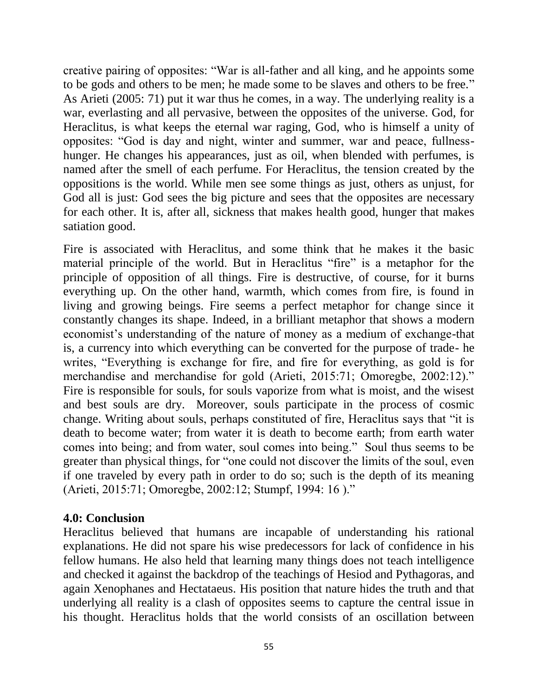creative pairing of opposites: "War is all-father and all king, and he appoints some to be gods and others to be men; he made some to be slaves and others to be free." As Arieti (2005: 71) put it war thus he comes, in a way. The underlying reality is a war, everlasting and all pervasive, between the opposites of the universe. God, for Heraclitus, is what keeps the eternal war raging, God, who is himself a unity of opposites: "God is day and night, winter and summer, war and peace, fullnesshunger. He changes his appearances, just as oil, when blended with perfumes, is named after the smell of each perfume. For Heraclitus, the tension created by the oppositions is the world. While men see some things as just, others as unjust, for God all is just: God sees the big picture and sees that the opposites are necessary for each other. It is, after all, sickness that makes health good, hunger that makes satiation good.

Fire is associated with Heraclitus, and some think that he makes it the basic material principle of the world. But in Heraclitus "fire" is a metaphor for the principle of opposition of all things. Fire is destructive, of course, for it burns everything up. On the other hand, warmth, which comes from fire, is found in living and growing beings. Fire seems a perfect metaphor for change since it constantly changes its shape. Indeed, in a brilliant metaphor that shows a modern economist's understanding of the nature of money as a medium of exchange-that is, a currency into which everything can be converted for the purpose of trade- he writes, "Everything is exchange for fire, and fire for everything, as gold is for merchandise and merchandise for gold (Arieti, 2015:71; Omoregbe, 2002:12)." Fire is responsible for souls, for souls vaporize from what is moist, and the wisest and best souls are dry. Moreover, souls participate in the process of cosmic change. Writing about souls, perhaps constituted of fire, Heraclitus says that "it is death to become water; from water it is death to become earth; from earth water comes into being; and from water, soul comes into being." Soul thus seems to be greater than physical things, for "one could not discover the limits of the soul, even if one traveled by every path in order to do so; such is the depth of its meaning (Arieti, 2015:71; Omoregbe, 2002:12; Stumpf, 1994: 16 )."

#### **4.0: Conclusion**

Heraclitus believed that humans are incapable of understanding his rational explanations. He did not spare his wise predecessors for lack of confidence in his fellow humans. He also held that learning many things does not teach intelligence and checked it against the backdrop of the teachings of Hesiod and Pythagoras, and again Xenophanes and Hectataeus. His position that nature hides the truth and that underlying all reality is a clash of opposites seems to capture the central issue in his thought. Heraclitus holds that the world consists of an oscillation between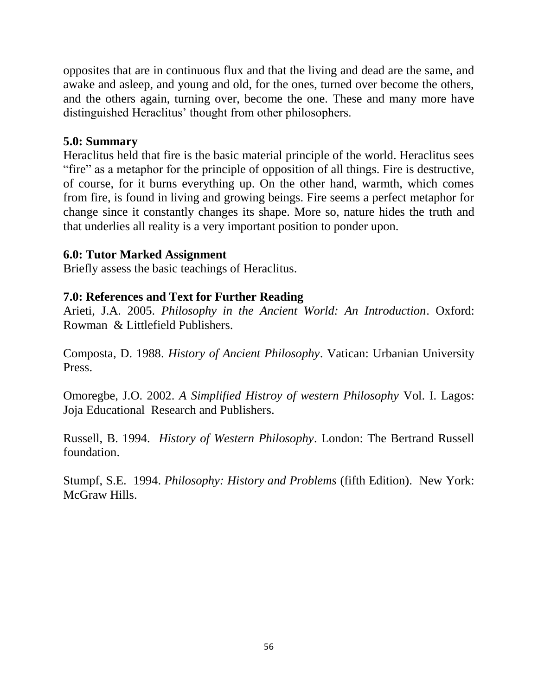opposites that are in continuous flux and that the living and dead are the same, and awake and asleep, and young and old, for the ones, turned over become the others, and the others again, turning over, become the one. These and many more have distinguished Heraclitus' thought from other philosophers.

#### **5.0: Summary**

Heraclitus held that fire is the basic material principle of the world. Heraclitus sees "fire" as a metaphor for the principle of opposition of all things. Fire is destructive, of course, for it burns everything up. On the other hand, warmth, which comes from fire, is found in living and growing beings. Fire seems a perfect metaphor for change since it constantly changes its shape. More so, nature hides the truth and that underlies all reality is a very important position to ponder upon.

#### **6.0: Tutor Marked Assignment**

Briefly assess the basic teachings of Heraclitus.

#### **7.0: References and Text for Further Reading**

Arieti, J.A. 2005. *Philosophy in the Ancient World: An Introduction*. Oxford: Rowman & Littlefield Publishers.

Composta, D. 1988. *History of Ancient Philosophy*. Vatican: Urbanian University Press.

Omoregbe, J.O. 2002. *A Simplified Histroy of western Philosophy* Vol. I. Lagos: Joja Educational Research and Publishers.

Russell, B. 1994. *History of Western Philosophy*. London: The Bertrand Russell foundation.

Stumpf, S.E. 1994. *Philosophy: History and Problems* (fifth Edition). New York: McGraw Hills.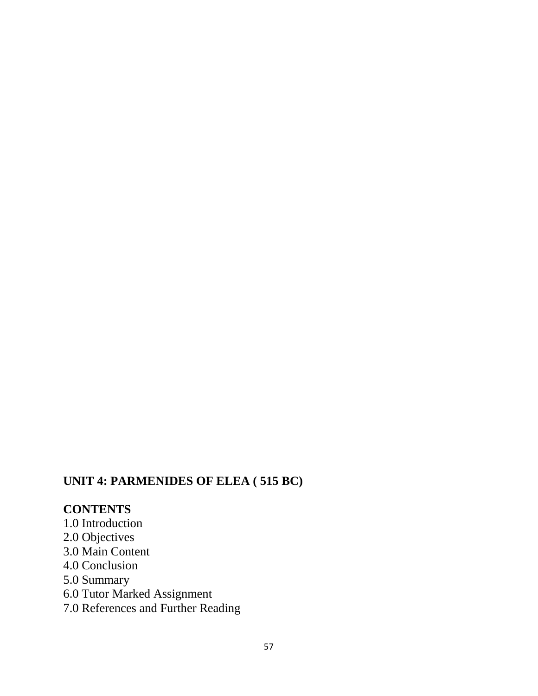# **UNIT 4: PARMENIDES OF ELEA ( 515 BC)**

# **CONTENTS**

- 1.0 Introduction
- 2.0 Objectives
- 3.0 Main Content
- 4.0 Conclusion
- 5.0 Summary
- 6.0 Tutor Marked Assignment
- 7.0 References and Further Reading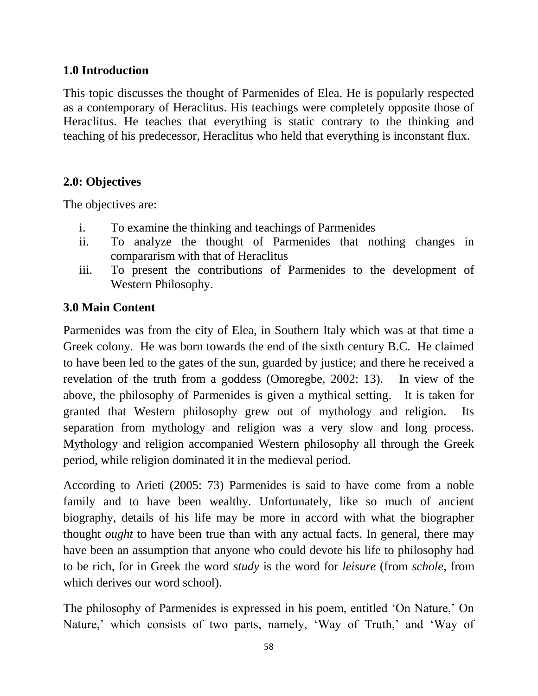### **1.0 Introduction**

This topic discusses the thought of Parmenides of Elea. He is popularly respected as a contemporary of Heraclitus. His teachings were completely opposite those of Heraclitus. He teaches that everything is static contrary to the thinking and teaching of his predecessor, Heraclitus who held that everything is inconstant flux.

# **2.0: Objectives**

The objectives are:

- i. To examine the thinking and teachings of Parmenides
- ii. To analyze the thought of Parmenides that nothing changes in compararism with that of Heraclitus
- iii. To present the contributions of Parmenides to the development of Western Philosophy.

# **3.0 Main Content**

Parmenides was from the city of Elea, in Southern Italy which was at that time a Greek colony. He was born towards the end of the sixth century B.C. He claimed to have been led to the gates of the sun, guarded by justice; and there he received a revelation of the truth from a goddess (Omoregbe, 2002: 13). In view of the above, the philosophy of Parmenides is given a mythical setting. It is taken for granted that Western philosophy grew out of mythology and religion. Its separation from mythology and religion was a very slow and long process. Mythology and religion accompanied Western philosophy all through the Greek period, while religion dominated it in the medieval period.

According to Arieti (2005: 73) Parmenides is said to have come from a noble family and to have been wealthy. Unfortunately, like so much of ancient biography, details of his life may be more in accord with what the biographer thought *ought* to have been true than with any actual facts. In general, there may have been an assumption that anyone who could devote his life to philosophy had to be rich, for in Greek the word *study* is the word for *leisure* (from *schole*, from which derives our word school).

The philosophy of Parmenides is expressed in his poem, entitled 'On Nature,' On Nature,' which consists of two parts, namely, 'Way of Truth,' and 'Way of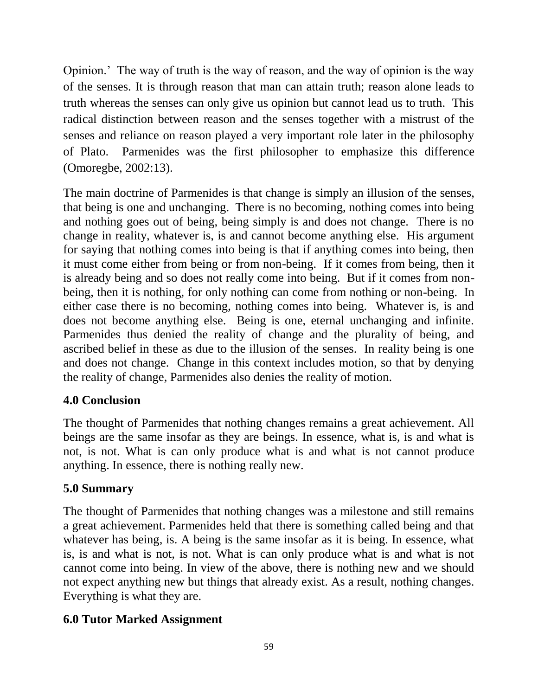Opinion." The way of truth is the way of reason, and the way of opinion is the way of the senses. It is through reason that man can attain truth; reason alone leads to truth whereas the senses can only give us opinion but cannot lead us to truth. This radical distinction between reason and the senses together with a mistrust of the senses and reliance on reason played a very important role later in the philosophy of Plato. Parmenides was the first philosopher to emphasize this difference (Omoregbe, 2002:13).

The main doctrine of Parmenides is that change is simply an illusion of the senses, that being is one and unchanging. There is no becoming, nothing comes into being and nothing goes out of being, being simply is and does not change. There is no change in reality, whatever is, is and cannot become anything else. His argument for saying that nothing comes into being is that if anything comes into being, then it must come either from being or from non-being. If it comes from being, then it is already being and so does not really come into being. But if it comes from nonbeing, then it is nothing, for only nothing can come from nothing or non-being. In either case there is no becoming, nothing comes into being. Whatever is, is and does not become anything else. Being is one, eternal unchanging and infinite. Parmenides thus denied the reality of change and the plurality of being, and ascribed belief in these as due to the illusion of the senses. In reality being is one and does not change. Change in this context includes motion, so that by denying the reality of change, Parmenides also denies the reality of motion.

# **4.0 Conclusion**

The thought of Parmenides that nothing changes remains a great achievement. All beings are the same insofar as they are beings. In essence, what is, is and what is not, is not. What is can only produce what is and what is not cannot produce anything. In essence, there is nothing really new.

# **5.0 Summary**

The thought of Parmenides that nothing changes was a milestone and still remains a great achievement. Parmenides held that there is something called being and that whatever has being, is. A being is the same insofar as it is being. In essence, what is, is and what is not, is not. What is can only produce what is and what is not cannot come into being. In view of the above, there is nothing new and we should not expect anything new but things that already exist. As a result, nothing changes. Everything is what they are.

# **6.0 Tutor Marked Assignment**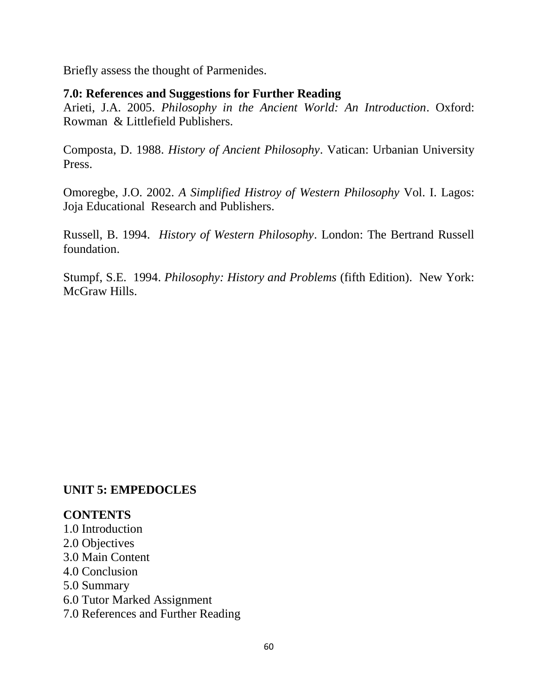Briefly assess the thought of Parmenides.

#### **7.0: References and Suggestions for Further Reading**

Arieti, J.A. 2005. *Philosophy in the Ancient World: An Introduction*. Oxford: Rowman & Littlefield Publishers.

Composta, D. 1988. *History of Ancient Philosophy*. Vatican: Urbanian University Press.

Omoregbe, J.O. 2002. *A Simplified Histroy of Western Philosophy* Vol. I. Lagos: Joja Educational Research and Publishers.

Russell, B. 1994. *History of Western Philosophy*. London: The Bertrand Russell foundation.

Stumpf, S.E. 1994. *Philosophy: History and Problems* (fifth Edition). New York: McGraw Hills.

#### **UNIT 5: EMPEDOCLES**

#### **CONTENTS**

1.0 Introduction 2.0 Objectives 3.0 Main Content 4.0 Conclusion 5.0 Summary 6.0 Tutor Marked Assignment 7.0 References and Further Reading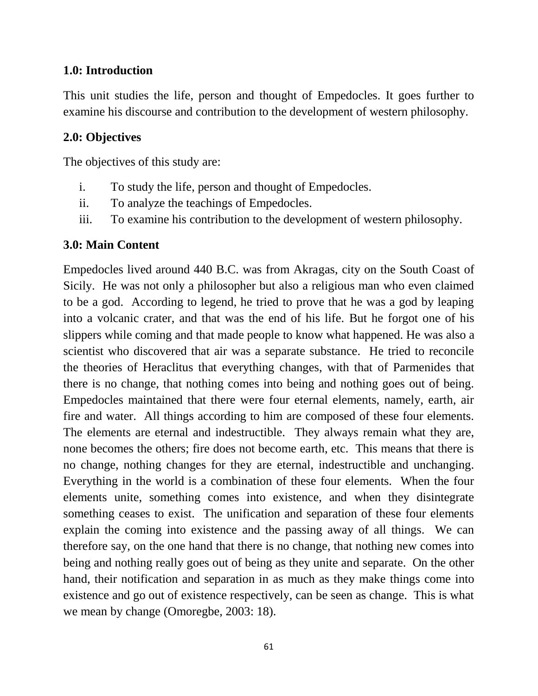#### **1.0: Introduction**

This unit studies the life, person and thought of Empedocles. It goes further to examine his discourse and contribution to the development of western philosophy.

### **2.0: Objectives**

The objectives of this study are:

- i. To study the life, person and thought of Empedocles.
- ii. To analyze the teachings of Empedocles.
- iii. To examine his contribution to the development of western philosophy.

### **3.0: Main Content**

Empedocles lived around 440 B.C. was from Akragas, city on the South Coast of Sicily. He was not only a philosopher but also a religious man who even claimed to be a god. According to legend, he tried to prove that he was a god by leaping into a volcanic crater, and that was the end of his life. But he forgot one of his slippers while coming and that made people to know what happened. He was also a scientist who discovered that air was a separate substance. He tried to reconcile the theories of Heraclitus that everything changes, with that of Parmenides that there is no change, that nothing comes into being and nothing goes out of being. Empedocles maintained that there were four eternal elements, namely, earth, air fire and water. All things according to him are composed of these four elements. The elements are eternal and indestructible. They always remain what they are, none becomes the others; fire does not become earth, etc. This means that there is no change, nothing changes for they are eternal, indestructible and unchanging. Everything in the world is a combination of these four elements. When the four elements unite, something comes into existence, and when they disintegrate something ceases to exist. The unification and separation of these four elements explain the coming into existence and the passing away of all things. We can therefore say, on the one hand that there is no change, that nothing new comes into being and nothing really goes out of being as they unite and separate. On the other hand, their notification and separation in as much as they make things come into existence and go out of existence respectively, can be seen as change. This is what we mean by change (Omoregbe, 2003: 18).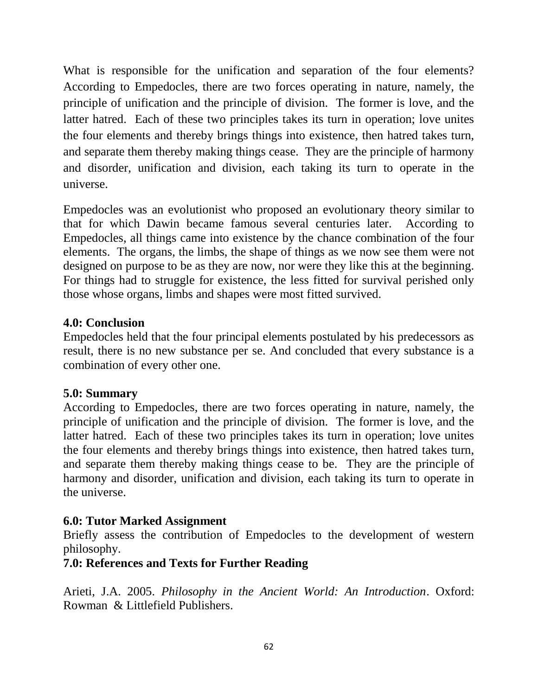What is responsible for the unification and separation of the four elements? According to Empedocles, there are two forces operating in nature, namely, the principle of unification and the principle of division. The former is love, and the latter hatred. Each of these two principles takes its turn in operation; love unites the four elements and thereby brings things into existence, then hatred takes turn, and separate them thereby making things cease. They are the principle of harmony and disorder, unification and division, each taking its turn to operate in the universe.

Empedocles was an evolutionist who proposed an evolutionary theory similar to that for which Dawin became famous several centuries later. According to Empedocles, all things came into existence by the chance combination of the four elements. The organs, the limbs, the shape of things as we now see them were not designed on purpose to be as they are now, nor were they like this at the beginning. For things had to struggle for existence, the less fitted for survival perished only those whose organs, limbs and shapes were most fitted survived.

### **4.0: Conclusion**

Empedocles held that the four principal elements postulated by his predecessors as result, there is no new substance per se. And concluded that every substance is a combination of every other one.

# **5.0: Summary**

According to Empedocles, there are two forces operating in nature, namely, the principle of unification and the principle of division. The former is love, and the latter hatred. Each of these two principles takes its turn in operation; love unites the four elements and thereby brings things into existence, then hatred takes turn, and separate them thereby making things cease to be. They are the principle of harmony and disorder, unification and division, each taking its turn to operate in the universe.

# **6.0: Tutor Marked Assignment**

Briefly assess the contribution of Empedocles to the development of western philosophy.

#### **7.0: References and Texts for Further Reading**

Arieti, J.A. 2005. *Philosophy in the Ancient World: An Introduction*. Oxford: Rowman & Littlefield Publishers.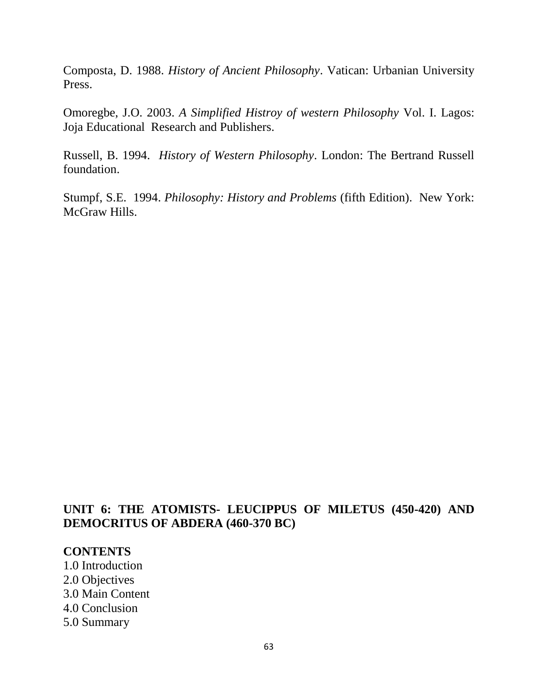Composta, D. 1988. *History of Ancient Philosophy*. Vatican: Urbanian University Press.

Omoregbe, J.O. 2003. *A Simplified Histroy of western Philosophy* Vol. I. Lagos: Joja Educational Research and Publishers.

Russell, B. 1994. *History of Western Philosophy*. London: The Bertrand Russell foundation.

Stumpf, S.E. 1994. *Philosophy: History and Problems* (fifth Edition). New York: McGraw Hills.

### **UNIT 6: THE ATOMISTS- LEUCIPPUS OF MILETUS (450-420) AND DEMOCRITUS OF ABDERA (460-370 BC)**

#### **CONTENTS**

- 1.0 Introduction
- 2.0 Objectives
- 3.0 Main Content
- 4.0 Conclusion
- 5.0 Summary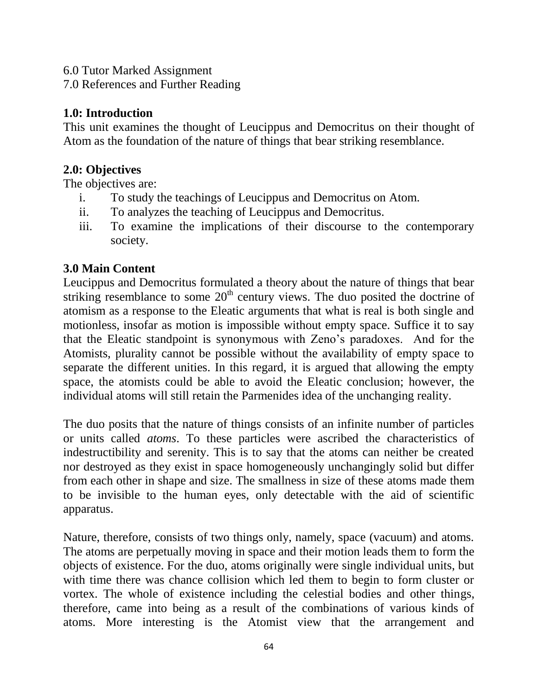6.0 Tutor Marked Assignment

7.0 References and Further Reading

### **1.0: Introduction**

This unit examines the thought of Leucippus and Democritus on their thought of Atom as the foundation of the nature of things that bear striking resemblance.

### **2.0: Objectives**

The objectives are:

- i. To study the teachings of Leucippus and Democritus on Atom.
- ii. To analyzes the teaching of Leucippus and Democritus.
- iii. To examine the implications of their discourse to the contemporary society.

# **3.0 Main Content**

Leucippus and Democritus formulated a theory about the nature of things that bear striking resemblance to some  $20<sup>th</sup>$  century views. The duo posited the doctrine of atomism as a response to the Eleatic arguments that what is real is both single and motionless, insofar as motion is impossible without empty space. Suffice it to say that the Eleatic standpoint is synonymous with Zeno"s paradoxes. And for the Atomists, plurality cannot be possible without the availability of empty space to separate the different unities. In this regard, it is argued that allowing the empty space, the atomists could be able to avoid the Eleatic conclusion; however, the individual atoms will still retain the Parmenides idea of the unchanging reality.

The duo posits that the nature of things consists of an infinite number of particles or units called *atoms*. To these particles were ascribed the characteristics of indestructibility and serenity. This is to say that the atoms can neither be created nor destroyed as they exist in space homogeneously unchangingly solid but differ from each other in shape and size. The smallness in size of these atoms made them to be invisible to the human eyes, only detectable with the aid of scientific apparatus.

Nature, therefore, consists of two things only, namely, space (vacuum) and atoms. The atoms are perpetually moving in space and their motion leads them to form the objects of existence. For the duo, atoms originally were single individual units, but with time there was chance collision which led them to begin to form cluster or vortex. The whole of existence including the celestial bodies and other things, therefore, came into being as a result of the combinations of various kinds of atoms. More interesting is the Atomist view that the arrangement and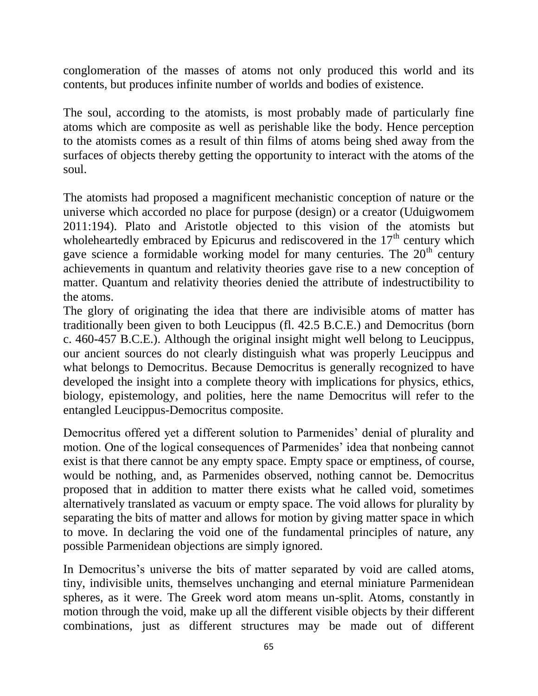conglomeration of the masses of atoms not only produced this world and its contents, but produces infinite number of worlds and bodies of existence.

The soul, according to the atomists, is most probably made of particularly fine atoms which are composite as well as perishable like the body. Hence perception to the atomists comes as a result of thin films of atoms being shed away from the surfaces of objects thereby getting the opportunity to interact with the atoms of the soul.

The atomists had proposed a magnificent mechanistic conception of nature or the universe which accorded no place for purpose (design) or a creator (Uduigwomem 2011:194). Plato and Aristotle objected to this vision of the atomists but wholeheartedly embraced by Epicurus and rediscovered in the  $17<sup>th</sup>$  century which gave science a formidable working model for many centuries. The  $20<sup>th</sup>$  century achievements in quantum and relativity theories gave rise to a new conception of matter. Quantum and relativity theories denied the attribute of indestructibility to the atoms.

The glory of originating the idea that there are indivisible atoms of matter has traditionally been given to both Leucippus (fl. 42.5 B.C.E.) and Democritus (born c. 460-457 B.C.E.). Although the original insight might well belong to Leucippus, our ancient sources do not clearly distinguish what was properly Leucippus and what belongs to Democritus. Because Democritus is generally recognized to have developed the insight into a complete theory with implications for physics, ethics, biology, epistemology, and polities, here the name Democritus will refer to the entangled Leucippus-Democritus composite.

Democritus offered yet a different solution to Parmenides' denial of plurality and motion. One of the logical consequences of Parmenides' idea that nonbeing cannot exist is that there cannot be any empty space. Empty space or emptiness, of course, would be nothing, and, as Parmenides observed, nothing cannot be. Democritus proposed that in addition to matter there exists what he called void, sometimes alternatively translated as vacuum or empty space. The void allows for plurality by separating the bits of matter and allows for motion by giving matter space in which to move. In declaring the void one of the fundamental principles of nature, any possible Parmenidean objections are simply ignored.

In Democritus's universe the bits of matter separated by void are called atoms, tiny, indivisible units, themselves unchanging and eternal miniature Parmenidean spheres, as it were. The Greek word atom means un-split. Atoms, constantly in motion through the void, make up all the different visible objects by their different combinations, just as different structures may be made out of different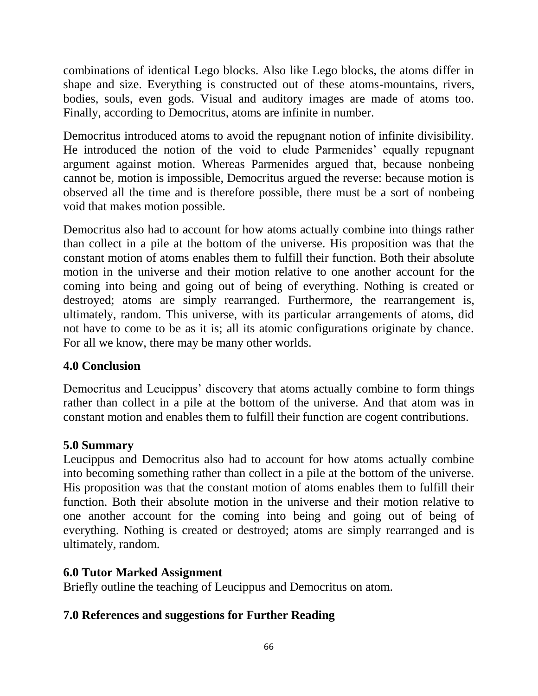combinations of identical Lego blocks. Also like Lego blocks, the atoms differ in shape and size. Everything is constructed out of these atoms-mountains, rivers, bodies, souls, even gods. Visual and auditory images are made of atoms too. Finally, according to Democritus, atoms are infinite in number.

Democritus introduced atoms to avoid the repugnant notion of infinite divisibility. He introduced the notion of the void to elude Parmenides' equally repugnant argument against motion. Whereas Parmenides argued that, because nonbeing cannot be, motion is impossible, Democritus argued the reverse: because motion is observed all the time and is therefore possible, there must be a sort of nonbeing void that makes motion possible.

Democritus also had to account for how atoms actually combine into things rather than collect in a pile at the bottom of the universe. His proposition was that the constant motion of atoms enables them to fulfill their function. Both their absolute motion in the universe and their motion relative to one another account for the coming into being and going out of being of everything. Nothing is created or destroyed; atoms are simply rearranged. Furthermore, the rearrangement is, ultimately, random. This universe, with its particular arrangements of atoms, did not have to come to be as it is; all its atomic configurations originate by chance. For all we know, there may be many other worlds.

# **4.0 Conclusion**

Democritus and Leucippus' discovery that atoms actually combine to form things rather than collect in a pile at the bottom of the universe. And that atom was in constant motion and enables them to fulfill their function are cogent contributions.

#### **5.0 Summary**

Leucippus and Democritus also had to account for how atoms actually combine into becoming something rather than collect in a pile at the bottom of the universe. His proposition was that the constant motion of atoms enables them to fulfill their function. Both their absolute motion in the universe and their motion relative to one another account for the coming into being and going out of being of everything. Nothing is created or destroyed; atoms are simply rearranged and is ultimately, random.

# **6.0 Tutor Marked Assignment**

Briefly outline the teaching of Leucippus and Democritus on atom.

# **7.0 References and suggestions for Further Reading**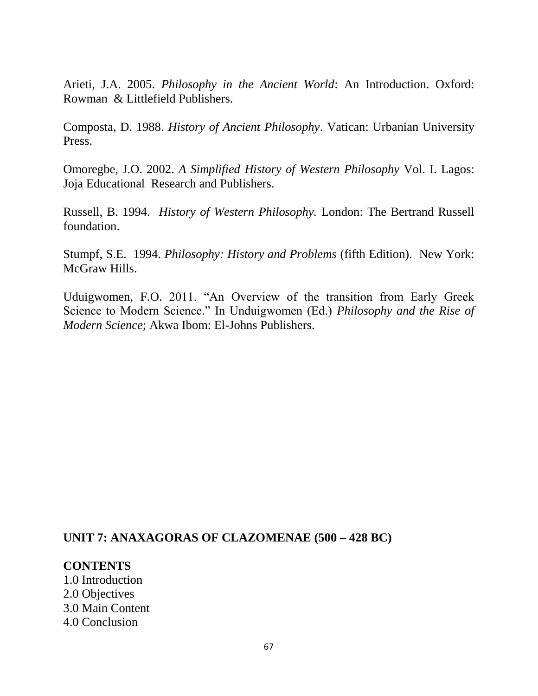Arieti, J.A. 2005. *Philosophy in the Ancient World*: An Introduction. Oxford: Rowman & Littlefield Publishers.

Composta, D. 1988. *History of Ancient Philosophy*. Vatican: Urbanian University Press.

Omoregbe, J.O. 2002. *A Simplified History of Western Philosophy* Vol. I. Lagos: Joja Educational Research and Publishers.

Russell, B. 1994. *History of Western Philosophy.* London: The Bertrand Russell foundation.

Stumpf, S.E. 1994. *Philosophy: History and Problems* (fifth Edition). New York: McGraw Hills.

Uduigwomen, F.O. 2011. "An Overview of the transition from Early Greek Science to Modern Science." In Unduigwomen (Ed.) *Philosophy and the Rise of Modern Science*; Akwa Ibom: El-Johns Publishers.

#### **UNIT 7: ANAXAGORAS OF CLAZOMENAE (500 – 428 BC)**

**CONTENTS** 1.0 Introduction 2.0 Objectives 3.0 Main Content 4.0 Conclusion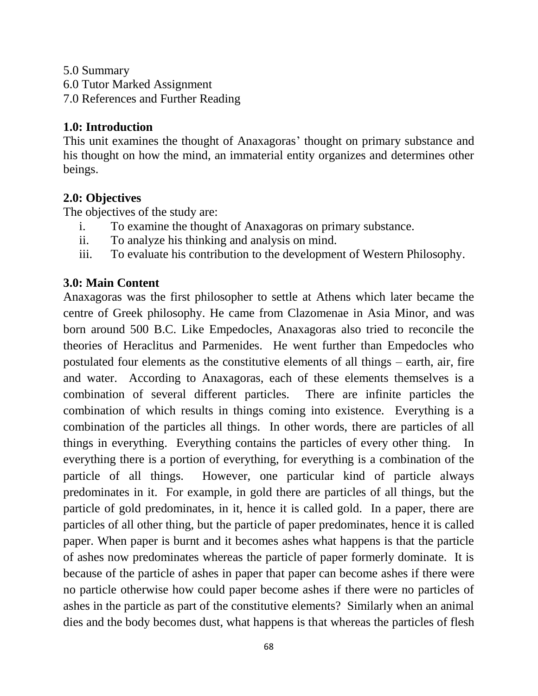5.0 Summary

6.0 Tutor Marked Assignment

7.0 References and Further Reading

# **1.0: Introduction**

This unit examines the thought of Anaxagoras' thought on primary substance and his thought on how the mind, an immaterial entity organizes and determines other beings.

# **2.0: Objectives**

The objectives of the study are:

- i. To examine the thought of Anaxagoras on primary substance.
- ii. To analyze his thinking and analysis on mind.
- iii. To evaluate his contribution to the development of Western Philosophy.

# **3.0: Main Content**

Anaxagoras was the first philosopher to settle at Athens which later became the centre of Greek philosophy. He came from Clazomenae in Asia Minor, and was born around 500 B.C. Like Empedocles, Anaxagoras also tried to reconcile the theories of Heraclitus and Parmenides. He went further than Empedocles who postulated four elements as the constitutive elements of all things – earth, air, fire and water. According to Anaxagoras, each of these elements themselves is a combination of several different particles. There are infinite particles the combination of which results in things coming into existence. Everything is a combination of the particles all things. In other words, there are particles of all things in everything. Everything contains the particles of every other thing. In everything there is a portion of everything, for everything is a combination of the particle of all things. However, one particular kind of particle always predominates in it. For example, in gold there are particles of all things, but the particle of gold predominates, in it, hence it is called gold. In a paper, there are particles of all other thing, but the particle of paper predominates, hence it is called paper. When paper is burnt and it becomes ashes what happens is that the particle of ashes now predominates whereas the particle of paper formerly dominate. It is because of the particle of ashes in paper that paper can become ashes if there were no particle otherwise how could paper become ashes if there were no particles of ashes in the particle as part of the constitutive elements? Similarly when an animal dies and the body becomes dust, what happens is that whereas the particles of flesh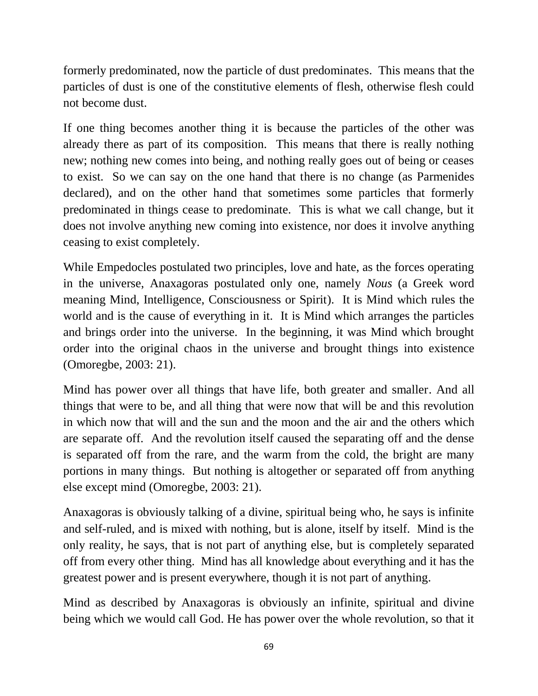formerly predominated, now the particle of dust predominates. This means that the particles of dust is one of the constitutive elements of flesh, otherwise flesh could not become dust.

If one thing becomes another thing it is because the particles of the other was already there as part of its composition. This means that there is really nothing new; nothing new comes into being, and nothing really goes out of being or ceases to exist. So we can say on the one hand that there is no change (as Parmenides declared), and on the other hand that sometimes some particles that formerly predominated in things cease to predominate. This is what we call change, but it does not involve anything new coming into existence, nor does it involve anything ceasing to exist completely.

While Empedocles postulated two principles, love and hate, as the forces operating in the universe, Anaxagoras postulated only one, namely *Nous* (a Greek word meaning Mind, Intelligence, Consciousness or Spirit). It is Mind which rules the world and is the cause of everything in it. It is Mind which arranges the particles and brings order into the universe. In the beginning, it was Mind which brought order into the original chaos in the universe and brought things into existence (Omoregbe, 2003: 21).

Mind has power over all things that have life, both greater and smaller. And all things that were to be, and all thing that were now that will be and this revolution in which now that will and the sun and the moon and the air and the others which are separate off. And the revolution itself caused the separating off and the dense is separated off from the rare, and the warm from the cold, the bright are many portions in many things. But nothing is altogether or separated off from anything else except mind (Omoregbe, 2003: 21).

Anaxagoras is obviously talking of a divine, spiritual being who, he says is infinite and self-ruled, and is mixed with nothing, but is alone, itself by itself. Mind is the only reality, he says, that is not part of anything else, but is completely separated off from every other thing. Mind has all knowledge about everything and it has the greatest power and is present everywhere, though it is not part of anything.

Mind as described by Anaxagoras is obviously an infinite, spiritual and divine being which we would call God. He has power over the whole revolution, so that it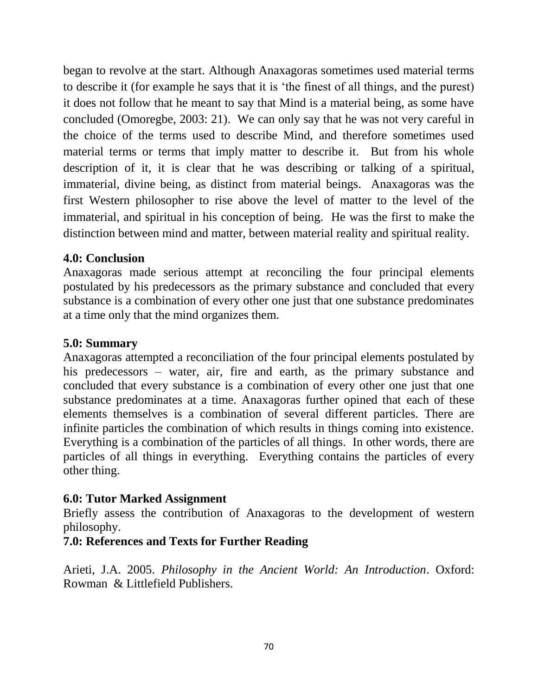began to revolve at the start. Although Anaxagoras sometimes used material terms to describe it (for example he says that it is "the finest of all things, and the purest) it does not follow that he meant to say that Mind is a material being, as some have concluded (Omoregbe, 2003: 21). We can only say that he was not very careful in the choice of the terms used to describe Mind, and therefore sometimes used material terms or terms that imply matter to describe it. But from his whole description of it, it is clear that he was describing or talking of a spiritual, immaterial, divine being, as distinct from material beings. Anaxagoras was the first Western philosopher to rise above the level of matter to the level of the immaterial, and spiritual in his conception of being. He was the first to make the distinction between mind and matter, between material reality and spiritual reality.

# **4.0: Conclusion**

Anaxagoras made serious attempt at reconciling the four principal elements postulated by his predecessors as the primary substance and concluded that every substance is a combination of every other one just that one substance predominates at a time only that the mind organizes them.

# **5.0: Summary**

Anaxagoras attempted a reconciliation of the four principal elements postulated by his predecessors – water, air, fire and earth, as the primary substance and concluded that every substance is a combination of every other one just that one substance predominates at a time. Anaxagoras further opined that each of these elements themselves is a combination of several different particles. There are infinite particles the combination of which results in things coming into existence. Everything is a combination of the particles of all things. In other words, there are particles of all things in everything. Everything contains the particles of every other thing.

# **6.0: Tutor Marked Assignment**

Briefly assess the contribution of Anaxagoras to the development of western philosophy.

# **7.0: References and Texts for Further Reading**

Arieti, J.A. 2005. *Philosophy in the Ancient World: An Introduction*. Oxford: Rowman & Littlefield Publishers.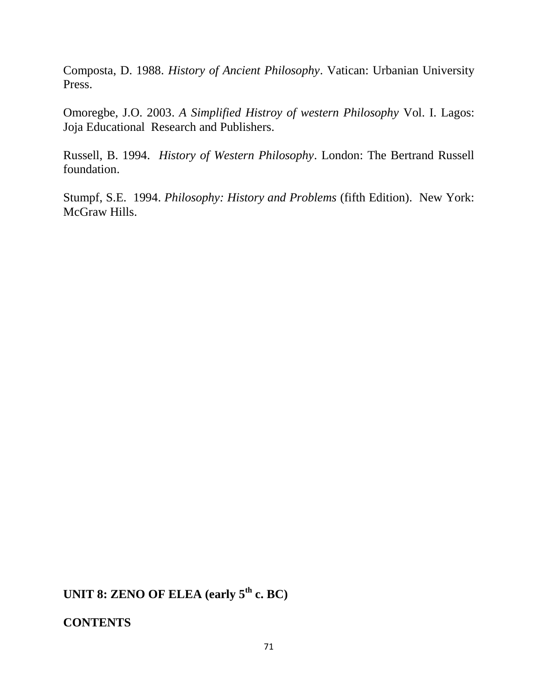Composta, D. 1988. *History of Ancient Philosophy*. Vatican: Urbanian University Press.

Omoregbe, J.O. 2003. *A Simplified Histroy of western Philosophy* Vol. I. Lagos: Joja Educational Research and Publishers.

Russell, B. 1994. *History of Western Philosophy*. London: The Bertrand Russell foundation.

Stumpf, S.E. 1994. *Philosophy: History and Problems* (fifth Edition). New York: McGraw Hills.

**UNIT 8: ZENO OF ELEA (early 5th c. BC)**

**CONTENTS**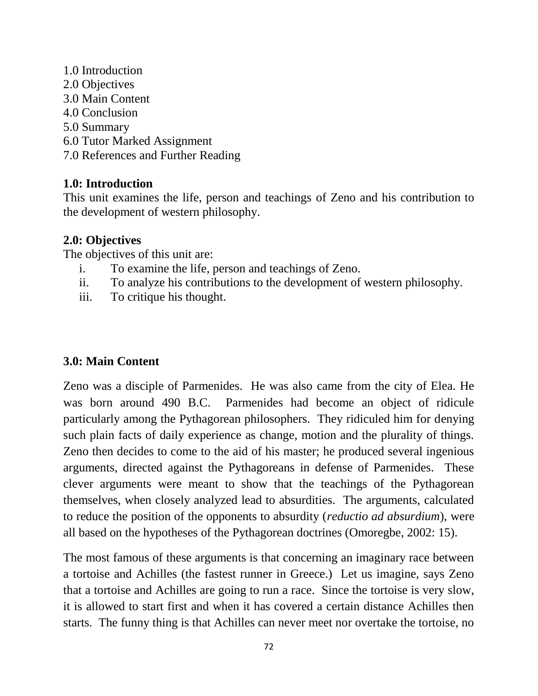1.0 Introduction 2.0 Objectives 3.0 Main Content 4.0 Conclusion 5.0 Summary 6.0 Tutor Marked Assignment 7.0 References and Further Reading

#### **1.0: Introduction**

This unit examines the life, person and teachings of Zeno and his contribution to the development of western philosophy.

#### **2.0: Objectives**

The objectives of this unit are:

- i. To examine the life, person and teachings of Zeno.
- ii. To analyze his contributions to the development of western philosophy.
- iii. To critique his thought.

#### **3.0: Main Content**

Zeno was a disciple of Parmenides. He was also came from the city of Elea. He was born around 490 B.C. Parmenides had become an object of ridicule particularly among the Pythagorean philosophers. They ridiculed him for denying such plain facts of daily experience as change, motion and the plurality of things. Zeno then decides to come to the aid of his master; he produced several ingenious arguments, directed against the Pythagoreans in defense of Parmenides. These clever arguments were meant to show that the teachings of the Pythagorean themselves, when closely analyzed lead to absurdities. The arguments, calculated to reduce the position of the opponents to absurdity (*reductio ad absurdium*), were all based on the hypotheses of the Pythagorean doctrines (Omoregbe, 2002: 15).

The most famous of these arguments is that concerning an imaginary race between a tortoise and Achilles (the fastest runner in Greece.) Let us imagine, says Zeno that a tortoise and Achilles are going to run a race. Since the tortoise is very slow, it is allowed to start first and when it has covered a certain distance Achilles then starts. The funny thing is that Achilles can never meet nor overtake the tortoise, no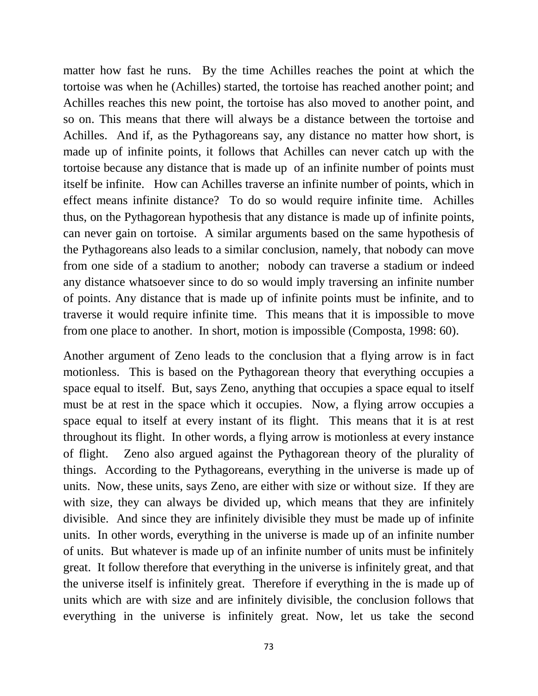matter how fast he runs. By the time Achilles reaches the point at which the tortoise was when he (Achilles) started, the tortoise has reached another point; and Achilles reaches this new point, the tortoise has also moved to another point, and so on. This means that there will always be a distance between the tortoise and Achilles. And if, as the Pythagoreans say, any distance no matter how short, is made up of infinite points, it follows that Achilles can never catch up with the tortoise because any distance that is made up of an infinite number of points must itself be infinite. How can Achilles traverse an infinite number of points, which in effect means infinite distance? To do so would require infinite time. Achilles thus, on the Pythagorean hypothesis that any distance is made up of infinite points, can never gain on tortoise. A similar arguments based on the same hypothesis of the Pythagoreans also leads to a similar conclusion, namely, that nobody can move from one side of a stadium to another; nobody can traverse a stadium or indeed any distance whatsoever since to do so would imply traversing an infinite number of points. Any distance that is made up of infinite points must be infinite, and to traverse it would require infinite time. This means that it is impossible to move from one place to another. In short, motion is impossible (Composta, 1998: 60).

Another argument of Zeno leads to the conclusion that a flying arrow is in fact motionless. This is based on the Pythagorean theory that everything occupies a space equal to itself. But, says Zeno, anything that occupies a space equal to itself must be at rest in the space which it occupies. Now, a flying arrow occupies a space equal to itself at every instant of its flight. This means that it is at rest throughout its flight. In other words, a flying arrow is motionless at every instance of flight. Zeno also argued against the Pythagorean theory of the plurality of things. According to the Pythagoreans, everything in the universe is made up of units. Now, these units, says Zeno, are either with size or without size. If they are with size, they can always be divided up, which means that they are infinitely divisible. And since they are infinitely divisible they must be made up of infinite units. In other words, everything in the universe is made up of an infinite number of units. But whatever is made up of an infinite number of units must be infinitely great. It follow therefore that everything in the universe is infinitely great, and that the universe itself is infinitely great. Therefore if everything in the is made up of units which are with size and are infinitely divisible, the conclusion follows that everything in the universe is infinitely great. Now, let us take the second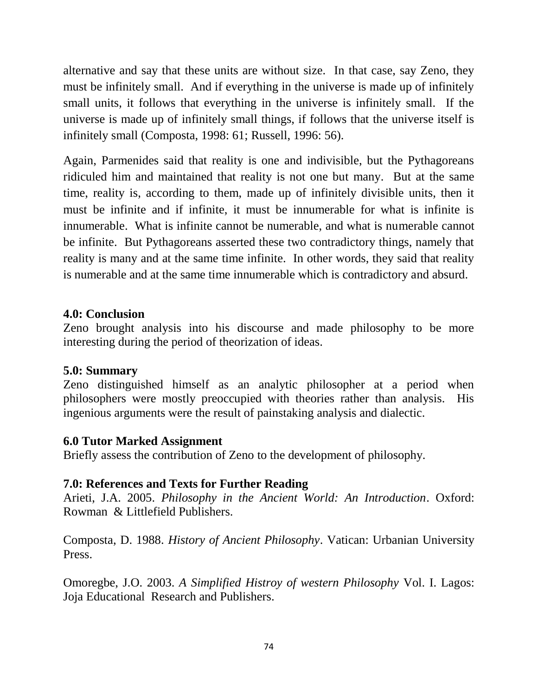alternative and say that these units are without size. In that case, say Zeno, they must be infinitely small. And if everything in the universe is made up of infinitely small units, it follows that everything in the universe is infinitely small. If the universe is made up of infinitely small things, if follows that the universe itself is infinitely small (Composta, 1998: 61; Russell, 1996: 56).

Again, Parmenides said that reality is one and indivisible, but the Pythagoreans ridiculed him and maintained that reality is not one but many. But at the same time, reality is, according to them, made up of infinitely divisible units, then it must be infinite and if infinite, it must be innumerable for what is infinite is innumerable. What is infinite cannot be numerable, and what is numerable cannot be infinite. But Pythagoreans asserted these two contradictory things, namely that reality is many and at the same time infinite. In other words, they said that reality is numerable and at the same time innumerable which is contradictory and absurd.

#### **4.0: Conclusion**

Zeno brought analysis into his discourse and made philosophy to be more interesting during the period of theorization of ideas.

#### **5.0: Summary**

Zeno distinguished himself as an analytic philosopher at a period when philosophers were mostly preoccupied with theories rather than analysis. His ingenious arguments were the result of painstaking analysis and dialectic.

#### **6.0 Tutor Marked Assignment**

Briefly assess the contribution of Zeno to the development of philosophy.

#### **7.0: References and Texts for Further Reading**

Arieti, J.A. 2005. *Philosophy in the Ancient World: An Introduction*. Oxford: Rowman & Littlefield Publishers.

Composta, D. 1988. *History of Ancient Philosophy*. Vatican: Urbanian University Press.

Omoregbe, J.O. 2003. *A Simplified Histroy of western Philosophy* Vol. I. Lagos: Joja Educational Research and Publishers.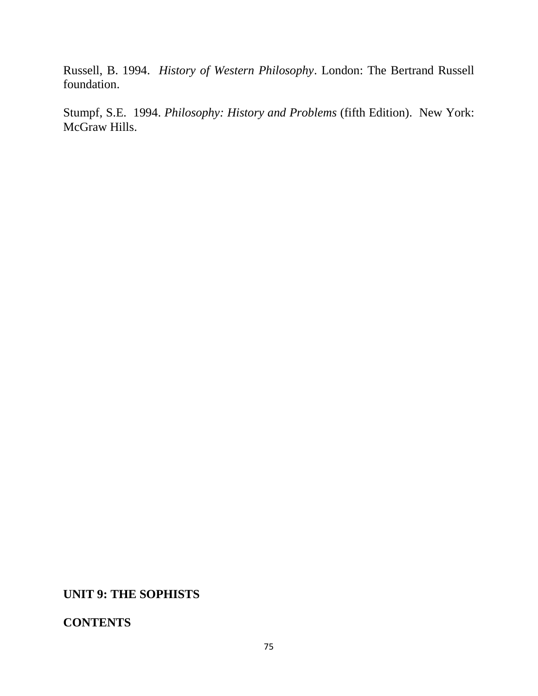Russell, B. 1994. *History of Western Philosophy*. London: The Bertrand Russell foundation.

Stumpf, S.E. 1994. *Philosophy: History and Problems* (fifth Edition). New York: McGraw Hills.

#### **UNIT 9: THE SOPHISTS**

## **CONTENTS**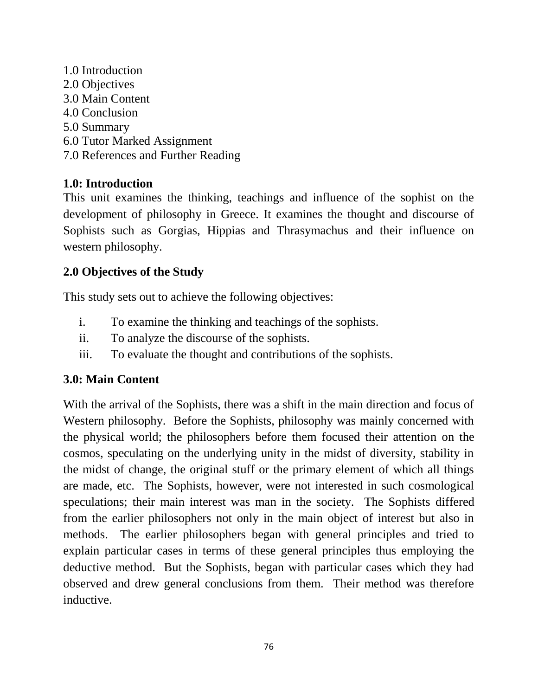1.0 Introduction 2.0 Objectives 3.0 Main Content 4.0 Conclusion 5.0 Summary 6.0 Tutor Marked Assignment 7.0 References and Further Reading

## **1.0: Introduction**

This unit examines the thinking, teachings and influence of the sophist on the development of philosophy in Greece. It examines the thought and discourse of Sophists such as Gorgias, Hippias and Thrasymachus and their influence on western philosophy.

## **2.0 Objectives of the Study**

This study sets out to achieve the following objectives:

- i. To examine the thinking and teachings of the sophists.
- ii. To analyze the discourse of the sophists.
- iii. To evaluate the thought and contributions of the sophists.

#### **3.0: Main Content**

With the arrival of the Sophists, there was a shift in the main direction and focus of Western philosophy. Before the Sophists, philosophy was mainly concerned with the physical world; the philosophers before them focused their attention on the cosmos, speculating on the underlying unity in the midst of diversity, stability in the midst of change, the original stuff or the primary element of which all things are made, etc. The Sophists, however, were not interested in such cosmological speculations; their main interest was man in the society. The Sophists differed from the earlier philosophers not only in the main object of interest but also in methods. The earlier philosophers began with general principles and tried to explain particular cases in terms of these general principles thus employing the deductive method. But the Sophists, began with particular cases which they had observed and drew general conclusions from them. Their method was therefore inductive.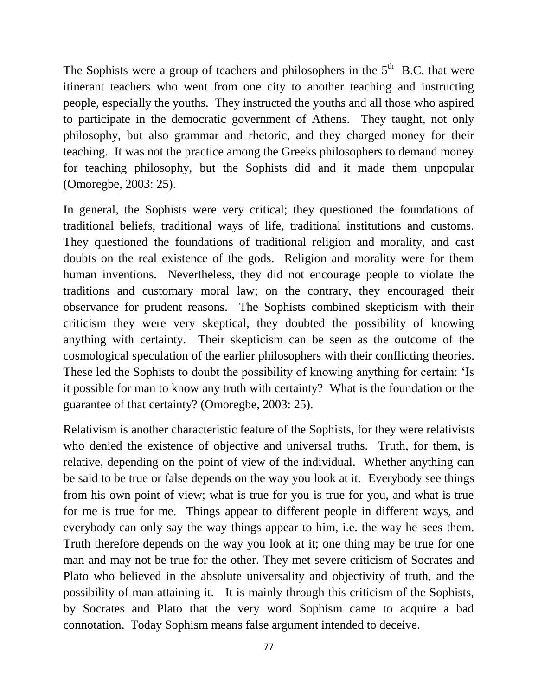The Sophists were a group of teachers and philosophers in the  $5<sup>th</sup>$  B.C. that were itinerant teachers who went from one city to another teaching and instructing people, especially the youths. They instructed the youths and all those who aspired to participate in the democratic government of Athens. They taught, not only philosophy, but also grammar and rhetoric, and they charged money for their teaching. It was not the practice among the Greeks philosophers to demand money for teaching philosophy, but the Sophists did and it made them unpopular (Omoregbe, 2003: 25).

In general, the Sophists were very critical; they questioned the foundations of traditional beliefs, traditional ways of life, traditional institutions and customs. They questioned the foundations of traditional religion and morality, and cast doubts on the real existence of the gods. Religion and morality were for them human inventions. Nevertheless, they did not encourage people to violate the traditions and customary moral law; on the contrary, they encouraged their observance for prudent reasons. The Sophists combined skepticism with their criticism they were very skeptical, they doubted the possibility of knowing anything with certainty. Their skepticism can be seen as the outcome of the cosmological speculation of the earlier philosophers with their conflicting theories. These led the Sophists to doubt the possibility of knowing anything for certain: "Is it possible for man to know any truth with certainty? What is the foundation or the guarantee of that certainty? (Omoregbe, 2003: 25).

Relativism is another characteristic feature of the Sophists, for they were relativists who denied the existence of objective and universal truths. Truth, for them, is relative, depending on the point of view of the individual. Whether anything can be said to be true or false depends on the way you look at it. Everybody see things from his own point of view; what is true for you is true for you, and what is true for me is true for me. Things appear to different people in different ways, and everybody can only say the way things appear to him, i.e. the way he sees them. Truth therefore depends on the way you look at it; one thing may be true for one man and may not be true for the other. They met severe criticism of Socrates and Plato who believed in the absolute universality and objectivity of truth, and the possibility of man attaining it. It is mainly through this criticism of the Sophists, by Socrates and Plato that the very word Sophism came to acquire a bad connotation. Today Sophism means false argument intended to deceive.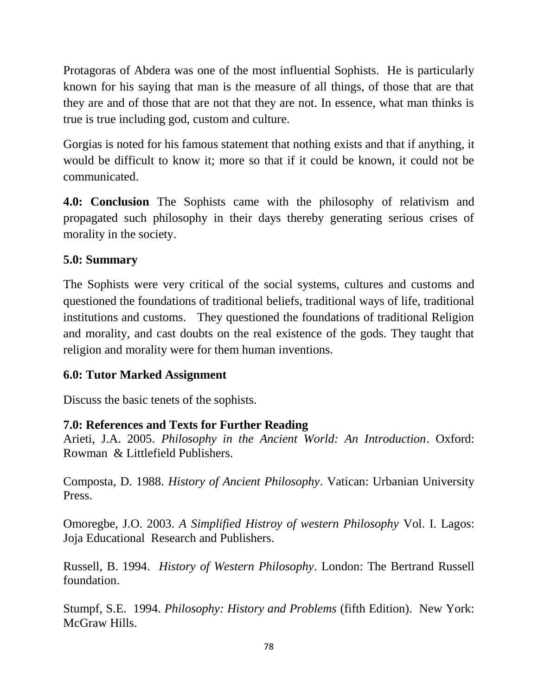Protagoras of Abdera was one of the most influential Sophists. He is particularly known for his saying that man is the measure of all things, of those that are that they are and of those that are not that they are not. In essence, what man thinks is true is true including god, custom and culture.

Gorgias is noted for his famous statement that nothing exists and that if anything, it would be difficult to know it; more so that if it could be known, it could not be communicated.

**4.0: Conclusion** The Sophists came with the philosophy of relativism and propagated such philosophy in their days thereby generating serious crises of morality in the society.

# **5.0: Summary**

The Sophists were very critical of the social systems, cultures and customs and questioned the foundations of traditional beliefs, traditional ways of life, traditional institutions and customs. They questioned the foundations of traditional Religion and morality, and cast doubts on the real existence of the gods. They taught that religion and morality were for them human inventions.

## **6.0: Tutor Marked Assignment**

Discuss the basic tenets of the sophists.

# **7.0: References and Texts for Further Reading**

Arieti, J.A. 2005. *Philosophy in the Ancient World: An Introduction*. Oxford: Rowman & Littlefield Publishers.

Composta, D. 1988. *History of Ancient Philosophy*. Vatican: Urbanian University Press.

Omoregbe, J.O. 2003. *A Simplified Histroy of western Philosophy* Vol. I. Lagos: Joja Educational Research and Publishers.

Russell, B. 1994. *History of Western Philosophy*. London: The Bertrand Russell foundation.

Stumpf, S.E. 1994. *Philosophy: History and Problems* (fifth Edition). New York: McGraw Hills.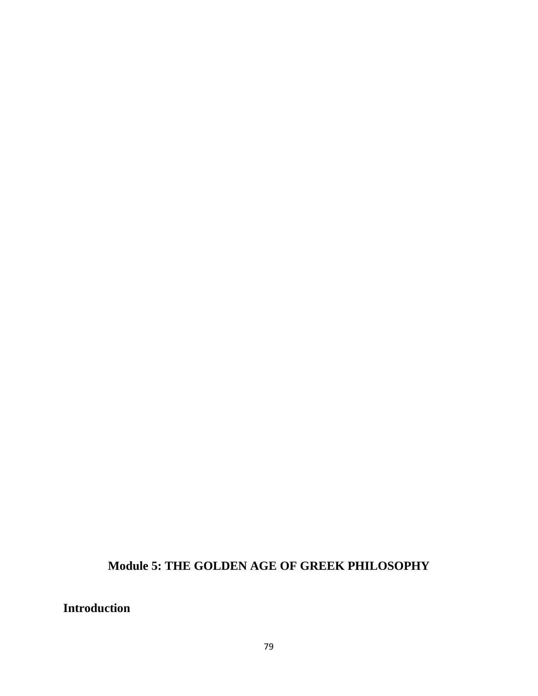**Module 5: THE GOLDEN AGE OF GREEK PHILOSOPHY**

**Introduction**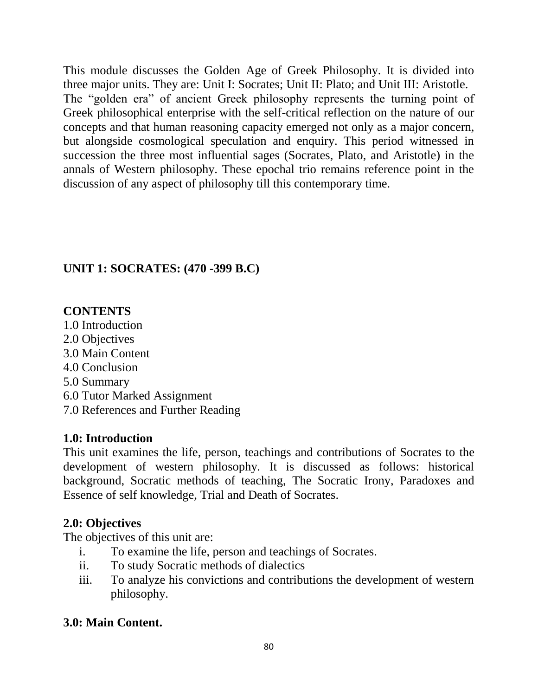This module discusses the Golden Age of Greek Philosophy. It is divided into three major units. They are: Unit I: Socrates; Unit II: Plato; and Unit III: Aristotle. The "golden era" of ancient Greek philosophy represents the turning point of Greek philosophical enterprise with the self-critical reflection on the nature of our concepts and that human reasoning capacity emerged not only as a major concern, but alongside cosmological speculation and enquiry. This period witnessed in succession the three most influential sages (Socrates, Plato, and Aristotle) in the annals of Western philosophy. These epochal trio remains reference point in the discussion of any aspect of philosophy till this contemporary time.

# **UNIT 1: SOCRATES: (470 -399 B.C)**

# **CONTENTS**

1.0 Introduction 2.0 Objectives 3.0 Main Content 4.0 Conclusion 5.0 Summary 6.0 Tutor Marked Assignment

# 7.0 References and Further Reading

# **1.0: Introduction**

This unit examines the life, person, teachings and contributions of Socrates to the development of western philosophy. It is discussed as follows: historical background, Socratic methods of teaching, The Socratic Irony, Paradoxes and Essence of self knowledge, Trial and Death of Socrates.

# **2.0: Objectives**

The objectives of this unit are:

- i. To examine the life, person and teachings of Socrates.
- ii. To study Socratic methods of dialectics
- iii. To analyze his convictions and contributions the development of western philosophy.

# **3.0: Main Content.**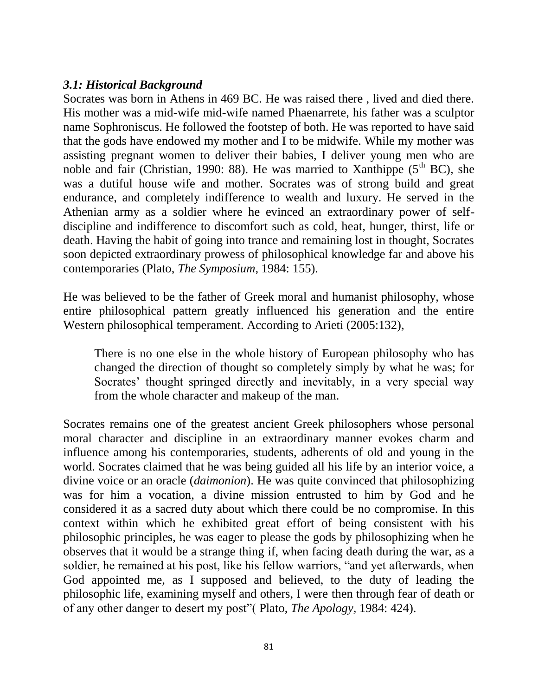### *3.1: Historical Background*

Socrates was born in Athens in 469 BC. He was raised there , lived and died there. His mother was a mid-wife mid-wife named Phaenarrete, his father was a sculptor name Sophroniscus. He followed the footstep of both. He was reported to have said that the gods have endowed my mother and I to be midwife. While my mother was assisting pregnant women to deliver their babies, I deliver young men who are noble and fair (Christian, 1990: 88). He was married to Xanthippe  $(5<sup>th</sup> BC)$ , she was a dutiful house wife and mother. Socrates was of strong build and great endurance, and completely indifference to wealth and luxury. He served in the Athenian army as a soldier where he evinced an extraordinary power of selfdiscipline and indifference to discomfort such as cold, heat, hunger, thirst, life or death. Having the habit of going into trance and remaining lost in thought, Socrates soon depicted extraordinary prowess of philosophical knowledge far and above his contemporaries (Plato, *The Symposium,* 1984: 155).

He was believed to be the father of Greek moral and humanist philosophy, whose entire philosophical pattern greatly influenced his generation and the entire Western philosophical temperament. According to Arieti (2005:132),

There is no one else in the whole history of European philosophy who has changed the direction of thought so completely simply by what he was; for Socrates' thought springed directly and inevitably, in a very special way from the whole character and makeup of the man.

Socrates remains one of the greatest ancient Greek philosophers whose personal moral character and discipline in an extraordinary manner evokes charm and influence among his contemporaries, students, adherents of old and young in the world. Socrates claimed that he was being guided all his life by an interior voice, a divine voice or an oracle (*daimonion*). He was quite convinced that philosophizing was for him a vocation, a divine mission entrusted to him by God and he considered it as a sacred duty about which there could be no compromise. In this context within which he exhibited great effort of being consistent with his philosophic principles, he was eager to please the gods by philosophizing when he observes that it would be a strange thing if, when facing death during the war, as a soldier, he remained at his post, like his fellow warriors, "and yet afterwards, when God appointed me, as I supposed and believed, to the duty of leading the philosophic life, examining myself and others, I were then through fear of death or of any other danger to desert my post"( Plato, *The Apology,* 1984: 424).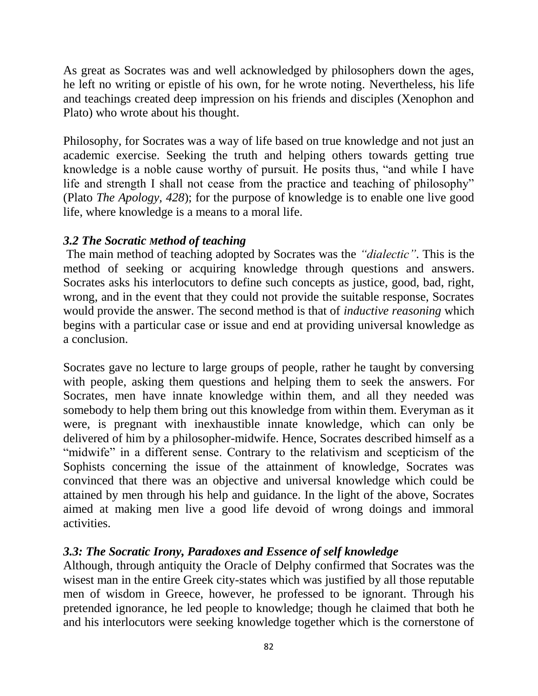As great as Socrates was and well acknowledged by philosophers down the ages, he left no writing or epistle of his own, for he wrote noting. Nevertheless, his life and teachings created deep impression on his friends and disciples (Xenophon and Plato) who wrote about his thought.

Philosophy, for Socrates was a way of life based on true knowledge and not just an academic exercise. Seeking the truth and helping others towards getting true knowledge is a noble cause worthy of pursuit. He posits thus, "and while I have life and strength I shall not cease from the practice and teaching of philosophy" (Plato *The Apology, 428*); for the purpose of knowledge is to enable one live good life, where knowledge is a means to a moral life.

#### *3.2 The Socratic Method of teaching*

The main method of teaching adopted by Socrates was the *"dialectic"*. This is the method of seeking or acquiring knowledge through questions and answers. Socrates asks his interlocutors to define such concepts as justice, good, bad, right, wrong, and in the event that they could not provide the suitable response, Socrates would provide the answer. The second method is that of *inductive reasoning* which begins with a particular case or issue and end at providing universal knowledge as a conclusion.

Socrates gave no lecture to large groups of people, rather he taught by conversing with people, asking them questions and helping them to seek the answers. For Socrates, men have innate knowledge within them, and all they needed was somebody to help them bring out this knowledge from within them. Everyman as it were, is pregnant with inexhaustible innate knowledge, which can only be delivered of him by a philosopher-midwife. Hence, Socrates described himself as a "midwife" in a different sense. Contrary to the relativism and scepticism of the Sophists concerning the issue of the attainment of knowledge, Socrates was convinced that there was an objective and universal knowledge which could be attained by men through his help and guidance. In the light of the above, Socrates aimed at making men live a good life devoid of wrong doings and immoral activities.

#### *3.3: The Socratic Irony, Paradoxes and Essence of self knowledge*

Although, through antiquity the Oracle of Delphy confirmed that Socrates was the wisest man in the entire Greek city-states which was justified by all those reputable men of wisdom in Greece, however, he professed to be ignorant. Through his pretended ignorance, he led people to knowledge; though he claimed that both he and his interlocutors were seeking knowledge together which is the cornerstone of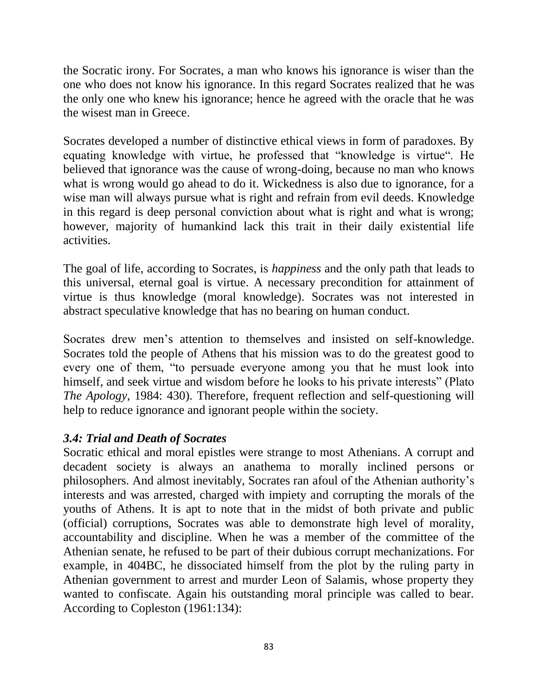the Socratic irony. For Socrates, a man who knows his ignorance is wiser than the one who does not know his ignorance. In this regard Socrates realized that he was the only one who knew his ignorance; hence he agreed with the oracle that he was the wisest man in Greece.

Socrates developed a number of distinctive ethical views in form of paradoxes. By equating knowledge with virtue, he professed that "knowledge is virtue". He believed that ignorance was the cause of wrong-doing, because no man who knows what is wrong would go ahead to do it. Wickedness is also due to ignorance, for a wise man will always pursue what is right and refrain from evil deeds. Knowledge in this regard is deep personal conviction about what is right and what is wrong; however, majority of humankind lack this trait in their daily existential life activities.

The goal of life, according to Socrates, is *happiness* and the only path that leads to this universal, eternal goal is virtue. A necessary precondition for attainment of virtue is thus knowledge (moral knowledge). Socrates was not interested in abstract speculative knowledge that has no bearing on human conduct.

Socrates drew men"s attention to themselves and insisted on self-knowledge. Socrates told the people of Athens that his mission was to do the greatest good to every one of them, "to persuade everyone among you that he must look into himself, and seek virtue and wisdom before he looks to his private interests" (Plato *The Apology,* 1984: 430). Therefore, frequent reflection and self-questioning will help to reduce ignorance and ignorant people within the society.

## *3.4: Trial and Death of Socrates*

Socratic ethical and moral epistles were strange to most Athenians. A corrupt and decadent society is always an anathema to morally inclined persons or philosophers. And almost inevitably, Socrates ran afoul of the Athenian authority"s interests and was arrested, charged with impiety and corrupting the morals of the youths of Athens. It is apt to note that in the midst of both private and public (official) corruptions, Socrates was able to demonstrate high level of morality, accountability and discipline. When he was a member of the committee of the Athenian senate, he refused to be part of their dubious corrupt mechanizations. For example, in 404BC, he dissociated himself from the plot by the ruling party in Athenian government to arrest and murder Leon of Salamis, whose property they wanted to confiscate. Again his outstanding moral principle was called to bear. According to Copleston (1961:134):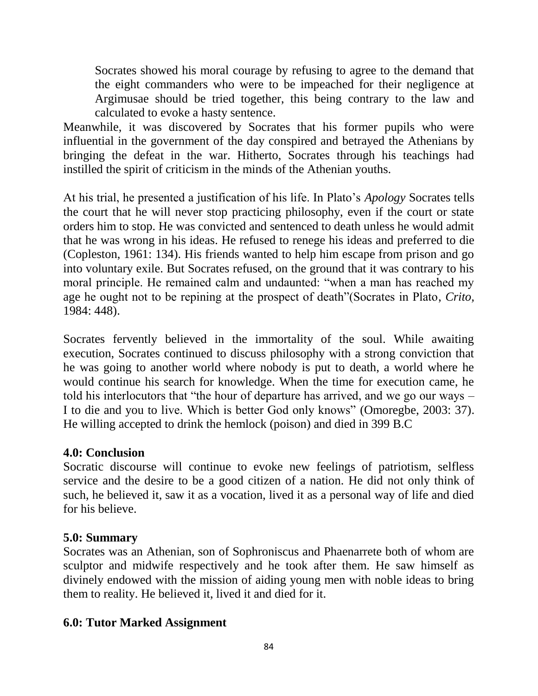Socrates showed his moral courage by refusing to agree to the demand that the eight commanders who were to be impeached for their negligence at Argimusae should be tried together, this being contrary to the law and calculated to evoke a hasty sentence.

Meanwhile, it was discovered by Socrates that his former pupils who were influential in the government of the day conspired and betrayed the Athenians by bringing the defeat in the war. Hitherto, Socrates through his teachings had instilled the spirit of criticism in the minds of the Athenian youths.

At his trial, he presented a justification of his life. In Plato"s *Apology* Socrates tells the court that he will never stop practicing philosophy, even if the court or state orders him to stop. He was convicted and sentenced to death unless he would admit that he was wrong in his ideas. He refused to renege his ideas and preferred to die (Copleston, 1961: 134). His friends wanted to help him escape from prison and go into voluntary exile. But Socrates refused, on the ground that it was contrary to his moral principle. He remained calm and undaunted: "when a man has reached my age he ought not to be repining at the prospect of death"(Socrates in Plato, *Crito,* 1984: 448).

Socrates fervently believed in the immortality of the soul. While awaiting execution, Socrates continued to discuss philosophy with a strong conviction that he was going to another world where nobody is put to death, a world where he would continue his search for knowledge. When the time for execution came, he told his interlocutors that "the hour of departure has arrived, and we go our ways – I to die and you to live. Which is better God only knows" (Omoregbe, 2003: 37). He willing accepted to drink the hemlock (poison) and died in 399 B.C

#### **4.0: Conclusion**

Socratic discourse will continue to evoke new feelings of patriotism, selfless service and the desire to be a good citizen of a nation. He did not only think of such, he believed it, saw it as a vocation, lived it as a personal way of life and died for his believe.

#### **5.0: Summary**

Socrates was an Athenian, son of Sophroniscus and Phaenarrete both of whom are sculptor and midwife respectively and he took after them. He saw himself as divinely endowed with the mission of aiding young men with noble ideas to bring them to reality. He believed it, lived it and died for it.

#### **6.0: Tutor Marked Assignment**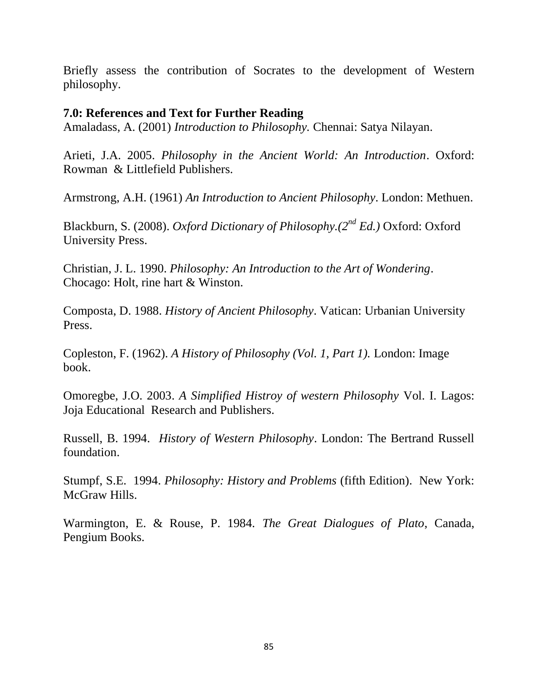Briefly assess the contribution of Socrates to the development of Western philosophy.

#### **7.0: References and Text for Further Reading**

Amaladass, A. (2001) *Introduction to Philosophy.* Chennai: Satya Nilayan.

Arieti, J.A. 2005. *Philosophy in the Ancient World: An Introduction*. Oxford: Rowman & Littlefield Publishers.

Armstrong, A.H. (1961) *An Introduction to Ancient Philosophy*. London: Methuen.

Blackburn, S. (2008). *Oxford Dictionary of Philosophy.(2nd Ed.)* Oxford: Oxford University Press.

Christian, J. L. 1990. *Philosophy: An Introduction to the Art of Wondering*. Chocago: Holt, rine hart & Winston.

Composta, D. 1988. *History of Ancient Philosophy*. Vatican: Urbanian University Press.

Copleston, F. (1962). *A History of Philosophy (Vol. 1, Part 1).* London: Image book.

Omoregbe, J.O. 2003. *A Simplified Histroy of western Philosophy* Vol. I. Lagos: Joja Educational Research and Publishers.

Russell, B. 1994. *History of Western Philosophy*. London: The Bertrand Russell foundation.

Stumpf, S.E. 1994. *Philosophy: History and Problems* (fifth Edition). New York: McGraw Hills.

Warmington, E. & Rouse, P. 1984. *The Great Dialogues of Plato*, Canada, Pengium Books.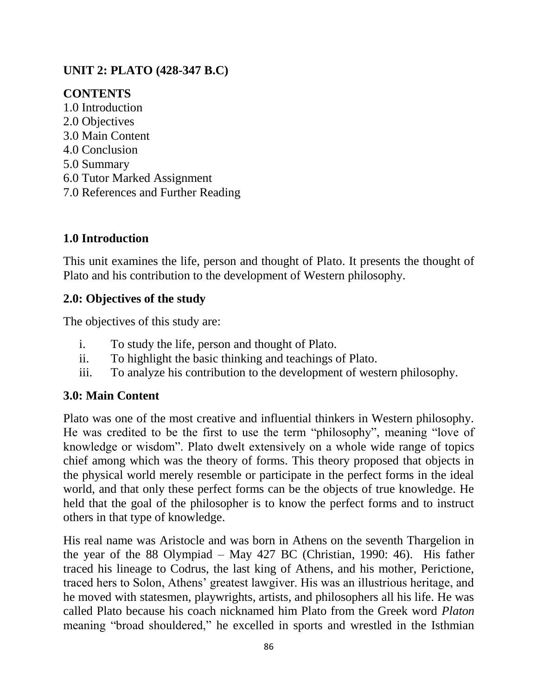## **UNIT 2: PLATO (428-347 B.C)**

# **CONTENTS**

1.0 Introduction 2.0 Objectives 3.0 Main Content 4.0 Conclusion 5.0 Summary 6.0 Tutor Marked Assignment 7.0 References and Further Reading

# **1.0 Introduction**

This unit examines the life, person and thought of Plato. It presents the thought of Plato and his contribution to the development of Western philosophy.

## **2.0: Objectives of the study**

The objectives of this study are:

- i. To study the life, person and thought of Plato.
- ii. To highlight the basic thinking and teachings of Plato.
- iii. To analyze his contribution to the development of western philosophy.

# **3.0: Main Content**

Plato was one of the most creative and influential thinkers in Western philosophy. He was credited to be the first to use the term "philosophy", meaning "love of knowledge or wisdom". Plato dwelt extensively on a whole wide range of topics chief among which was the theory of forms. This theory proposed that objects in the physical world merely resemble or participate in the perfect forms in the ideal world, and that only these perfect forms can be the objects of true knowledge. He held that the goal of the philosopher is to know the perfect forms and to instruct others in that type of knowledge.

His real name was Aristocle and was born in Athens on the seventh Thargelion in the year of the 88 Olympiad – May 427 BC (Christian, 1990: 46). His father traced his lineage to Codrus, the last king of Athens, and his mother, Perictione, traced hers to Solon, Athens" greatest lawgiver. His was an illustrious heritage, and he moved with statesmen, playwrights, artists, and philosophers all his life. He was called Plato because his coach nicknamed him Plato from the Greek word *Platon* meaning "broad shouldered," he excelled in sports and wrestled in the Isthmian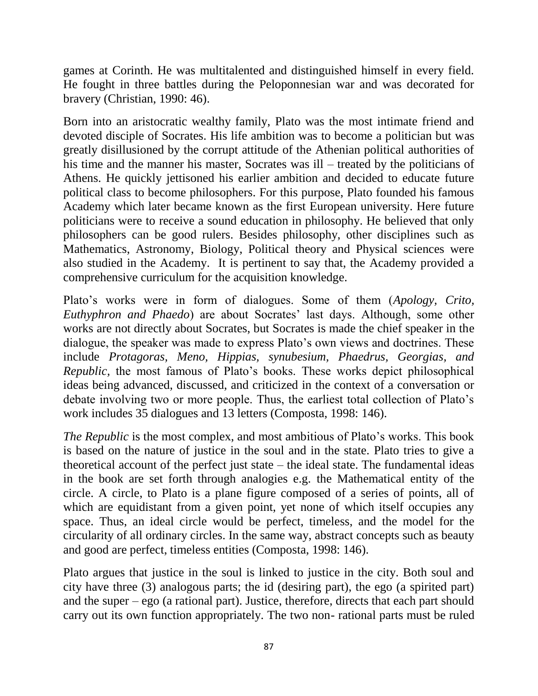games at Corinth. He was multitalented and distinguished himself in every field. He fought in three battles during the Peloponnesian war and was decorated for bravery (Christian, 1990: 46).

Born into an aristocratic wealthy family, Plato was the most intimate friend and devoted disciple of Socrates. His life ambition was to become a politician but was greatly disillusioned by the corrupt attitude of the Athenian political authorities of his time and the manner his master, Socrates was ill – treated by the politicians of Athens. He quickly jettisoned his earlier ambition and decided to educate future political class to become philosophers. For this purpose, Plato founded his famous Academy which later became known as the first European university. Here future politicians were to receive a sound education in philosophy. He believed that only philosophers can be good rulers. Besides philosophy, other disciplines such as Mathematics, Astronomy, Biology, Political theory and Physical sciences were also studied in the Academy. It is pertinent to say that, the Academy provided a comprehensive curriculum for the acquisition knowledge.

Plato"s works were in form of dialogues. Some of them (*Apology, Crito, Euthyphron and Phaedo*) are about Socrates' last days. Although, some other works are not directly about Socrates, but Socrates is made the chief speaker in the dialogue, the speaker was made to express Plato's own views and doctrines. These include *Protagoras, Meno, Hippias, synubesium, Phaedrus, Georgias, and Republic,* the most famous of Plato"s books. These works depict philosophical ideas being advanced, discussed, and criticized in the context of a conversation or debate involving two or more people. Thus, the earliest total collection of Plato"s work includes 35 dialogues and 13 letters (Composta, 1998: 146).

*The Republic* is the most complex, and most ambitious of Plato's works. This book is based on the nature of justice in the soul and in the state. Plato tries to give a theoretical account of the perfect just state – the ideal state. The fundamental ideas in the book are set forth through analogies e.g. the Mathematical entity of the circle. A circle, to Plato is a plane figure composed of a series of points, all of which are equidistant from a given point, yet none of which itself occupies any space. Thus, an ideal circle would be perfect, timeless, and the model for the circularity of all ordinary circles. In the same way, abstract concepts such as beauty and good are perfect, timeless entities (Composta, 1998: 146).

Plato argues that justice in the soul is linked to justice in the city. Both soul and city have three (3) analogous parts; the id (desiring part), the ego (a spirited part) and the super – ego (a rational part). Justice, therefore, directs that each part should carry out its own function appropriately. The two non- rational parts must be ruled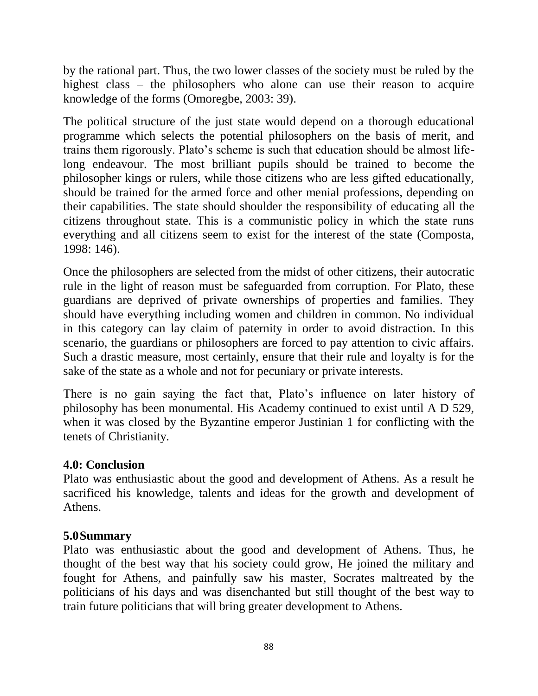by the rational part. Thus, the two lower classes of the society must be ruled by the highest class – the philosophers who alone can use their reason to acquire knowledge of the forms (Omoregbe, 2003: 39).

The political structure of the just state would depend on a thorough educational programme which selects the potential philosophers on the basis of merit, and trains them rigorously. Plato"s scheme is such that education should be almost lifelong endeavour. The most brilliant pupils should be trained to become the philosopher kings or rulers, while those citizens who are less gifted educationally, should be trained for the armed force and other menial professions, depending on their capabilities. The state should shoulder the responsibility of educating all the citizens throughout state. This is a communistic policy in which the state runs everything and all citizens seem to exist for the interest of the state (Composta, 1998: 146).

Once the philosophers are selected from the midst of other citizens, their autocratic rule in the light of reason must be safeguarded from corruption. For Plato, these guardians are deprived of private ownerships of properties and families. They should have everything including women and children in common. No individual in this category can lay claim of paternity in order to avoid distraction. In this scenario, the guardians or philosophers are forced to pay attention to civic affairs. Such a drastic measure, most certainly, ensure that their rule and loyalty is for the sake of the state as a whole and not for pecuniary or private interests.

There is no gain saying the fact that, Plato's influence on later history of philosophy has been monumental. His Academy continued to exist until A D 529, when it was closed by the Byzantine emperor Justinian 1 for conflicting with the tenets of Christianity.

#### **4.0: Conclusion**

Plato was enthusiastic about the good and development of Athens. As a result he sacrificed his knowledge, talents and ideas for the growth and development of Athens.

## **5.0Summary**

Plato was enthusiastic about the good and development of Athens. Thus, he thought of the best way that his society could grow, He joined the military and fought for Athens, and painfully saw his master, Socrates maltreated by the politicians of his days and was disenchanted but still thought of the best way to train future politicians that will bring greater development to Athens.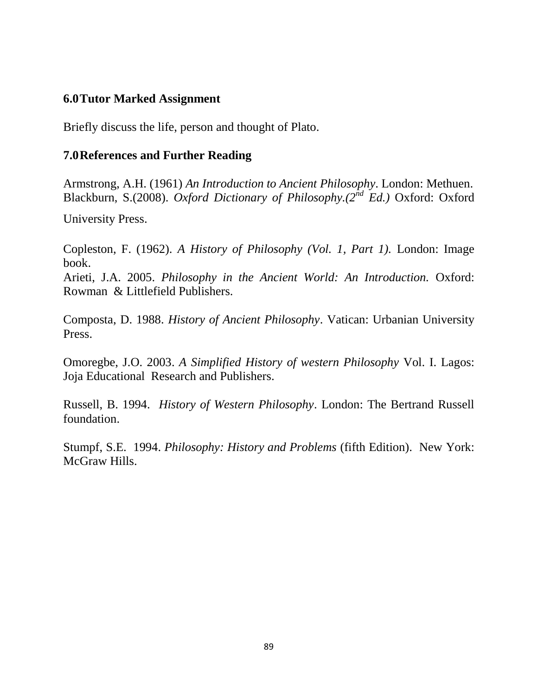### **6.0Tutor Marked Assignment**

Briefly discuss the life, person and thought of Plato.

#### **7.0References and Further Reading**

Armstrong, A.H. (1961) *An Introduction to Ancient Philosophy*. London: Methuen. Blackburn, S.(2008). *Oxford Dictionary of Philosophy.(2nd Ed.)* Oxford: Oxford

University Press.

Copleston, F. (1962). *A History of Philosophy (Vol. 1, Part 1).* London: Image book.

Arieti, J.A. 2005. *Philosophy in the Ancient World: An Introduction.* Oxford: Rowman & Littlefield Publishers.

Composta, D. 1988. *History of Ancient Philosophy*. Vatican: Urbanian University Press.

Omoregbe, J.O. 2003. *A Simplified History of western Philosophy* Vol. I. Lagos: Joja Educational Research and Publishers.

Russell, B. 1994. *History of Western Philosophy*. London: The Bertrand Russell foundation.

Stumpf, S.E. 1994. *Philosophy: History and Problems* (fifth Edition). New York: McGraw Hills.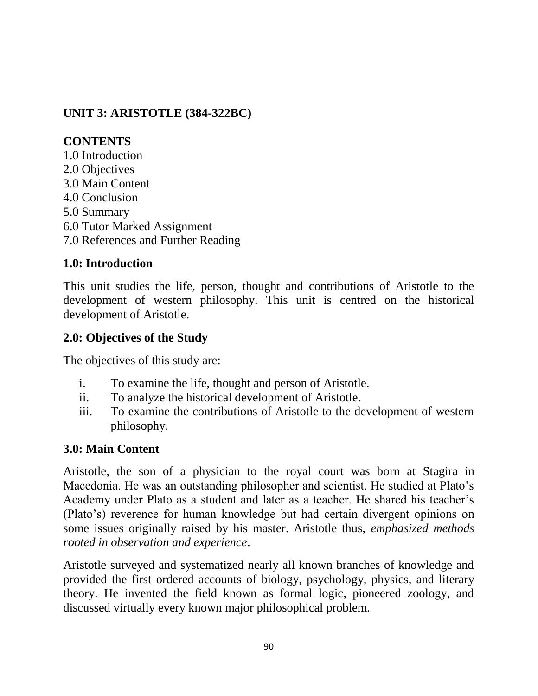# **UNIT 3: ARISTOTLE (384-322BC)**

# **CONTENTS**

1.0 Introduction 2.0 Objectives 3.0 Main Content 4.0 Conclusion 5.0 Summary 6.0 Tutor Marked Assignment 7.0 References and Further Reading

# **1.0: Introduction**

This unit studies the life, person, thought and contributions of Aristotle to the development of western philosophy. This unit is centred on the historical development of Aristotle.

# **2.0: Objectives of the Study**

The objectives of this study are:

- i. To examine the life, thought and person of Aristotle.
- ii. To analyze the historical development of Aristotle.
- iii. To examine the contributions of Aristotle to the development of western philosophy.

## **3.0: Main Content**

Aristotle, the son of a physician to the royal court was born at Stagira in Macedonia. He was an outstanding philosopher and scientist. He studied at Plato"s Academy under Plato as a student and later as a teacher. He shared his teacher"s (Plato"s) reverence for human knowledge but had certain divergent opinions on some issues originally raised by his master. Aristotle thus, *emphasized methods rooted in observation and experience*.

Aristotle surveyed and systematized nearly all known branches of knowledge and provided the first ordered accounts of biology, psychology, physics, and literary theory. He invented the field known as formal logic, pioneered zoology, and discussed virtually every known major philosophical problem.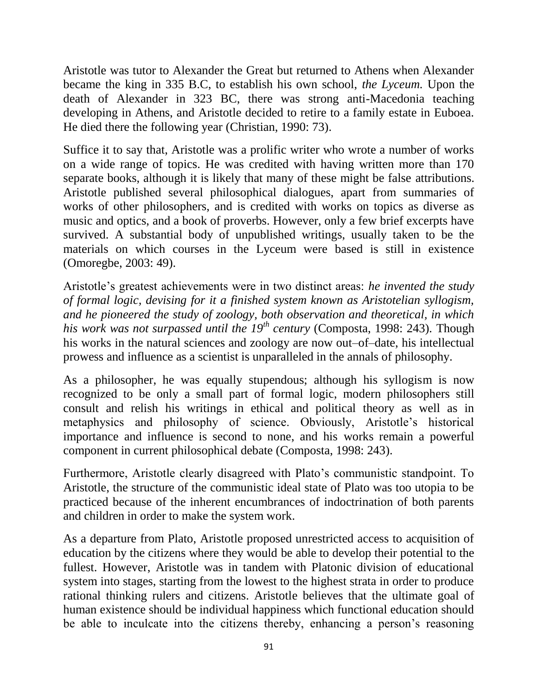Aristotle was tutor to Alexander the Great but returned to Athens when Alexander became the king in 335 B.C, to establish his own school, *the Lyceum.* Upon the death of Alexander in 323 BC, there was strong anti-Macedonia teaching developing in Athens, and Aristotle decided to retire to a family estate in Euboea. He died there the following year (Christian, 1990: 73).

Suffice it to say that, Aristotle was a prolific writer who wrote a number of works on a wide range of topics. He was credited with having written more than 170 separate books, although it is likely that many of these might be false attributions. Aristotle published several philosophical dialogues, apart from summaries of works of other philosophers, and is credited with works on topics as diverse as music and optics, and a book of proverbs. However, only a few brief excerpts have survived. A substantial body of unpublished writings, usually taken to be the materials on which courses in the Lyceum were based is still in existence (Omoregbe, 2003: 49).

Aristotle"s greatest achievements were in two distinct areas: *he invented the study of formal logic, devising for it a finished system known as Aristotelian syllogism, and he pioneered the study of zoology, both observation and theoretical, in which his work was not surpassed until the 19th century* (Composta, 1998: 243)*.* Though his works in the natural sciences and zoology are now out–of–date, his intellectual prowess and influence as a scientist is unparalleled in the annals of philosophy.

As a philosopher, he was equally stupendous; although his syllogism is now recognized to be only a small part of formal logic, modern philosophers still consult and relish his writings in ethical and political theory as well as in metaphysics and philosophy of science. Obviously, Aristotle's historical importance and influence is second to none, and his works remain a powerful component in current philosophical debate (Composta, 1998: 243).

Furthermore, Aristotle clearly disagreed with Plato"s communistic standpoint. To Aristotle, the structure of the communistic ideal state of Plato was too utopia to be practiced because of the inherent encumbrances of indoctrination of both parents and children in order to make the system work.

As a departure from Plato, Aristotle proposed unrestricted access to acquisition of education by the citizens where they would be able to develop their potential to the fullest. However, Aristotle was in tandem with Platonic division of educational system into stages, starting from the lowest to the highest strata in order to produce rational thinking rulers and citizens. Aristotle believes that the ultimate goal of human existence should be individual happiness which functional education should be able to inculcate into the citizens thereby, enhancing a person's reasoning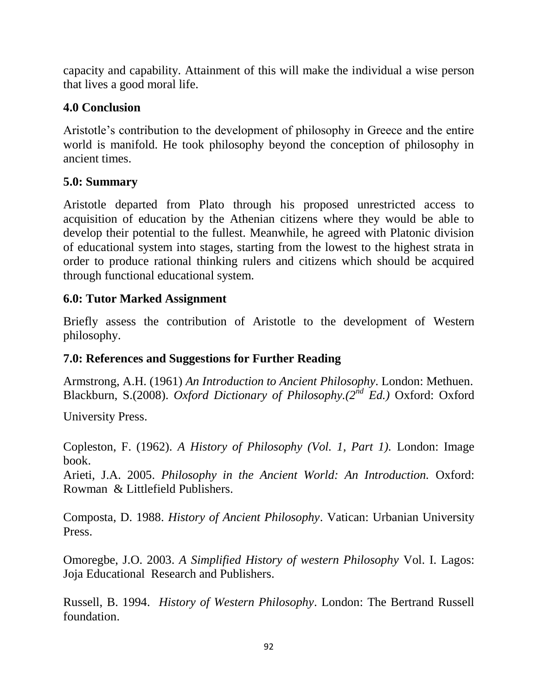capacity and capability. Attainment of this will make the individual a wise person that lives a good moral life.

## **4.0 Conclusion**

Aristotle"s contribution to the development of philosophy in Greece and the entire world is manifold. He took philosophy beyond the conception of philosophy in ancient times.

### **5.0: Summary**

Aristotle departed from Plato through his proposed unrestricted access to acquisition of education by the Athenian citizens where they would be able to develop their potential to the fullest. Meanwhile, he agreed with Platonic division of educational system into stages, starting from the lowest to the highest strata in order to produce rational thinking rulers and citizens which should be acquired through functional educational system.

### **6.0: Tutor Marked Assignment**

Briefly assess the contribution of Aristotle to the development of Western philosophy.

## **7.0: References and Suggestions for Further Reading**

Armstrong, A.H. (1961) *An Introduction to Ancient Philosophy*. London: Methuen. Blackburn, S.(2008). *Oxford Dictionary of Philosophy.(2nd Ed.)* Oxford: Oxford

University Press.

Copleston, F. (1962). *A History of Philosophy (Vol. 1, Part 1).* London: Image book.

Arieti, J.A. 2005. *Philosophy in the Ancient World: An Introduction.* Oxford: Rowman & Littlefield Publishers.

Composta, D. 1988. *History of Ancient Philosophy*. Vatican: Urbanian University Press.

Omoregbe, J.O. 2003. *A Simplified History of western Philosophy* Vol. I. Lagos: Joja Educational Research and Publishers.

Russell, B. 1994. *History of Western Philosophy*. London: The Bertrand Russell foundation.